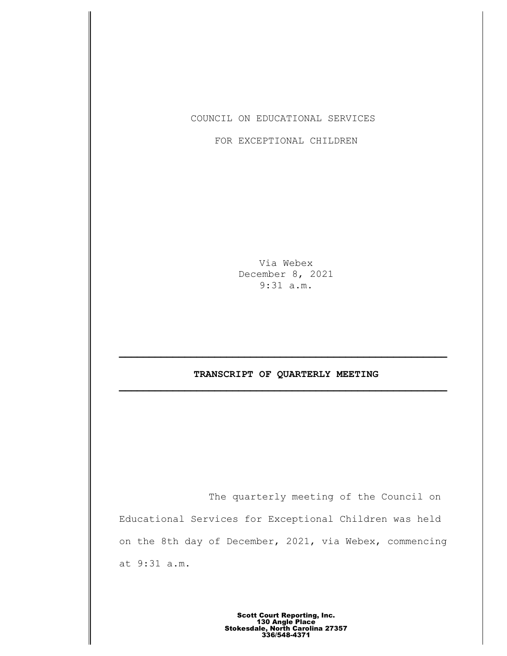COUNCIL ON EDUCATIONAL SERVICES

FOR EXCEPTIONAL CHILDREN

Via Webex December 8, 2021 9:31 a.m.

## **TRANSCRIPT OF QUARTERLY MEETING \_\_\_\_\_\_\_\_\_\_\_\_\_\_\_\_\_\_\_\_\_\_\_\_\_\_\_\_\_\_\_\_\_\_\_\_\_\_\_\_\_\_\_\_\_\_\_\_\_\_\_\_\_\_\_**

The quarterly meeting of the Council on Educational Services for Exceptional Children was held on the 8th day of December, 2021, via Webex, commencing at 9:31 a.m.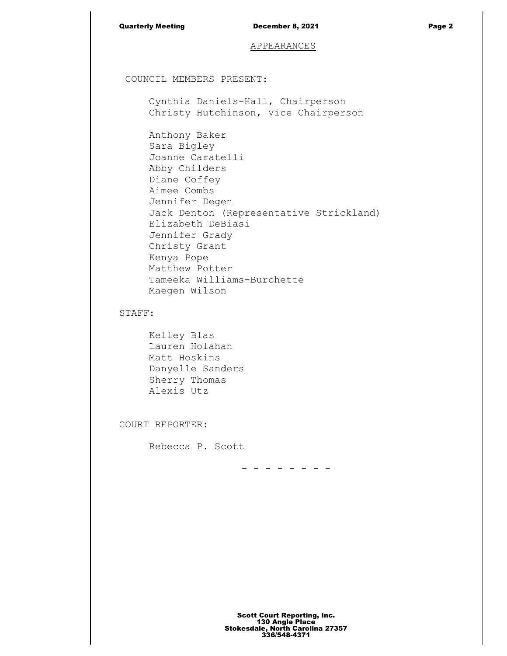| <b>Quarterly Meeting</b> |  |
|--------------------------|--|
|                          |  |

## APPEARANCES

COUNCIL MEMBERS PRESENT:

Cynthia Daniels-Hall, Chairperson Christy Hutchinson, Vice Chairperson

Anthony Baker Sara Bigley Joanne Caratelli Abby Childers Diane Coffey Aimee Combs Jennifer Degen Jack Denton (Representative Strickland) Elizabeth DeBiasi Jennifer Grady Christy Grant Kenya Pope Matthew Potter Tameeka Williams-Burchette Maegen Wilson

STAFF:

Kelley Blas Lauren Holahan Matt Hoskins Danyelle Sanders Sherry Thomas Alexis Utz

COURT REPORTER:

Rebecca P. Scott

- - - - - - - -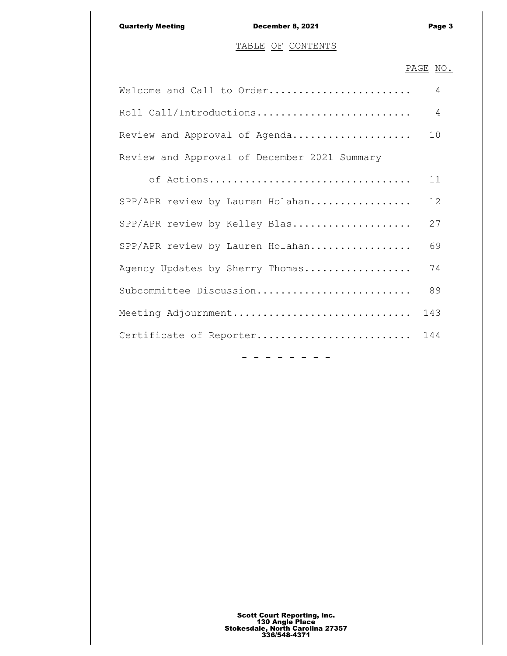## TABLE OF CONTENTS

## PAGE NO.

| Welcome and Call to Order                    | 4 |
|----------------------------------------------|---|
|                                              |   |
| Review and Approval of Agenda 10             |   |
| Review and Approval of December 2021 Summary |   |

|                                  |  | of Actions |  |  | 11              |
|----------------------------------|--|------------|--|--|-----------------|
| SPP/APR review by Lauren Holahan |  |            |  |  | 12 <sup>°</sup> |
| SPP/APR review by Kelley Blas    |  |            |  |  | 27              |
| SPP/APR review by Lauren Holahan |  |            |  |  | 69              |
| Agency Updates by Sherry Thomas  |  |            |  |  | 74              |
| Subcommittee Discussion          |  |            |  |  | 89              |
| Meeting Adjournment              |  |            |  |  | 143             |
| Certificate of Reporter          |  |            |  |  | 144             |
|                                  |  |            |  |  |                 |

- - - - - - - -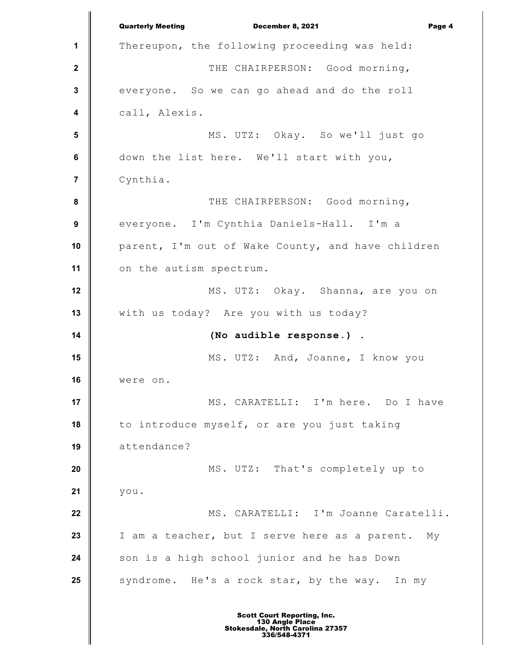**1 2 3 4 5 6 7 8 9 10 11 12 13 14 15 16 17 18 19 20 21 22 23 24 25** Quarterly Meeting December 8, 2021 Page 4 Thereupon, the following proceeding was held: THE CHAIRPERSON: Good morning, everyone. So we can go ahead and do the roll call, Alexis. MS. UTZ: Okay. So we'll just go down the list here. We'll start with you, Cynthia. THE CHAIRPERSON: Good morning, everyone. I'm Cynthia Daniels-Hall. I'm a parent, I'm out of Wake County, and have children on the autism spectrum. MS. UTZ: Okay. Shanna, are you on with us today? Are you with us today? **(No audible response.)** . MS. UTZ: And, Joanne, I know you were on. MS. CARATELLI: I'm here. Do I have to introduce myself, or are you just taking attendance? MS. UTZ: That's completely up to you. MS. CARATELLI: I'm Joanne Caratelli. I am a teacher, but I serve here as a parent. My son is a high school junior and he has Down syndrome. He's a rock star, by the way. In my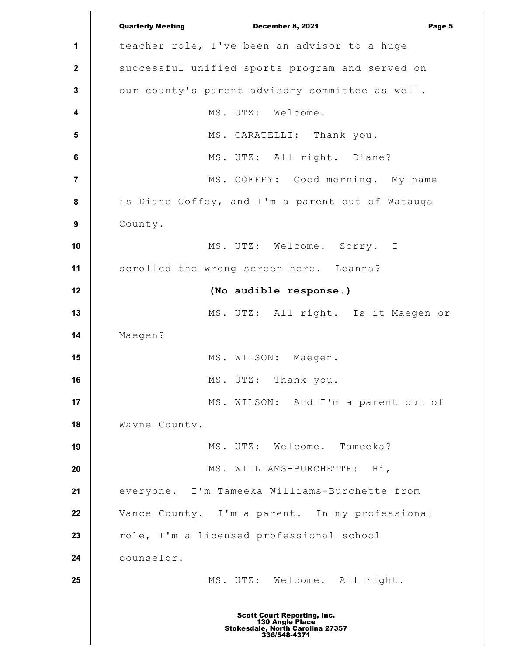**1 2 3 4 5 6 7 8 9 10 11 12 13 14 15 16 17 18 19 20 21 22 23 24 25** Quarterly Meeting December 8, 2021 Page 5 teacher role, I've been an advisor to a huge successful unified sports program and served on our county's parent advisory committee as well. MS. UTZ: Welcome. MS. CARATELLI: Thank you. MS. UTZ: All right. Diane? MS. COFFEY: Good morning. My name is Diane Coffey, and I'm a parent out of Watauga County. MS. UTZ: Welcome. Sorry. I scrolled the wrong screen here. Leanna? **(No audible response.)** MS. UTZ: All right. Is it Maegen or Maegen? MS. WILSON: Maegen. MS. UTZ: Thank you. MS. WILSON: And I'm a parent out of Wayne County. MS. UTZ: Welcome. Tameeka? MS. WILLIAMS-BURCHETTE: Hi, everyone. I'm Tameeka Williams-Burchette from Vance County. I'm a parent. In my professional role, I'm a licensed professional school counselor. MS. UTZ: Welcome. All right. Scott Court Reporting, Inc. 130 Angle Place Stokesdale, North Carolina 27357 336/548-4371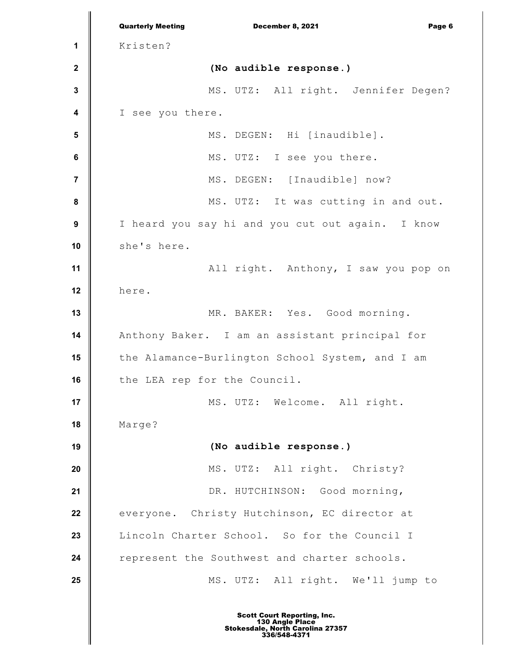**1 2 3 4 5 6 7 8 9 10 11 12 13 14 15 16 17 18 19 20 21 22 23 24 25** Quarterly Meeting December 8, 2021 Page 6 Kristen? **(No audible response.)** MS. UTZ: All right. Jennifer Degen? I see you there. MS. DEGEN: Hi [inaudible]. MS. UTZ: I see you there. MS. DEGEN: [Inaudible] now? MS. UTZ: It was cutting in and out. I heard you say hi and you cut out again. I know she's here. All right. Anthony, I saw you pop on here. MR. BAKER: Yes. Good morning. Anthony Baker. I am an assistant principal for the Alamance-Burlington School System, and I am the LEA rep for the Council. MS. UTZ: Welcome. All right. Marge? **(No audible response.)** MS. UTZ: All right. Christy? DR. HUTCHINSON: Good morning, everyone. Christy Hutchinson, EC director at Lincoln Charter School. So for the Council I represent the Southwest and charter schools. MS. UTZ: All right. We'll jump to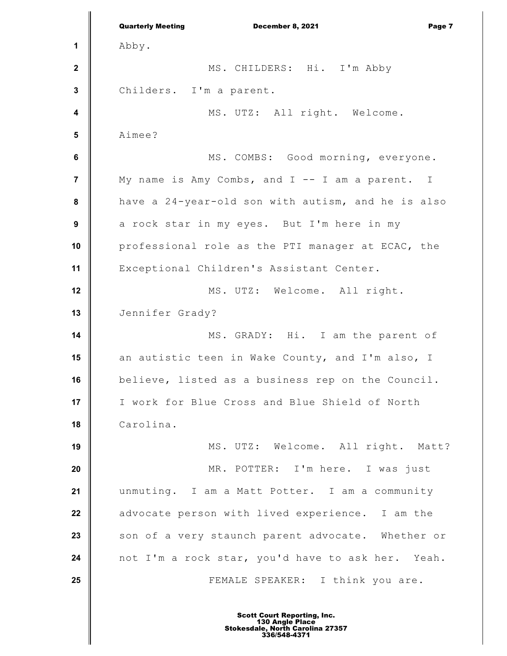**1 2 3 4 5 6 7 8 9 10 11 12 13 14 15 16 17 18 19 20 21 22 23 24 25** Quarterly Meeting December 8, 2021 Page 7 Abby. MS. CHILDERS: Hi. I'm Abby Childers. I'm a parent. MS. UTZ: All right. Welcome. Aimee? MS. COMBS: Good morning, everyone. My name is Amy Combs, and I -- I am a parent. I have a 24-year-old son with autism, and he is also a rock star in my eyes. But I'm here in my professional role as the PTI manager at ECAC, the Exceptional Children's Assistant Center. MS. UTZ: Welcome. All right. Jennifer Grady? MS. GRADY: Hi. I am the parent of an autistic teen in Wake County, and I'm also, I believe, listed as a business rep on the Council. I work for Blue Cross and Blue Shield of North Carolina. MS. UTZ: Welcome. All right. Matt? MR. POTTER: I'm here. I was just unmuting. I am a Matt Potter. I am a community advocate person with lived experience. I am the son of a very staunch parent advocate. Whether or not I'm a rock star, you'd have to ask her. Yeah. FEMALE SPEAKER: I think you are.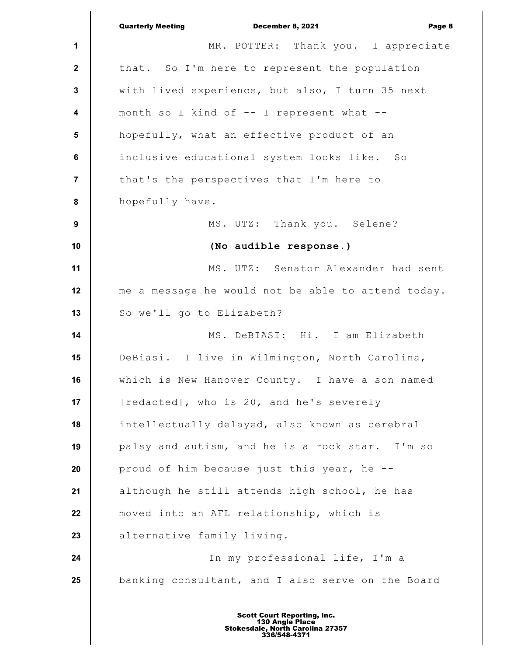|                         | <b>Quarterly Meeting</b><br>December 8, 2021<br>Page 8 |
|-------------------------|--------------------------------------------------------|
| 1                       | MR. POTTER: Thank you. I appreciate                    |
| $\overline{2}$          | that. So I'm here to represent the population          |
| $\mathbf{3}$            | with lived experience, but also, I turn 35 next        |
| $\overline{\mathbf{4}}$ | month so I kind of -- I represent what --              |
| $5\phantom{.0}$         | hopefully, what an effective product of an             |
| $\bf 6$                 | inclusive educational system looks like. So            |
| $\overline{7}$          | that's the perspectives that I'm here to               |
| ${\bf 8}$               | hopefully have.                                        |
| $\boldsymbol{9}$        | MS. UTZ: Thank you. Selene?                            |
| 10                      | (No audible response.)                                 |
| 11                      | MS. UTZ: Senator Alexander had sent                    |
| 12                      | me a message he would not be able to attend today.     |
| 13                      | So we'll go to Elizabeth?                              |
| 14                      | MS. DeBIASI: Hi. I am Elizabeth                        |
| 15                      | DeBiasi. I live in Wilmington, North Carolina,         |
| 16                      | which is New Hanover County. I have a son named        |
| 17                      | [redacted], who is 20, and he's severely               |
| 18                      | intellectually delayed, also known as cerebral         |
| 19                      | palsy and autism, and he is a rock star. I'm so        |
| 20                      | proud of him because just this year, he --             |
| 21                      | although he still attends high school, he has          |
| 22                      | moved into an AFL relationship, which is               |
| 23                      | alternative family living.                             |
| 24                      | In my professional life, I'm a                         |
| 25                      | banking consultant, and I also serve on the Board      |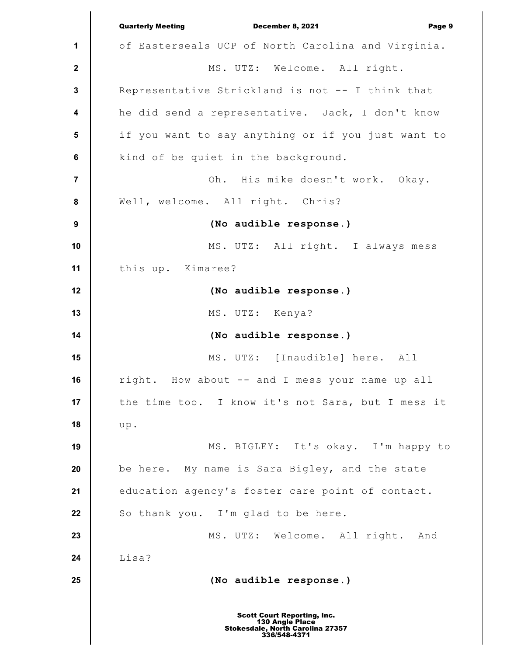**1 2 3 4 5 6 7 8 9 10 11 12 13 14 15 16 17 18 19 20 21 22 23 24 25** Quarterly Meeting December 8, 2021 Page 9 of Easterseals UCP of North Carolina and Virginia. MS. UTZ: Welcome. All right. Representative Strickland is not -- I think that he did send a representative. Jack, I don't know if you want to say anything or if you just want to kind of be quiet in the background. Oh. His mike doesn't work. Okay. Well, welcome. All right. Chris? **(No audible response.)** MS. UTZ: All right. I always mess this up. Kimaree? **(No audible response.)** MS. UTZ: Kenya? **(No audible response.)** MS. UTZ: [Inaudible] here. All right. How about -- and I mess your name up all the time too. I know it's not Sara, but I mess it up. MS. BIGLEY: It's okay. I'm happy to be here. My name is Sara Bigley, and the state education agency's foster care point of contact. So thank you. I'm glad to be here. MS. UTZ: Welcome. All right. And Lisa? **(No audible response.)**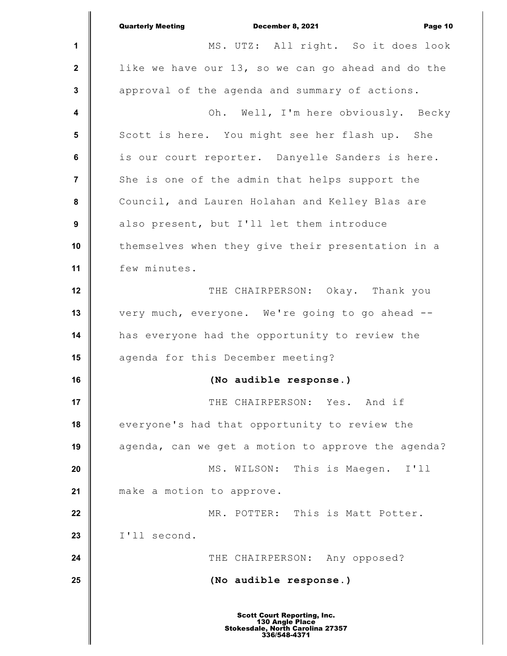|                  | <b>Quarterly Meeting</b><br>December 8, 2021<br>Page 10                                                   |
|------------------|-----------------------------------------------------------------------------------------------------------|
| $\mathbf 1$      | MS. UTZ: All right. So it does look                                                                       |
| $\mathbf 2$      | like we have our 13, so we can go ahead and do the                                                        |
| $\mathbf 3$      | approval of the agenda and summary of actions.                                                            |
| 4                | Oh.<br>Well, I'm here obviously. Becky                                                                    |
| 5                | Scott is here. You might see her flash up. She                                                            |
| $\bf 6$          | is our court reporter. Danyelle Sanders is here.                                                          |
| $\overline{7}$   | She is one of the admin that helps support the                                                            |
| 8                | Council, and Lauren Holahan and Kelley Blas are                                                           |
| $\boldsymbol{9}$ | also present, but I'll let them introduce                                                                 |
| 10               | themselves when they give their presentation in a                                                         |
| 11               | few minutes.                                                                                              |
| 12               | THE CHAIRPERSON: Okay. Thank you                                                                          |
| 13               | very much, everyone. We're going to go ahead --                                                           |
| 14               | has everyone had the opportunity to review the                                                            |
| 15               | agenda for this December meeting?                                                                         |
| 16               | (No audible response.)                                                                                    |
| 17               | THE CHAIRPERSON: Yes. And if                                                                              |
| 18               | everyone's had that opportunity to review the                                                             |
| 19               | agenda, can we get a motion to approve the agenda?                                                        |
| 20               | MS. WILSON: This is Maegen. I'll                                                                          |
| 21               | make a motion to approve.                                                                                 |
| 22               | MR. POTTER: This is Matt Potter.                                                                          |
| 23               | I'll second.                                                                                              |
| 24               | THE CHAIRPERSON: Any opposed?                                                                             |
| 25               | (No audible response.)                                                                                    |
|                  | <b>Scott Court Reporting, Inc.</b><br>130 Angle Place<br>Stokesdale, North Carolina 27357<br>336/548-4371 |

║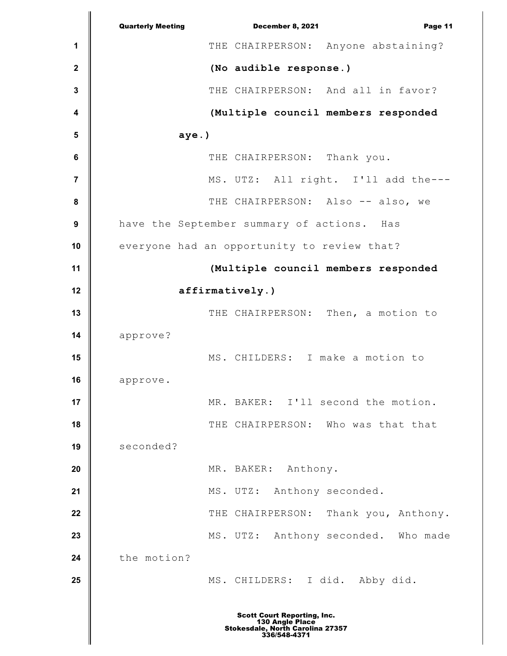|              | <b>Quarterly Meeting</b><br>December 8, 2021<br>Page 11                                                   |
|--------------|-----------------------------------------------------------------------------------------------------------|
| 1            | THE CHAIRPERSON: Anyone abstaining?                                                                       |
| $\mathbf{2}$ | (No audible response.)                                                                                    |
| 3            | THE CHAIRPERSON: And all in favor?                                                                        |
| 4            | (Multiple council members responded                                                                       |
| 5            | $aye.$ )                                                                                                  |
| 6            | THE CHAIRPERSON: Thank you.                                                                               |
| 7            | MS. UTZ: All right. I'll add the ---                                                                      |
| 8            | THE CHAIRPERSON: Also -- also, we                                                                         |
| 9            | have the September summary of actions. Has                                                                |
| 10           | everyone had an opportunity to review that?                                                               |
| 11           | (Multiple council members responded                                                                       |
| 12           | affirmatively.)                                                                                           |
| 13           | THE CHAIRPERSON: Then, a motion to                                                                        |
| 14           | approve?                                                                                                  |
| 15           | MS. CHILDERS: I make a motion to                                                                          |
| 16           | approve.                                                                                                  |
| 17           | I'll second the motion.<br>MR. BAKER:                                                                     |
| 18           | THE CHAIRPERSON: Who was that that                                                                        |
| 19           | seconded?                                                                                                 |
| 20           | MR. BAKER: Anthony.                                                                                       |
| 21           | MS. UTZ:<br>Anthony seconded.                                                                             |
| 22           | THE CHAIRPERSON:<br>Thank you, Anthony.                                                                   |
| 23           | MS. UTZ: Anthony seconded. Who made                                                                       |
| 24           | the motion?                                                                                               |
| 25           | MS. CHILDERS: I did. Abby did.                                                                            |
|              | <b>Scott Court Reporting, Inc.</b><br>130 Angle Place<br>Stokesdale, North Carolina 27357<br>336/548-4371 |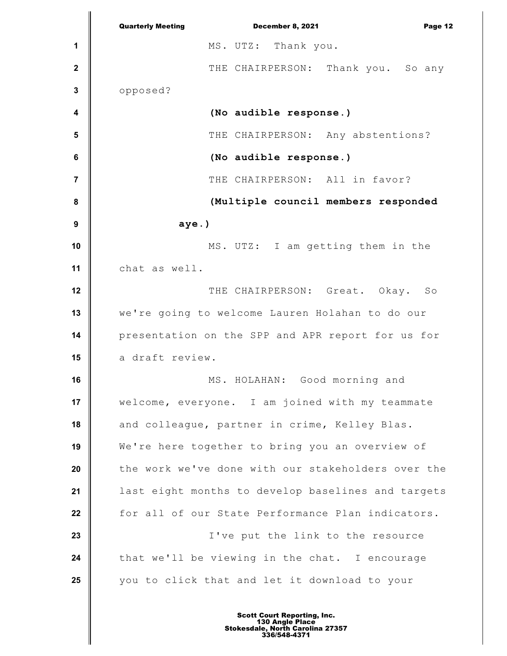**1 2 3 4 5 6 7 8 9 10 11 12 13 14 15 16 17 18 19 20 21 22 23 24 25** Quarterly Meeting December 8, 2021 Page 12 MS. UTZ: Thank you. THE CHAIRPERSON: Thank you. So any opposed? **(No audible response.)** THE CHAIRPERSON: Any abstentions? **(No audible response.)** THE CHAIRPERSON: All in favor? **(Multiple council members responded aye.)** MS. UTZ: I am getting them in the chat as well. THE CHAIRPERSON: Great. Okay. So we're going to welcome Lauren Holahan to do our presentation on the SPP and APR report for us for a draft review. MS. HOLAHAN: Good morning and welcome, everyone. I am joined with my teammate and colleague, partner in crime, Kelley Blas. We're here together to bring you an overview of the work we've done with our stakeholders over the last eight months to develop baselines and targets for all of our State Performance Plan indicators. I've put the link to the resource that we'll be viewing in the chat. I encourage you to click that and let it download to your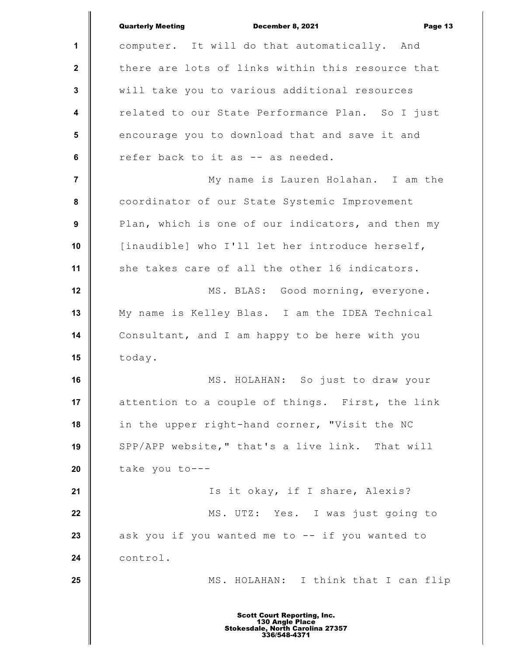**1 2 3 4 5 6 7 8 9 10 11 12 13 14 15 16 17 18 19 20 21 22 23 24 25** Quarterly Meeting December 8, 2021 Page 13 computer. It will do that automatically. And there are lots of links within this resource that will take you to various additional resources related to our State Performance Plan. So I just encourage you to download that and save it and refer back to it as -- as needed. My name is Lauren Holahan. I am the coordinator of our State Systemic Improvement Plan, which is one of our indicators, and then my [inaudible] who I'll let her introduce herself, she takes care of all the other 16 indicators. MS. BLAS: Good morning, everyone. My name is Kelley Blas. I am the IDEA Technical Consultant, and I am happy to be here with you today. MS. HOLAHAN: So just to draw your attention to a couple of things. First, the link in the upper right-hand corner, "Visit the NC SPP/APP website," that's a live link. That will take you to--- Is it okay, if I share, Alexis? MS. UTZ: Yes. I was just going to ask you if you wanted me to -- if you wanted to control. MS. HOLAHAN: I think that I can flip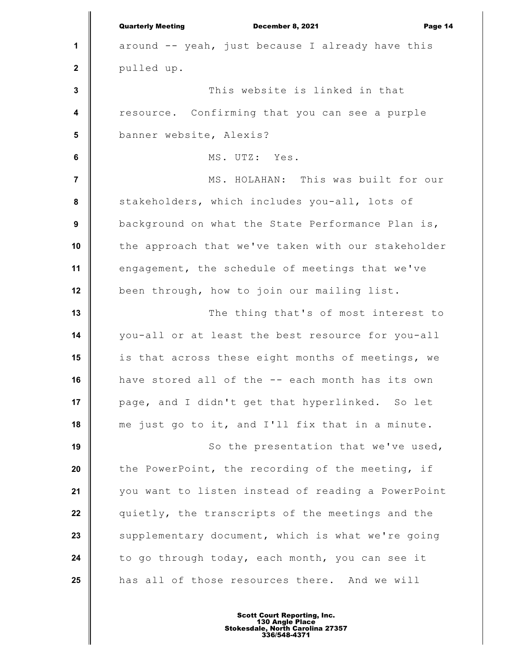|                         | <b>Quarterly Meeting</b><br>December 8, 2021<br>Page 14 |
|-------------------------|---------------------------------------------------------|
| 1                       | around -- yeah, just because I already have this        |
| $\mathbf{2}$            | pulled up.                                              |
| 3                       | This website is linked in that                          |
| $\overline{\mathbf{4}}$ | resource. Confirming that you can see a purple          |
| 5                       | banner website, Alexis?                                 |
| 6                       | MS. UTZ: Yes.                                           |
| 7                       | MS. HOLAHAN: This was built for our                     |
| 8                       | stakeholders, which includes you-all, lots of           |
| 9                       | background on what the State Performance Plan is,       |
| 10                      | the approach that we've taken with our stakeholder      |
| 11                      | engagement, the schedule of meetings that we've         |
| 12                      | been through, how to join our mailing list.             |
| 13                      | The thing that's of most interest to                    |
| 14                      | you-all or at least the best resource for you-all       |
| 15                      | is that across these eight months of meetings, we       |
| 16                      | have stored all of the -- each month has its own        |
| 17                      | page, and I didn't get that hyperlinked. So let         |
| 18                      | me just go to it, and I'll fix that in a minute.        |
| 19                      | So the presentation that we've used,                    |
| 20                      | the PowerPoint, the recording of the meeting, if        |
| 21                      | you want to listen instead of reading a PowerPoint      |
| 22                      | quietly, the transcripts of the meetings and the        |
| 23                      | supplementary document, which is what we're going       |
| 24                      | to go through today, each month, you can see it         |
| 25                      | has all of those resources there. And we will           |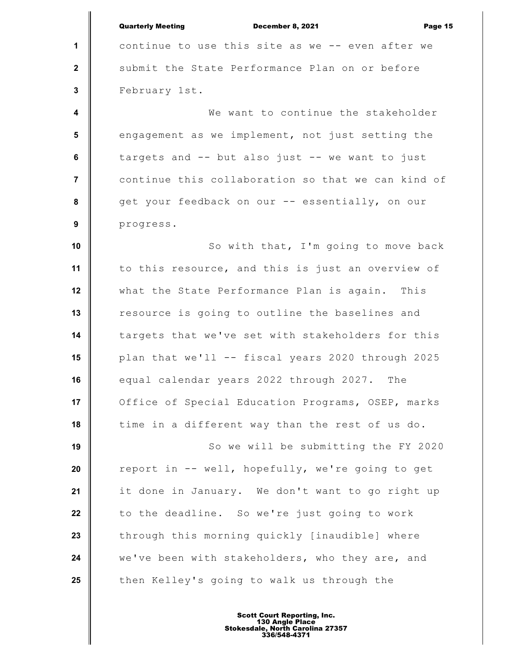|                         | <b>Quarterly Meeting</b><br>December 8, 2021<br>Page 15 |
|-------------------------|---------------------------------------------------------|
| $\mathbf{1}$            | continue to use this site as we -- even after we        |
| $\mathbf{2}$            | submit the State Performance Plan on or before          |
| 3                       | February 1st.                                           |
| $\overline{\mathbf{4}}$ | We want to continue the stakeholder                     |
| 5                       | engagement as we implement, not just setting the        |
| 6                       | targets and -- but also just -- we want to just         |
| $\overline{7}$          | continue this collaboration so that we can kind of      |
| 8                       | get your feedback on our -- essentially, on our         |
| 9                       | progress.                                               |
| 10                      | So with that, I'm going to move back                    |
| 11                      | to this resource, and this is just an overview of       |
| 12                      | what the State Performance Plan is again. This          |
| 13                      | resource is going to outline the baselines and          |
| 14                      | targets that we've set with stakeholders for this       |
| 15                      | plan that we'll -- fiscal years 2020 through 2025       |
| 16                      | equal calendar years 2022 through 2027. The             |
| 17                      | Office of Special Education Programs, OSEP, marks       |
| 18                      | time in a different way than the rest of us do.         |
| 19                      | So we will be submitting the FY 2020                    |
| 20                      | report in -- well, hopefully, we're going to get        |
| 21                      | it done in January. We don't want to go right up        |
| 22                      | to the deadline. So we're just going to work            |
| 23                      | through this morning quickly [inaudible] where          |
| 24                      | we've been with stakeholders, who they are, and         |
| 25                      | then Kelley's going to walk us through the              |
|                         |                                                         |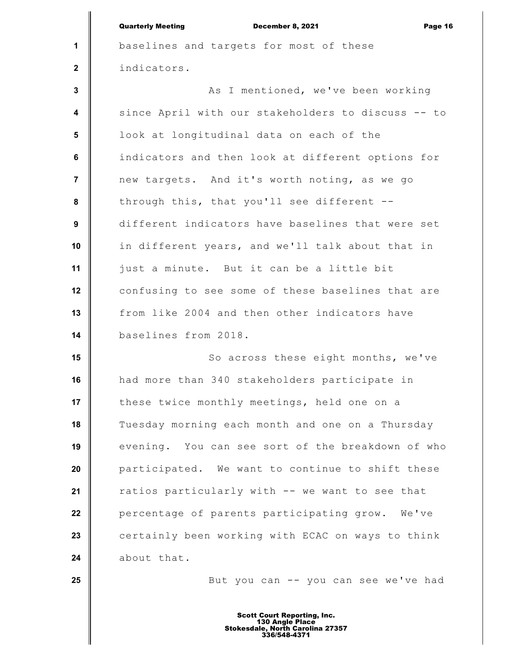|                         | <b>Quarterly Meeting</b><br>December 8, 2021<br>Page 16 |
|-------------------------|---------------------------------------------------------|
| 1                       | baselines and targets for most of these                 |
| $\mathbf{2}$            | indicators.                                             |
| $\mathbf{3}$            | As I mentioned, we've been working                      |
| $\overline{\mathbf{4}}$ | since April with our stakeholders to discuss -- to      |
| $5\phantom{.0}$         | look at longitudinal data on each of the                |
| 6                       | indicators and then look at different options for       |
| $\overline{7}$          | new targets. And it's worth noting, as we go            |
| 8                       | through this, that you'll see different --              |
| 9                       | different indicators have baselines that were set       |
| 10                      | in different years, and we'll talk about that in        |
| 11                      | just a minute. But it can be a little bit               |
| 12                      | confusing to see some of these baselines that are       |
| 13                      | from like 2004 and then other indicators have           |
| 14                      | baselines from 2018.                                    |
| 15                      | So across these eight months, we've                     |
| 16                      | had more than 340 stakeholders participate in           |
| 17                      | these twice monthly meetings, held one on a             |
| 18                      | Tuesday morning each month and one on a Thursday        |
| 19                      | evening. You can see sort of the breakdown of who       |
| 20                      | participated. We want to continue to shift these        |
| 21                      | ratios particularly with -- we want to see that         |
| 22                      | percentage of parents participating grow. We've         |
| 23                      | certainly been working with ECAC on ways to think       |
| 24                      | about that.                                             |
| 25                      | But you can -- you can see we've had                    |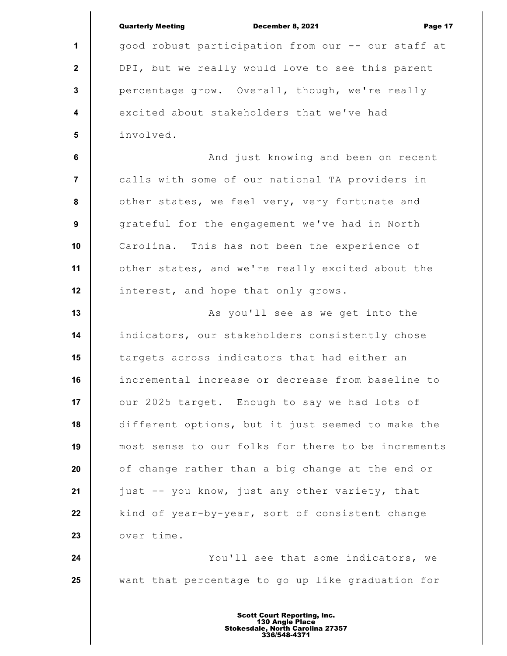|                         | <b>Quarterly Meeting</b><br>December 8, 2021<br>Page 17 |
|-------------------------|---------------------------------------------------------|
| 1                       | good robust participation from our -- our staff at      |
| $\mathbf{2}$            | DPI, but we really would love to see this parent        |
| $\mathbf{3}$            | percentage grow. Overall, though, we're really          |
| $\overline{\mathbf{4}}$ | excited about stakeholders that we've had               |
| $5\phantom{1}$          | involved.                                               |
| $\bf 6$                 | And just knowing and been on recent                     |
| 7                       | calls with some of our national TA providers in         |
| 8                       | other states, we feel very, very fortunate and          |
| $\boldsymbol{9}$        | grateful for the engagement we've had in North          |
| 10                      | Carolina. This has not been the experience of           |
| 11                      | other states, and we're really excited about the        |
| 12                      | interest, and hope that only grows.                     |
| 13                      | As you'll see as we get into the                        |
| 14                      | indicators, our stakeholders consistently chose         |
| 15                      | targets across indicators that had either an            |
| 16                      | incremental increase or decrease from baseline to       |
| 17                      | our 2025 target. Enough to say we had lots of           |
| 18                      | different options, but it just seemed to make the       |
| 19                      | most sense to our folks for there to be increments      |
| 20                      | of change rather than a big change at the end or        |
| 21                      | just -- you know, just any other variety, that          |
| 22                      | kind of year-by-year, sort of consistent change         |
| 23                      | over time.                                              |
| 24                      | You'll see that some indicators, we                     |
| 25                      | want that percentage to go up like graduation for       |
|                         |                                                         |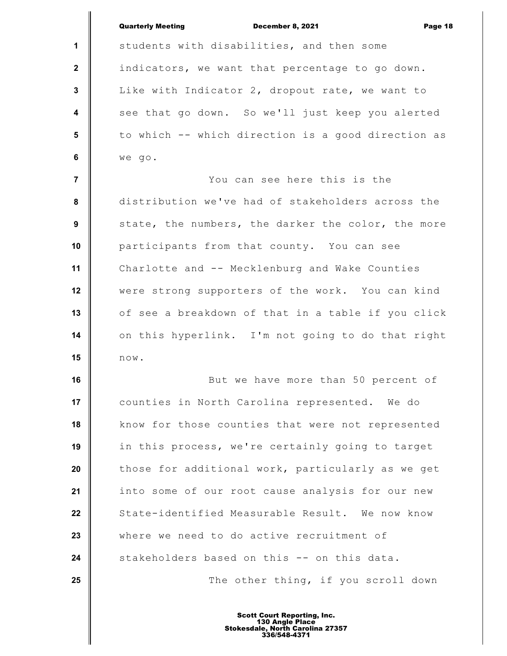|                | <b>Quarterly Meeting</b><br><b>December 8, 2021</b><br>Page 18 |
|----------------|----------------------------------------------------------------|
| $\mathbf 1$    | students with disabilities, and then some                      |
| $\mathbf{2}$   | indicators, we want that percentage to go down.                |
| 3              | Like with Indicator 2, dropout rate, we want to                |
| 4              | see that go down. So we'll just keep you alerted               |
| 5              | to which -- which direction is a good direction as             |
| 6              | we go.                                                         |
| $\overline{7}$ | You can see here this is the                                   |
| 8              | distribution we've had of stakeholders across the              |
| 9              | state, the numbers, the darker the color, the more             |
| 10             | participants from that county. You can see                     |
| 11             | Charlotte and -- Mecklenburg and Wake Counties                 |
| 12             | were strong supporters of the work. You can kind               |
| 13             | of see a breakdown of that in a table if you click             |
| 14             | on this hyperlink. I'm not going to do that right              |
| 15             | $\texttt{now.}$                                                |
| 16             | But we have more than 50 percent of                            |
| 17             | counties in North Carolina represented. We do                  |
| 18             | know for those counties that were not represented              |
| 19             | in this process, we're certainly going to target               |
| 20             | those for additional work, particularly as we get              |
| 21             | into some of our root cause analysis for our new               |
| 22             | State-identified Measurable Result. We now know                |
| 23             | where we need to do active recruitment of                      |
| 24             | stakeholders based on this -- on this data.                    |
| 25             | The other thing, if you scroll down                            |
|                |                                                                |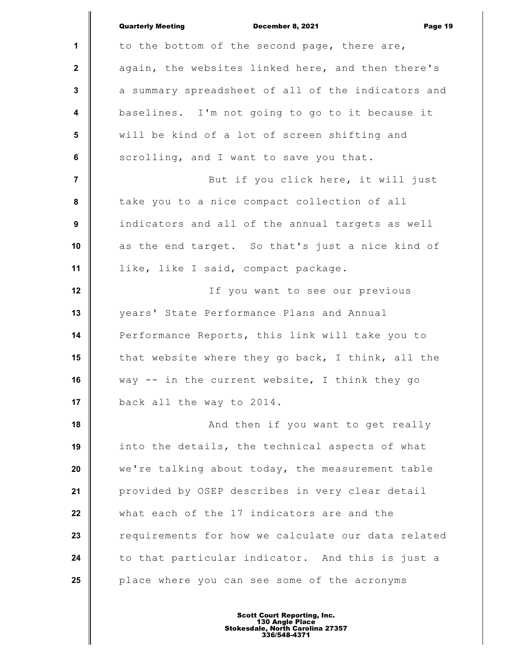|                         | <b>Quarterly Meeting</b><br>December 8, 2021<br>Page 19 |
|-------------------------|---------------------------------------------------------|
| $\mathbf{1}$            | to the bottom of the second page, there are,            |
| $\mathbf{2}$            | again, the websites linked here, and then there's       |
| 3                       | a summary spreadsheet of all of the indicators and      |
| $\overline{\mathbf{4}}$ | baselines. I'm not going to go to it because it         |
| $5\phantom{.0}$         | will be kind of a lot of screen shifting and            |
| 6                       | scrolling, and I want to save you that.                 |
| $\overline{7}$          | But if you click here, it will just                     |
| 8                       | take you to a nice compact collection of all            |
| 9                       | indicators and all of the annual targets as well        |
| 10                      | as the end target. So that's just a nice kind of        |
| 11                      | like, like I said, compact package.                     |
| 12                      | If you want to see our previous                         |
| 13                      | years' State Performance Plans and Annual               |
| 14                      | Performance Reports, this link will take you to         |
| 15                      | that website where they go back, I think, all the       |
| 16                      | way -- in the current website, I think they go          |
| 17                      | back all the way to 2014.                               |
| 18                      | And then if you want to get really                      |
| 19                      | into the details, the technical aspects of what         |
| 20                      | we're talking about today, the measurement table        |
| 21                      | provided by OSEP describes in very clear detail         |
| 22                      | what each of the 17 indicators are and the              |
| 23                      | requirements for how we calculate our data related      |
| 24                      | to that particular indicator. And this is just a        |
| 25                      | place where you can see some of the acronyms            |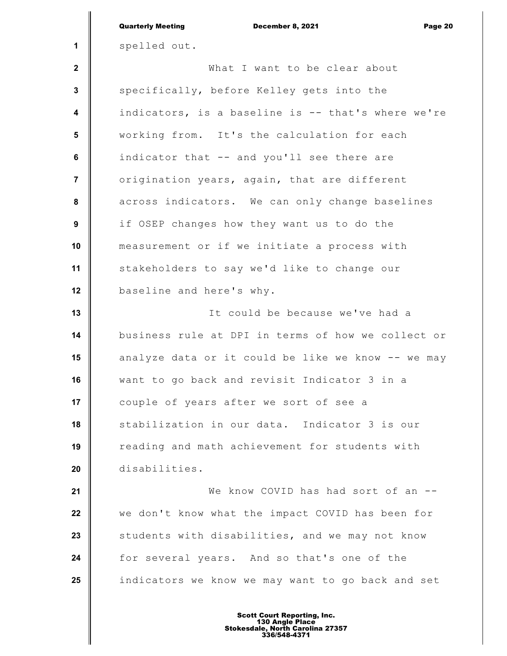|                | <b>Quarterly Meeting</b><br>December 8, 2021<br>Page 20 |
|----------------|---------------------------------------------------------|
| 1              | spelled out.                                            |
| $\mathbf{2}$   | What I want to be clear about                           |
| 3              | specifically, before Kelley gets into the               |
| 4              | indicators, is a baseline is -- that's where we're      |
| 5              | working from. It's the calculation for each             |
| 6              | indicator that -- and you'll see there are              |
| $\overline{7}$ | origination years, again, that are different            |
| 8              | across indicators. We can only change baselines         |
| 9              | if OSEP changes how they want us to do the              |
| 10             | measurement or if we initiate a process with            |
| 11             | stakeholders to say we'd like to change our             |
| 12             | baseline and here's why.                                |
| 13             | It could be because we've had a                         |
| 14             | business rule at DPI in terms of how we collect or      |
| 15             | analyze data or it could be like we know -- we may      |
| 16             | want to go back and revisit Indicator 3 in a            |
| 17             | couple of years after we sort of see a                  |
| 18             | stabilization in our data. Indicator 3 is our           |
| 19             | reading and math achievement for students with          |
| 20             | disabilities.                                           |
| 21             | We know COVID has had sort of an --                     |
| 22             | we don't know what the impact COVID has been for        |
| 23             | students with disabilities, and we may not know         |
| 24             | for several years. And so that's one of the             |
| 25             | indicators we know we may want to go back and set       |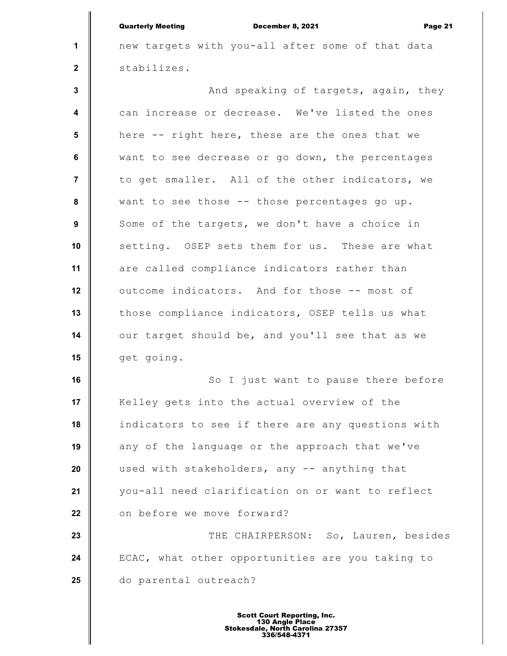**1 2 3 4 5 6 7 8 9 10 11 12 13 14 15 16 17 18 19 20 21 22 23 24 25** Quarterly Meeting December 8, 2021 Page 21 new targets with you-all after some of that data stabilizes. And speaking of targets, again, they can increase or decrease. We've listed the ones here -- right here, these are the ones that we want to see decrease or go down, the percentages to get smaller. All of the other indicators, we want to see those -- those percentages go up. Some of the targets, we don't have a choice in setting. OSEP sets them for us. These are what are called compliance indicators rather than outcome indicators. And for those -- most of those compliance indicators, OSEP tells us what our target should be, and you'll see that as we get going. So I just want to pause there before Kelley gets into the actual overview of the indicators to see if there are any questions with any of the language or the approach that we've used with stakeholders, any -- anything that you-all need clarification on or want to reflect on before we move forward? THE CHAIRPERSON: So, Lauren, besides ECAC, what other opportunities are you taking to do parental outreach?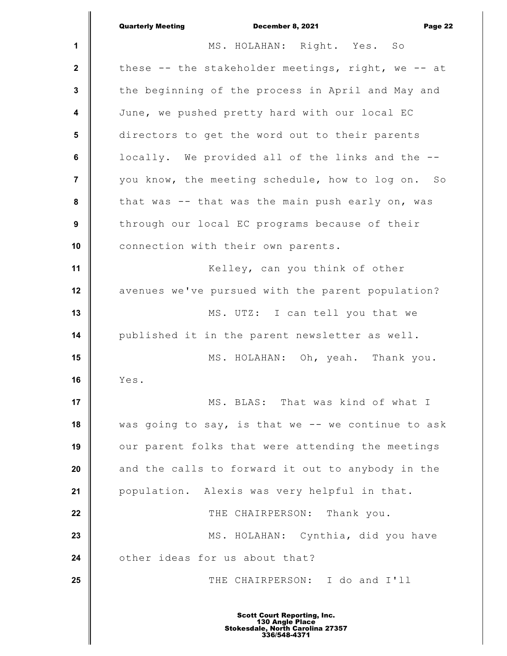|                  | <b>Quarterly Meeting</b><br>December 8, 2021<br>Page 22 |
|------------------|---------------------------------------------------------|
| 1                | MS. HOLAHAN: Right. Yes. So                             |
| $\mathbf{2}$     | these -- the stakeholder meetings, right, we -- at      |
| $\mathbf{3}$     | the beginning of the process in April and May and       |
| 4                | June, we pushed pretty hard with our local EC           |
| 5                | directors to get the word out to their parents          |
| 6                | locally. We provided all of the links and the --        |
| $\overline{7}$   | you know, the meeting schedule, how to log on. So       |
| 8                | that was -- that was the main push early on, was        |
| $\boldsymbol{9}$ | through our local EC programs because of their          |
| 10               | connection with their own parents.                      |
| 11               | Kelley, can you think of other                          |
| 12               | avenues we've pursued with the parent population?       |
| 13               | MS. UTZ: I can tell you that we                         |
| 14               | published it in the parent newsletter as well.          |
| 15               | MS. HOLAHAN: Oh, yeah. Thank you.                       |
| 16               | Yes.                                                    |
| 17               | MS. BLAS: That was kind of what I                       |
| 18               | was going to say, is that we -- we continue to ask      |
| 19               | our parent folks that were attending the meetings       |
| 20               | and the calls to forward it out to anybody in the       |
| 21               | population. Alexis was very helpful in that.            |
| 22               | THE CHAIRPERSON: Thank you.                             |
| 23               | MS. HOLAHAN: Cynthia, did you have                      |
| 24               | other ideas for us about that?                          |
| 25               | THE CHAIRPERSON: I do and I'll                          |
|                  |                                                         |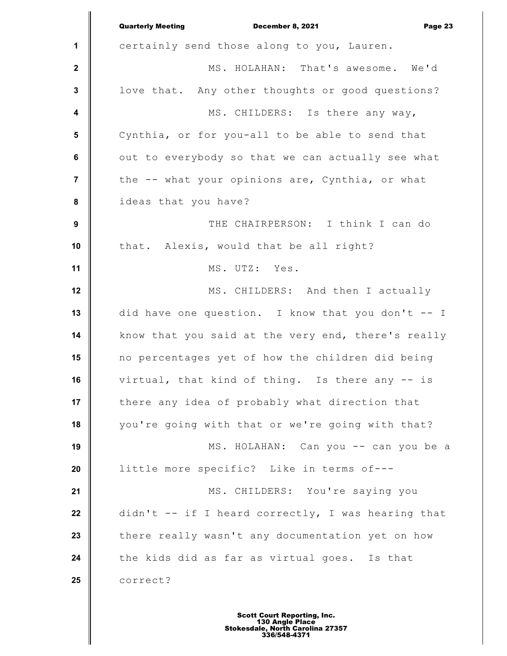|                         | <b>Quarterly Meeting</b><br>December 8, 2021<br>Page 23 |
|-------------------------|---------------------------------------------------------|
| 1                       | certainly send those along to you, Lauren.              |
| $\mathbf{2}$            | MS. HOLAHAN: That's awesome. We'd                       |
| $\mathbf 3$             | love that. Any other thoughts or good questions?        |
| $\overline{\mathbf{4}}$ | MS. CHILDERS: Is there any way,                         |
| 5                       | Cynthia, or for you-all to be able to send that         |
| $\bf 6$                 | out to everybody so that we can actually see what       |
| $\overline{7}$          | the -- what your opinions are, Cynthia, or what         |
| 8                       | ideas that you have?                                    |
| $\boldsymbol{9}$        | THE CHAIRPERSON: I think I can do                       |
| 10                      | that. Alexis, would that be all right?                  |
| 11                      | MS. UTZ: Yes.                                           |
| 12                      | MS. CHILDERS: And then I actually                       |
| 13                      | did have one question. I know that you don't -- I       |
| 14                      | know that you said at the very end, there's really      |
| 15                      | no percentages yet of how the children did being        |
| 16                      | virtual, that kind of thing. Is there any -- is         |
| 17                      | there any idea of probably what direction that          |
| 18                      | you're going with that or we're going with that?        |
| 19                      | MS. HOLAHAN: Can you -- can you be a                    |
| 20                      | little more specific? Like in terms of---               |
| 21                      | MS. CHILDERS: You're saying you                         |
| 22                      | didn't -- if I heard correctly, I was hearing that      |
| 23                      | there really wasn't any documentation yet on how        |
| 24                      | the kids did as far as virtual goes. Is that            |
| 25                      | correct?                                                |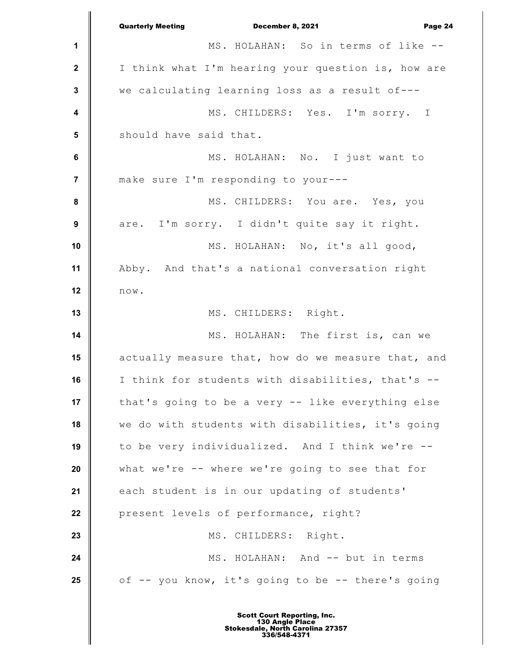|                         | <b>Quarterly Meeting</b><br>December 8, 2021<br>Page 24 |
|-------------------------|---------------------------------------------------------|
| 1                       | MS. HOLAHAN: So in terms of like --                     |
| $\mathbf{2}$            | I think what I'm hearing your question is, how are      |
| $\mathbf 3$             | we calculating learning loss as a result of---          |
| $\overline{\mathbf{4}}$ | MS. CHILDERS: Yes. I'm sorry. I                         |
| $5\phantom{1}$          | should have said that.                                  |
| $\bf 6$                 | MS. HOLAHAN: No. I just want to                         |
| $\overline{7}$          | make sure I'm responding to your---                     |
| ${\bf 8}$               | MS. CHILDERS: You are. Yes, you                         |
| $\boldsymbol{9}$        | are. I'm sorry. I didn't quite say it right.            |
| 10                      | MS. HOLAHAN: No, it's all good,                         |
| 11                      | Abby. And that's a national conversation right          |
| 12                      | $\texttt{n}\, \texttt{o}\, \texttt{w}$ .                |
| 13                      | MS. CHILDERS: Right.                                    |
| 14                      | MS. HOLAHAN: The first is, can we                       |
| 15                      | actually measure that, how do we measure that, and      |
| 16                      | I think for students with disabilities, that's --       |
| 17                      | that's going to be a very -- like everything else       |
| 18                      | we do with students with disabilities, it's going       |
| 19                      | to be very individualized. And I think we're --         |
| 20                      | what we're -- where we're going to see that for         |
| 21                      | each student is in our updating of students'            |
| 22                      | present levels of performance, right?                   |
| 23                      | MS. CHILDERS: Right.                                    |
| 24                      | MS. HOLAHAN: And -- but in terms                        |
| 25                      | of -- you know, it's going to be -- there's going       |
|                         |                                                         |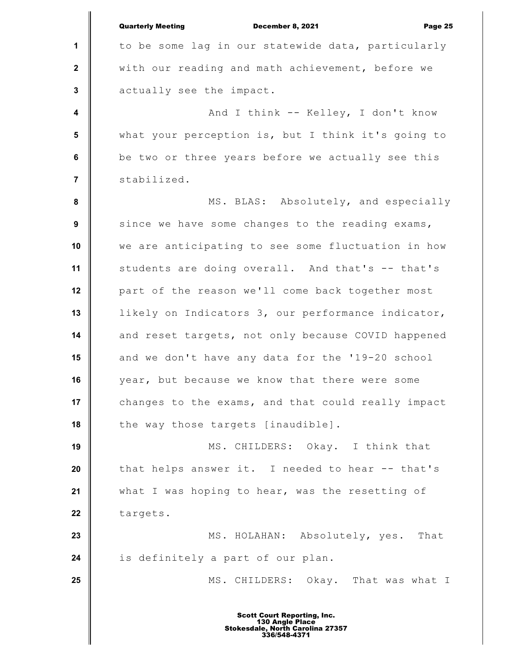**1 2 3 4 5 6 7 8 9 10 11 12 13 14 15 16 17 18 19 20 21 22 23 24 25** Quarterly Meeting December 8, 2021 Page 25 to be some lag in our statewide data, particularly with our reading and math achievement, before we actually see the impact. And I think -- Kelley, I don't know what your perception is, but I think it's going to be two or three years before we actually see this stabilized. MS. BLAS: Absolutely, and especially since we have some changes to the reading exams, we are anticipating to see some fluctuation in how students are doing overall. And that's -- that's part of the reason we'll come back together most likely on Indicators 3, our performance indicator, and reset targets, not only because COVID happened and we don't have any data for the '19-20 school year, but because we know that there were some changes to the exams, and that could really impact the way those targets [inaudible]. MS. CHILDERS: Okay. I think that that helps answer it. I needed to hear -- that's what I was hoping to hear, was the resetting of targets. MS. HOLAHAN: Absolutely, yes. That is definitely a part of our plan. MS. CHILDERS: Okay. That was what I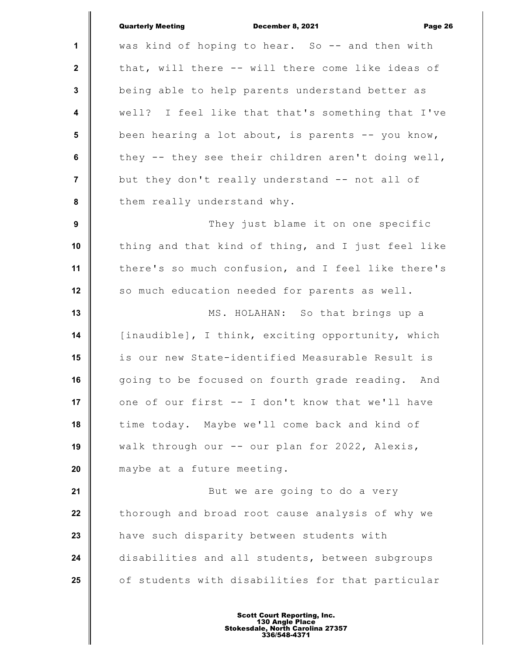|                  | <b>Quarterly Meeting</b><br>December 8, 2021<br>Page 26 |
|------------------|---------------------------------------------------------|
| 1                | was kind of hoping to hear. So -- and then with         |
| $\mathbf{2}$     | that, will there -- will there come like ideas of       |
| $\mathbf{3}$     | being able to help parents understand better as         |
| $\boldsymbol{4}$ | well? I feel like that that's something that I've       |
| 5                | been hearing a lot about, is parents -- you know,       |
| 6                | they -- they see their children aren't doing well,      |
| $\overline{7}$   | but they don't really understand -- not all of          |
| 8                | them really understand why.                             |
| 9                | They just blame it on one specific                      |
| 10               | thing and that kind of thing, and I just feel like      |
| 11               | there's so much confusion, and I feel like there's      |
| 12               | so much education needed for parents as well.           |
| 13               | MS. HOLAHAN: So that brings up a                        |
| 14               | [inaudible], I think, exciting opportunity, which       |
| 15               | is our new State-identified Measurable Result is        |
| 16               | going to be focused on fourth grade reading. And        |
| 17               | one of our first -- I don't know that we'll have        |
| 18               | time today. Maybe we'll come back and kind of           |
| 19               | walk through our -- our plan for 2022, Alexis,          |
| 20               | maybe at a future meeting.                              |
| 21               | But we are going to do a very                           |
| 22               | thorough and broad root cause analysis of why we        |
| 23               | have such disparity between students with               |
| 24               | disabilities and all students, between subgroups        |
| 25               | of students with disabilities for that particular       |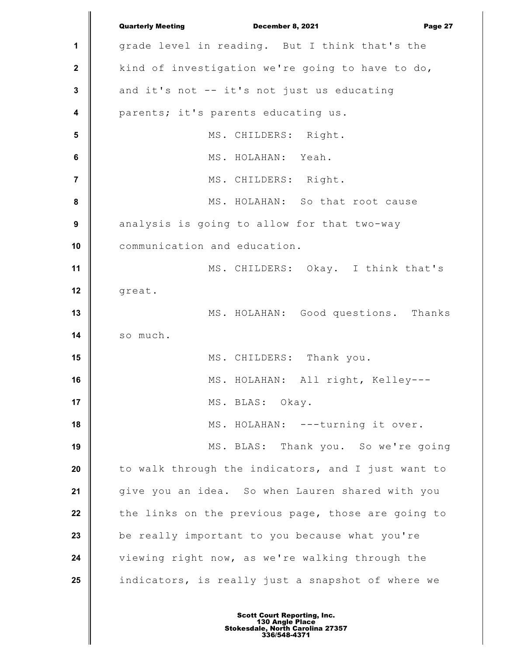|                         | <b>Quarterly Meeting</b><br>December 8, 2021<br>Page 27 |
|-------------------------|---------------------------------------------------------|
| 1                       | grade level in reading. But I think that's the          |
| $\mathbf{2}$            | kind of investigation we're going to have to do,        |
| $\mathbf 3$             | and it's not -- it's not just us educating              |
| $\overline{\mathbf{4}}$ | parents; it's parents educating us.                     |
| 5                       | MS. CHILDERS: Right.                                    |
| $6\phantom{1}6$         | MS. HOLAHAN: Yeah.                                      |
| 7                       | MS. CHILDERS: Right.                                    |
| 8                       | MS. HOLAHAN: So that root cause                         |
| $\boldsymbol{9}$        | analysis is going to allow for that two-way             |
| 10                      | communication and education.                            |
| 11                      | MS. CHILDERS: Okay. I think that's                      |
| 12                      | great.                                                  |
| 13                      | MS. HOLAHAN: Good questions. Thanks                     |
| 14                      | so much.                                                |
| 15                      | MS. CHILDERS: Thank you.                                |
| 16                      | MS. HOLAHAN: All right, Kelley---                       |
| 17                      | MS. BLAS: Okay.                                         |
| 18                      | MS. HOLAHAN: ---turning it over.                        |
| 19                      | MS. BLAS: Thank you. So we're going                     |
| 20                      | to walk through the indicators, and I just want to      |
| 21                      | give you an idea. So when Lauren shared with you        |
| 22                      | the links on the previous page, those are going to      |
| 23                      | be really important to you because what you're          |
| 24                      | viewing right now, as we're walking through the         |
| 25                      | indicators, is really just a snapshot of where we       |
|                         |                                                         |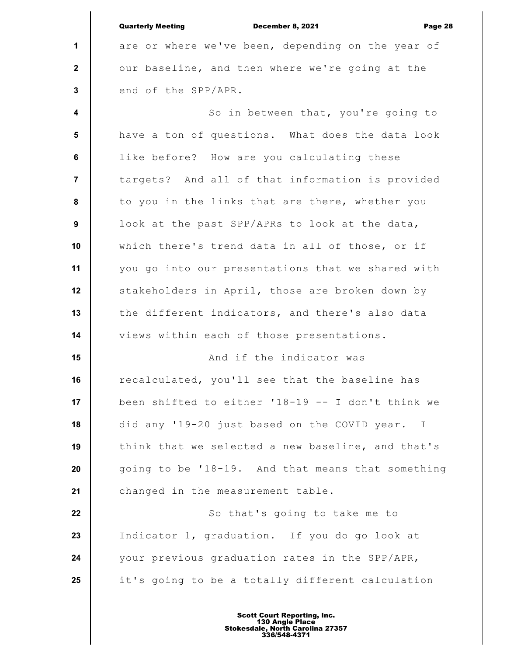|                         | <b>Quarterly Meeting</b><br>December 8, 2021<br>Page 28 |
|-------------------------|---------------------------------------------------------|
| $\mathbf 1$             | are or where we've been, depending on the year of       |
| $\mathbf{2}$            | our baseline, and then where we're going at the         |
| 3                       | end of the SPP/APR.                                     |
| $\overline{\mathbf{4}}$ | So in between that, you're going to                     |
| 5                       | have a ton of questions. What does the data look        |
| 6                       | like before? How are you calculating these              |
| $\overline{7}$          | targets? And all of that information is provided        |
| 8                       | to you in the links that are there, whether you         |
| 9                       | look at the past SPP/APRs to look at the data,          |
| 10                      | which there's trend data in all of those, or if         |
| 11                      | you go into our presentations that we shared with       |
| 12                      | stakeholders in April, those are broken down by         |
| 13                      | the different indicators, and there's also data         |
| 14                      | views within each of those presentations.               |
| 15                      | And if the indicator was                                |
| 16                      | recalculated, you'll see that the baseline has          |
| 17                      | been shifted to either '18-19 -- I don't think we       |
| 18                      | did any '19-20 just based on the COVID year. I          |
| 19                      | think that we selected a new baseline, and that's       |
| 20                      | going to be '18-19. And that means that something       |
| 21                      | changed in the measurement table.                       |
| 22                      | So that's going to take me to                           |
| 23                      | Indicator 1, graduation. If you do go look at           |
| 24                      | your previous graduation rates in the SPP/APR,          |
| 25                      | it's going to be a totally different calculation        |
|                         |                                                         |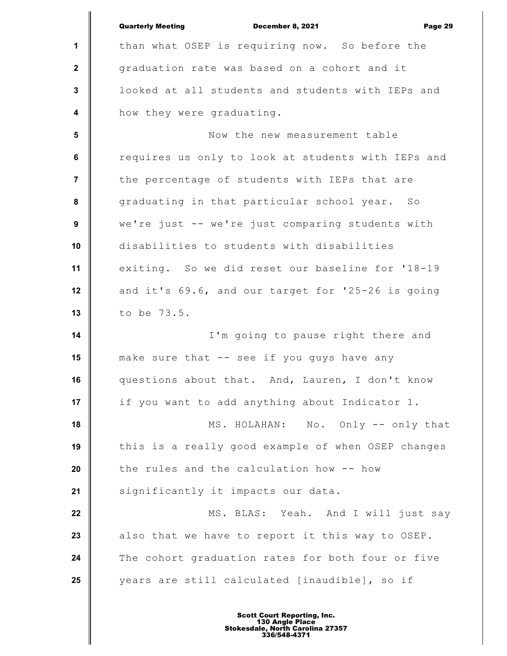|                         | <b>Quarterly Meeting</b><br>December 8, 2021<br>Page 29 |
|-------------------------|---------------------------------------------------------|
| 1                       | than what OSEP is requiring now. So before the          |
| $\mathbf 2$             | graduation rate was based on a cohort and it            |
| $\mathbf{3}$            | looked at all students and students with IEPs and       |
| $\overline{\mathbf{4}}$ | how they were graduating.                               |
| 5                       | Now the new measurement table                           |
| 6                       | requires us only to look at students with IEPs and      |
| $\overline{7}$          | the percentage of students with IEPs that are           |
| ${\bf 8}$               | graduating in that particular school year. So           |
| 9                       | we're just -- we're just comparing students with        |
| 10                      | disabilities to students with disabilities              |
| 11                      | exiting. So we did reset our baseline for '18-19        |
| 12                      | and it's 69.6, and our target for '25-26 is going       |
| 13                      | to be 73.5.                                             |
| 14                      | I'm going to pause right there and                      |
| 15                      | make sure that -- see if you guys have any              |
| 16                      | questions about that. And, Lauren, I don't know         |
| 17                      | if you want to add anything about Indicator 1.          |
| 18                      | MS. HOLAHAN: No. Only -- only that                      |
| 19                      | this is a really good example of when OSEP changes      |
| 20                      | the rules and the calculation how -- how                |
| 21                      | significantly it impacts our data.                      |
| 22                      | MS. BLAS: Yeah. And I will just say                     |
| 23                      | also that we have to report it this way to OSEP.        |
| 24                      | The cohort graduation rates for both four or five       |
| 25                      | years are still calculated [inaudible], so if           |
|                         |                                                         |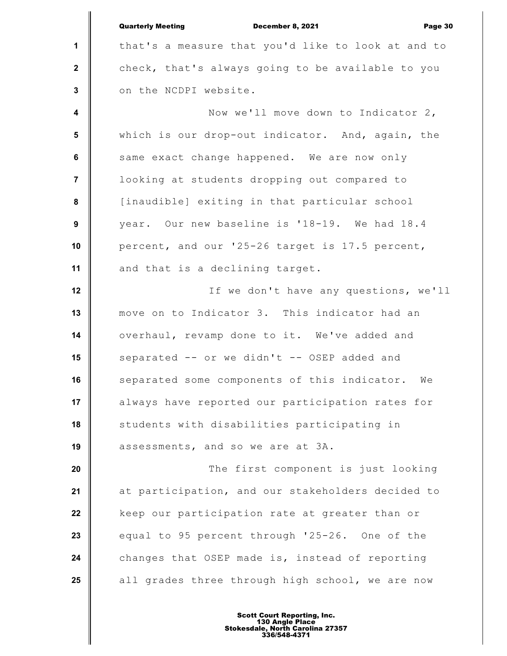**1 2 3 4 5 6 7 8 9 10 11 12 13 14 15 16 17 18 19 20 21 22 23 24 25** Quarterly Meeting December 8, 2021 Page 30 that's a measure that you'd like to look at and to check, that's always going to be available to you on the NCDPI website. Now we'll move down to Indicator 2, which is our drop-out indicator. And, again, the same exact change happened. We are now only looking at students dropping out compared to [inaudible] exiting in that particular school year. Our new baseline is '18-19. We had 18.4 percent, and our '25-26 target is 17.5 percent, and that is a declining target. If we don't have any questions, we'll move on to Indicator 3. This indicator had an overhaul, revamp done to it. We've added and separated -- or we didn't -- OSEP added and separated some components of this indicator. We always have reported our participation rates for students with disabilities participating in assessments, and so we are at 3A. The first component is just looking at participation, and our stakeholders decided to keep our participation rate at greater than or equal to 95 percent through '25-26. One of the changes that OSEP made is, instead of reporting all grades three through high school, we are now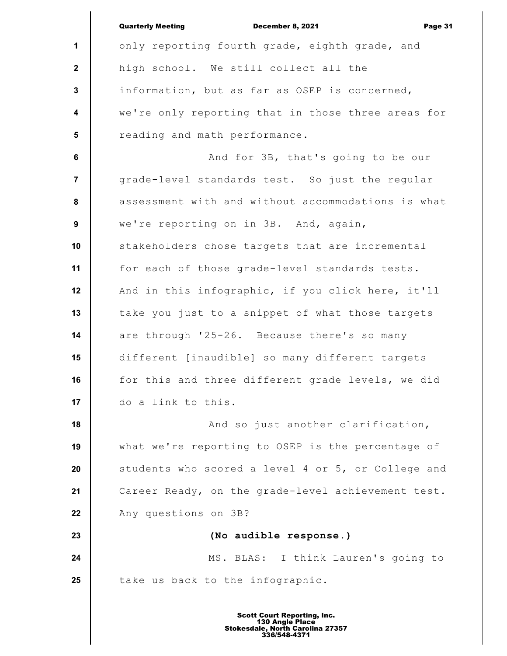|                         | <b>Quarterly Meeting</b><br>December 8, 2021<br>Page 31 |
|-------------------------|---------------------------------------------------------|
| 1                       | only reporting fourth grade, eighth grade, and          |
| $\mathbf{2}$            | high school. We still collect all the                   |
| $\mathbf{3}$            | information, but as far as OSEP is concerned,           |
| $\overline{\mathbf{4}}$ | we're only reporting that in those three areas for      |
| 5                       | reading and math performance.                           |
| 6                       | And for 3B, that's going to be our                      |
| $\overline{7}$          | grade-level standards test. So just the regular         |
| 8                       | assessment with and without accommodations is what      |
| $\boldsymbol{9}$        | we're reporting on in 3B. And, again,                   |
| 10                      | stakeholders chose targets that are incremental         |
| 11                      | for each of those grade-level standards tests.          |
| 12                      | And in this infographic, if you click here, it'll       |
| 13                      | take you just to a snippet of what those targets        |
| 14                      | are through '25-26. Because there's so many             |
| 15                      | different [inaudible] so many different targets         |
| 16                      | for this and three different grade levels, we did       |
| 17                      | do a link to this.                                      |
| 18                      | And so just another clarification,                      |
| 19                      | what we're reporting to OSEP is the percentage of       |
| 20                      | students who scored a level 4 or 5, or College and      |
| 21                      | Career Ready, on the grade-level achievement test.      |
| 22                      | Any questions on 3B?                                    |
| 23                      | (No audible response.)                                  |
| 24                      | MS. BLAS: I think Lauren's going to                     |
| 25                      | take us back to the infographic.                        |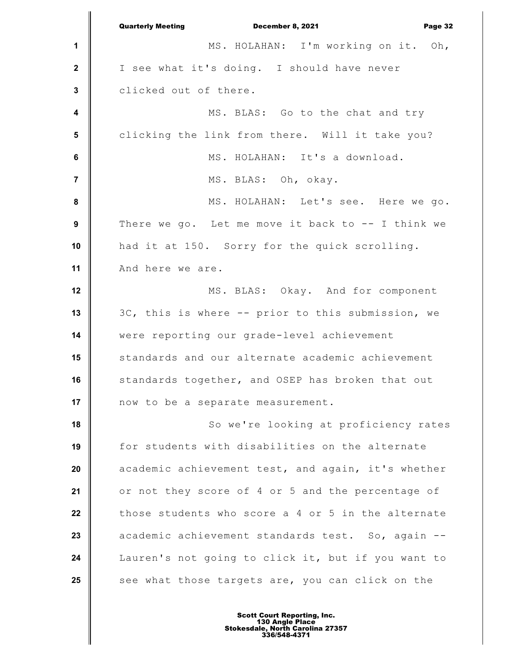|                         | <b>Quarterly Meeting</b><br>December 8, 2021<br>Page 32 |
|-------------------------|---------------------------------------------------------|
| 1                       | MS. HOLAHAN: I'm working on it. Oh,                     |
| $\mathbf{2}$            | I see what it's doing. I should have never              |
| $\mathbf 3$             | clicked out of there.                                   |
| $\overline{\mathbf{4}}$ | MS. BLAS: Go to the chat and try                        |
| 5                       | clicking the link from there. Will it take you?         |
| $6\phantom{1}$          | MS. HOLAHAN: It's a download.                           |
| $\overline{7}$          | MS. BLAS: Oh, okay.                                     |
| $\pmb{8}$               | MS. HOLAHAN: Let's see. Here we go.                     |
| $\boldsymbol{9}$        | There we go. Let me move it back to -- I think we       |
| 10                      | had it at 150. Sorry for the quick scrolling.           |
| 11                      | And here we are.                                        |
| 12                      | MS. BLAS: Okay. And for component                       |
| 13                      | 3C, this is where -- prior to this submission, we       |
| 14                      | were reporting our grade-level achievement              |
| 15                      | standards and our alternate academic achievement        |
| 16                      | standards together, and OSEP has broken that out        |
| 17                      | now to be a separate measurement.                       |
| 18                      | So we're looking at proficiency rates                   |
| 19                      | for students with disabilities on the alternate         |
| 20                      | academic achievement test, and again, it's whether      |
| 21                      | or not they score of 4 or 5 and the percentage of       |
| 22                      | those students who score a 4 or 5 in the alternate      |
| 23                      | academic achievement standards test. So, again --       |
| 24                      | Lauren's not going to click it, but if you want to      |
| 25                      | see what those targets are, you can click on the        |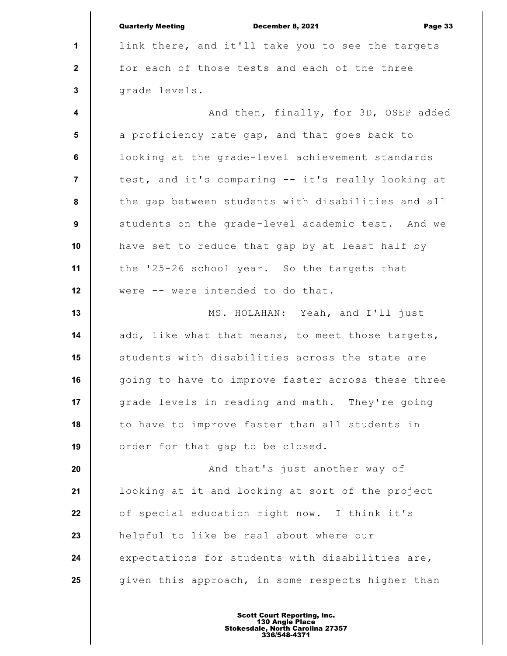|                         | <b>Quarterly Meeting</b><br>December 8, 2021<br>Page 33 |
|-------------------------|---------------------------------------------------------|
| 1                       | link there, and it'll take you to see the targets       |
| $\mathbf{2}$            | for each of those tests and each of the three           |
| $\mathbf 3$             | grade levels.                                           |
| $\overline{\mathbf{4}}$ | And then, finally, for 3D, OSEP added                   |
| $5\phantom{.0}$         | a proficiency rate gap, and that goes back to           |
| 6                       | looking at the grade-level achievement standards        |
| $\overline{7}$          | test, and it's comparing -- it's really looking at      |
| 8                       | the gap between students with disabilities and all      |
| 9                       | students on the grade-level academic test. And we       |
| 10                      | have set to reduce that gap by at least half by         |
| 11                      | the '25-26 school year. So the targets that             |
| 12                      | were -- were intended to do that.                       |
| 13                      | MS. HOLAHAN: Yeah, and I'll just                        |
| 14                      | add, like what that means, to meet those targets,       |
| 15                      | students with disabilities across the state are         |
| 16                      | going to have to improve faster across these three      |
| 17                      | grade levels in reading and math. They're going         |
| 18                      | to have to improve faster than all students in          |
| 19                      | order for that gap to be closed.                        |
| 20                      | And that's just another way of                          |
| 21                      | looking at it and looking at sort of the project        |
| 22                      | of special education right now. I think it's            |
| 23                      | helpful to like be real about where our                 |
| 24                      | expectations for students with disabilities are,        |
| 25                      | given this approach, in some respects higher than       |
|                         |                                                         |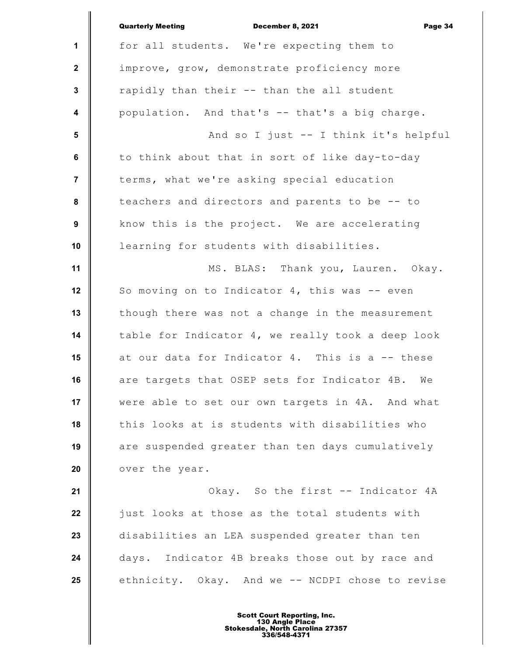|                  | <b>Quarterly Meeting</b><br>December 8, 2021<br>Page 34 |
|------------------|---------------------------------------------------------|
| $\mathbf{1}$     | for all students. We're expecting them to               |
| $\mathbf{2}$     | improve, grow, demonstrate proficiency more             |
| $\mathbf{3}$     | rapidly than their -- than the all student              |
| $\boldsymbol{4}$ | population. And that's -- that's a big charge.          |
| 5                | And so I just -- I think it's helpful                   |
| 6                | to think about that in sort of like day-to-day          |
| $\overline{7}$   | terms, what we're asking special education              |
| 8                | teachers and directors and parents to be -- to          |
| $\boldsymbol{9}$ | know this is the project. We are accelerating           |
| 10               | learning for students with disabilities.                |
| 11               | MS. BLAS: Thank you, Lauren. Okay.                      |
| 12               | So moving on to Indicator $4$ , this was $-$ even       |
| 13               | though there was not a change in the measurement        |
| 14               | table for Indicator 4, we really took a deep look       |
| 15               | at our data for Indicator 4. This is a -- these         |
| 16               | are targets that OSEP sets for Indicator 4B. We         |
| 17               | were able to set our own targets in 4A. And what        |
| 18               | this looks at is students with disabilities who         |
| 19               | are suspended greater than ten days cumulatively        |
| 20               | over the year.                                          |
| 21               | Okay. So the first -- Indicator 4A                      |
| 22               | just looks at those as the total students with          |
| 23               | disabilities an LEA suspended greater than ten          |
| 24               | days. Indicator 4B breaks those out by race and         |
| 25               | ethnicity. Okay. And we -- NCDPI chose to revise        |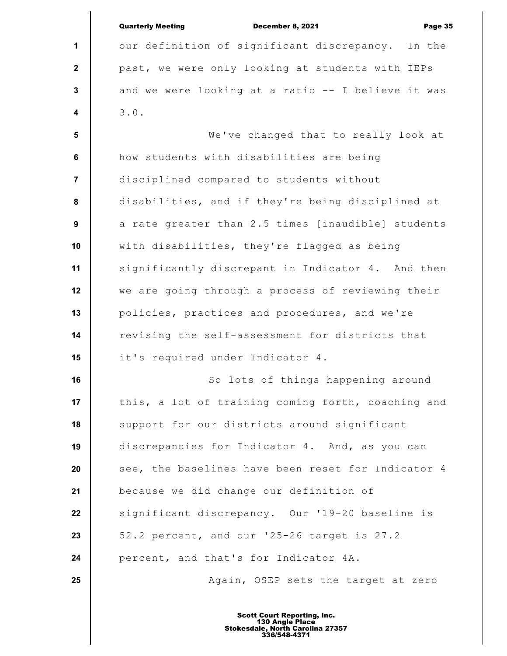|                         | <b>Quarterly Meeting</b><br>December 8, 2021<br>Page 35                                                   |
|-------------------------|-----------------------------------------------------------------------------------------------------------|
| 1                       | our definition of significant discrepancy. In the                                                         |
| $\mathbf{2}$            | past, we were only looking at students with IEPs                                                          |
| $\mathbf{3}$            | and we were looking at a ratio -- I believe it was                                                        |
| $\overline{\mathbf{4}}$ | 3.0.                                                                                                      |
| $5\phantom{.0}$         | We've changed that to really look at                                                                      |
| 6                       | how students with disabilities are being                                                                  |
| $\overline{7}$          | disciplined compared to students without                                                                  |
| 8                       | disabilities, and if they're being disciplined at                                                         |
| 9                       | a rate greater than 2.5 times [inaudible] students                                                        |
| 10                      | with disabilities, they're flagged as being                                                               |
| 11                      | significantly discrepant in Indicator 4. And then                                                         |
| 12                      | we are going through a process of reviewing their                                                         |
| 13                      | policies, practices and procedures, and we're                                                             |
| 14                      | revising the self-assessment for districts that                                                           |
| 15                      | it's required under Indicator 4.                                                                          |
| 16                      | So lots of things happening around                                                                        |
| 17                      | this, a lot of training coming forth, coaching and                                                        |
| 18                      | support for our districts around significant                                                              |
| 19                      | discrepancies for Indicator 4. And, as you can                                                            |
| 20                      | see, the baselines have been reset for Indicator 4                                                        |
| 21                      | because we did change our definition of                                                                   |
| 22                      | significant discrepancy. Our '19-20 baseline is                                                           |
| 23                      | 52.2 percent, and our '25-26 target is 27.2                                                               |
| 24                      | percent, and that's for Indicator 4A.                                                                     |
| 25                      | Again, OSEP sets the target at zero                                                                       |
|                         | <b>Scott Court Reporting, Inc.</b><br>130 Angle Place<br>Stokesdale, North Carolina 27357<br>336/548-4371 |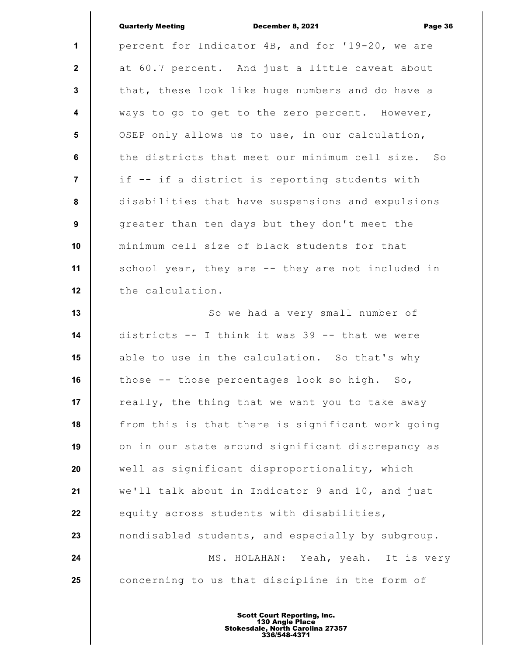|                  | <b>Quarterly Meeting</b><br>December 8, 2021<br>Page 36 |
|------------------|---------------------------------------------------------|
| $\mathbf{1}$     | percent for Indicator 4B, and for '19-20, we are        |
| $\mathbf{2}$     | at 60.7 percent. And just a little caveat about         |
| $\mathbf{3}$     | that, these look like huge numbers and do have a        |
| $\boldsymbol{4}$ | ways to go to get to the zero percent. However,         |
| 5                | OSEP only allows us to use, in our calculation,         |
| 6                | the districts that meet our minimum cell size. So       |
| $\overline{7}$   | if -- if a district is reporting students with          |
| $\pmb{8}$        | disabilities that have suspensions and expulsions       |
| 9                | greater than ten days but they don't meet the           |
| 10               | minimum cell size of black students for that            |
| 11               | school year, they are -- they are not included in       |
| 12               | the calculation.                                        |
| 13               | So we had a very small number of                        |
| 14               | districts -- I think it was 39 -- that we were          |
| 15               | able to use in the calculation. So that's why           |
| 16               | those -- those percentages look so high. So,            |
| 17               | really, the thing that we want you to take away         |
| 18               | from this is that there is significant work going       |
| 19               | on in our state around significant discrepancy as       |
| 20               | well as significant disproportionality, which           |
| 21               | we'll talk about in Indicator 9 and 10, and just        |
| 22               | equity across students with disabilities,               |
| 23               | nondisabled students, and especially by subgroup.       |
| 24               | MS. HOLAHAN: Yeah, yeah. It is very                     |
| 25               | concerning to us that discipline in the form of         |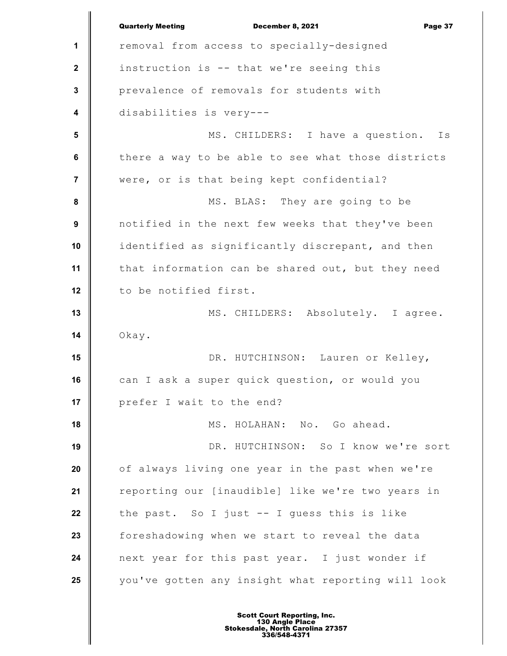**1 2 3 4 5 6 7 8 9 10 11 12 13 14 15 16 17 18 19 20 21 22 23 24 25** Quarterly Meeting December 8, 2021 Page 37 removal from access to specially-designed instruction is -- that we're seeing this prevalence of removals for students with disabilities is very--- MS. CHILDERS: I have a question. Is there a way to be able to see what those districts were, or is that being kept confidential? MS. BLAS: They are going to be notified in the next few weeks that they've been identified as significantly discrepant, and then that information can be shared out, but they need to be notified first. MS. CHILDERS: Absolutely. I agree. Okay. DR. HUTCHINSON: Lauren or Kelley, can I ask a super quick question, or would you prefer I wait to the end? MS. HOLAHAN: No. Go ahead. DR. HUTCHINSON: So I know we're sort of always living one year in the past when we're reporting our [inaudible] like we're two years in the past. So I just -- I guess this is like foreshadowing when we start to reveal the data next year for this past year. I just wonder if you've gotten any insight what reporting will look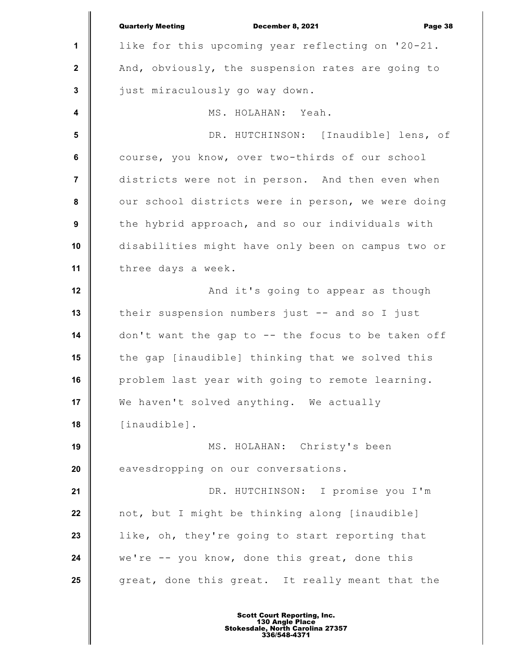|                         | <b>Quarterly Meeting</b><br>December 8, 2021<br>Page 38 |
|-------------------------|---------------------------------------------------------|
| $\mathbf 1$             | like for this upcoming year reflecting on '20-21.       |
| $\mathbf{2}$            | And, obviously, the suspension rates are going to       |
| $\mathbf{3}$            | just miraculously go way down.                          |
| $\overline{\mathbf{4}}$ | MS. HOLAHAN: Yeah.                                      |
| $5\phantom{.0}$         | DR. HUTCHINSON: [Inaudible] lens, of                    |
| 6                       | course, you know, over two-thirds of our school         |
| $\overline{7}$          | districts were not in person. And then even when        |
| 8                       | our school districts were in person, we were doing      |
| 9                       | the hybrid approach, and so our individuals with        |
| 10                      | disabilities might have only been on campus two or      |
| 11                      | three days a week.                                      |
| 12                      | And it's going to appear as though                      |
| 13                      | their suspension numbers just -- and so I just          |
| 14                      | don't want the gap to -- the focus to be taken off      |
| 15                      | the gap [inaudible] thinking that we solved this        |
| 16                      | problem last year with going to remote learning.        |
| 17                      | We haven't solved anything. We actually                 |
| 18                      | [inaudible].                                            |
| 19                      | MS. HOLAHAN: Christy's been                             |
| 20                      | eavesdropping on our conversations.                     |
| 21                      | DR. HUTCHINSON: I promise you I'm                       |
| 22                      | not, but I might be thinking along [inaudible]          |
| 23                      | like, oh, they're going to start reporting that         |
| 24                      | we're -- you know, done this great, done this           |
| 25                      | great, done this great. It really meant that the        |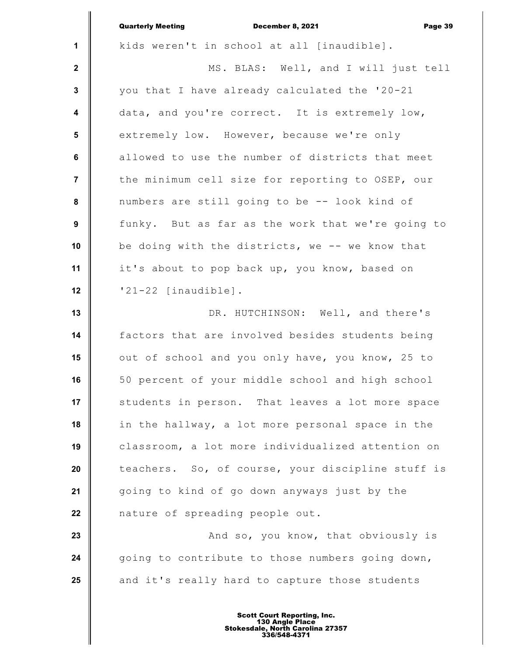|                         | <b>Quarterly Meeting</b><br>December 8, 2021<br>Page 39 |
|-------------------------|---------------------------------------------------------|
| $\mathbf 1$             | kids weren't in school at all [inaudible].              |
| $\mathbf{2}$            | MS. BLAS: Well, and I will just tell                    |
| $\mathbf{3}$            | you that I have already calculated the '20-21           |
| $\overline{\mathbf{4}}$ | data, and you're correct. It is extremely low,          |
| 5                       | extremely low. However, because we're only              |
| 6                       | allowed to use the number of districts that meet        |
| $\overline{7}$          | the minimum cell size for reporting to OSEP, our        |
| 8                       | numbers are still going to be -- look kind of           |
| 9                       | funky. But as far as the work that we're going to       |
| 10                      | be doing with the districts, we -- we know that         |
| 11                      | it's about to pop back up, you know, based on           |
| 12                      | '21-22 [inaudible].                                     |
| 13                      | DR. HUTCHINSON: Well, and there's                       |
| 14                      | factors that are involved besides students being        |
| 15                      | out of school and you only have, you know, 25 to        |
| 16                      | 50 percent of your middle school and high school        |
| 17                      | students in person. That leaves a lot more space        |
| 18                      | in the hallway, a lot more personal space in the        |
| 19                      | classroom, a lot more individualized attention on       |
| 20                      | teachers. So, of course, your discipline stuff is       |
| 21                      | going to kind of go down anyways just by the            |
| 22                      | nature of spreading people out.                         |
| 23                      | And so, you know, that obviously is                     |
| 24                      | going to contribute to those numbers going down,        |
| 25                      | and it's really hard to capture those students          |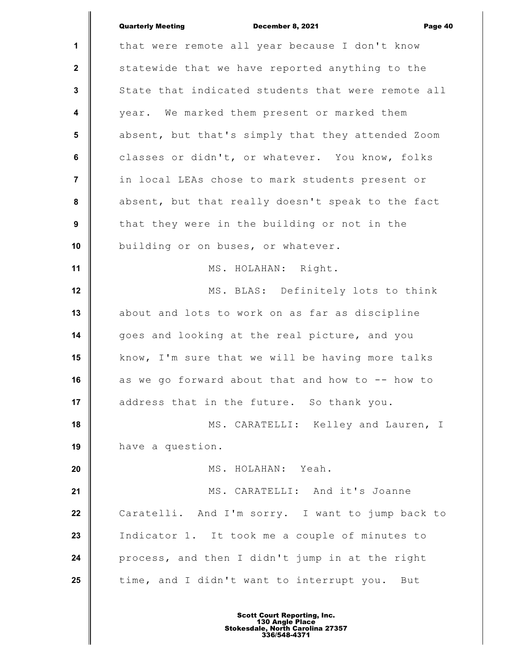|                         | <b>Quarterly Meeting</b><br>December 8, 2021<br>Page 40 |
|-------------------------|---------------------------------------------------------|
| 1                       | that were remote all year because I don't know          |
| $\mathbf{2}$            | statewide that we have reported anything to the         |
| 3                       | State that indicated students that were remote all      |
| $\overline{\mathbf{4}}$ | year. We marked them present or marked them             |
| 5                       | absent, but that's simply that they attended Zoom       |
| $\bf 6$                 | classes or didn't, or whatever. You know, folks         |
| $\overline{7}$          | in local LEAs chose to mark students present or         |
| 8                       | absent, but that really doesn't speak to the fact       |
| 9                       | that they were in the building or not in the            |
| 10                      | building or on buses, or whatever.                      |
| 11                      | MS. HOLAHAN: Right.                                     |
| 12                      | MS. BLAS: Definitely lots to think                      |
| 13                      | about and lots to work on as far as discipline          |
| 14                      | goes and looking at the real picture, and you           |
| 15                      | know, I'm sure that we will be having more talks        |
| 16                      | as we go forward about that and how to -- how to        |
| 17                      | address that in the future. So thank you.               |
| 18                      | MS. CARATELLI: Kelley and Lauren, I                     |
| 19                      | have a question.                                        |
| 20                      | MS. HOLAHAN: Yeah.                                      |
| 21                      | MS. CARATELLI: And it's Joanne                          |
| 22                      | Caratelli. And I'm sorry. I want to jump back to        |
| 23                      | Indicator 1. It took me a couple of minutes to          |
| 24                      | process, and then I didn't jump in at the right         |
| 25                      | time, and I didn't want to interrupt you. But           |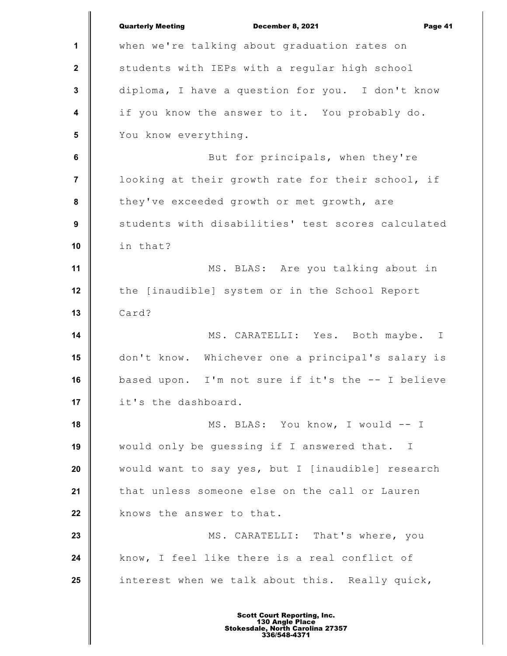|                         | <b>Quarterly Meeting</b><br>December 8, 2021<br>Page 41 |
|-------------------------|---------------------------------------------------------|
| 1                       | when we're talking about graduation rates on            |
| $\boldsymbol{2}$        | students with IEPs with a regular high school           |
| $\mathbf 3$             | diploma, I have a question for you. I don't know        |
| $\overline{\mathbf{4}}$ | if you know the answer to it. You probably do.          |
| $5\phantom{1}$          | You know everything.                                    |
| $\bf 6$                 | But for principals, when they're                        |
| $\overline{7}$          | looking at their growth rate for their school, if       |
| 8                       | they've exceeded growth or met growth, are              |
| $\boldsymbol{9}$        | students with disabilities' test scores calculated      |
| 10                      | in that?                                                |
| 11                      | MS. BLAS: Are you talking about in                      |
| 12                      | the [inaudible] system or in the School Report          |
| 13                      | Card?                                                   |
| 14                      | MS. CARATELLI: Yes. Both maybe. I                       |
| 15                      | don't know. Whichever one a principal's salary is       |
| 16                      | based upon. I'm not sure if it's the -- I believe       |
| 17                      | it's the dashboard.                                     |
| 18                      | MS. BLAS: You know, I would -- I                        |
| 19                      | would only be quessing if I answered that. I            |
| 20                      | would want to say yes, but I [inaudible] research       |
| 21                      | that unless someone else on the call or Lauren          |
| 22                      | knows the answer to that.                               |
| 23                      | MS. CARATELLI: That's where, you                        |
| 24                      | know, I feel like there is a real conflict of           |
| 25                      | interest when we talk about this. Really quick,         |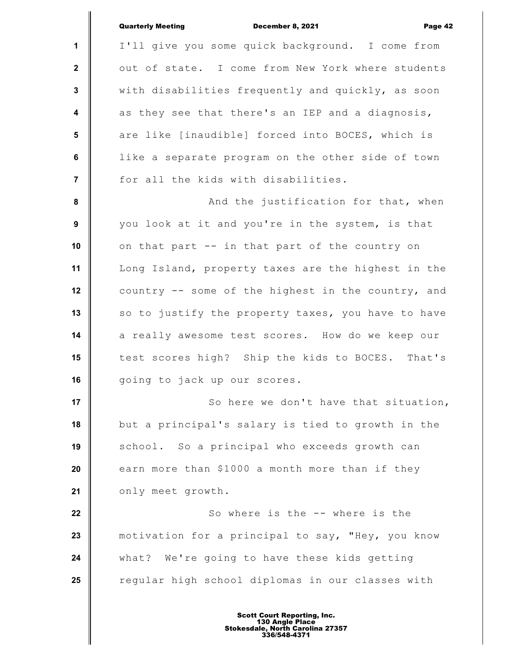|                         | <b>Quarterly Meeting</b><br>December 8, 2021<br>Page 42 |
|-------------------------|---------------------------------------------------------|
| 1                       | I'll give you some quick background. I come from        |
| $\mathbf{2}$            | out of state. I come from New York where students       |
| $\mathbf{3}$            | with disabilities frequently and quickly, as soon       |
| $\overline{\mathbf{4}}$ | as they see that there's an IEP and a diagnosis,        |
| $5\phantom{.0}$         | are like [inaudible] forced into BOCES, which is        |
| $6\phantom{a}$          | like a separate program on the other side of town       |
| $\overline{7}$          | for all the kids with disabilities.                     |
| $\pmb{8}$               | And the justification for that, when                    |
| $\boldsymbol{9}$        | you look at it and you're in the system, is that        |
| 10                      | on that part -- in that part of the country on          |
| 11                      | Long Island, property taxes are the highest in the      |
| 12                      | country -- some of the highest in the country, and      |
| 13                      | so to justify the property taxes, you have to have      |
| 14                      | a really awesome test scores. How do we keep our        |
| 15                      | test scores high? Ship the kids to BOCES. That's        |
| 16                      | going to jack up our scores.                            |
| 17                      | So here we don't have that situation,                   |
| 18                      | but a principal's salary is tied to growth in the       |
| 19                      | school. So a principal who exceeds growth can           |
| 20                      | earn more than \$1000 a month more than if they         |
| 21                      | only meet growth.                                       |
| 22                      | So where is the -- where is the                         |
| 23                      | motivation for a principal to say, "Hey, you know       |
| 24                      | what? We're going to have these kids getting            |
| 25                      | regular high school diplomas in our classes with        |
|                         |                                                         |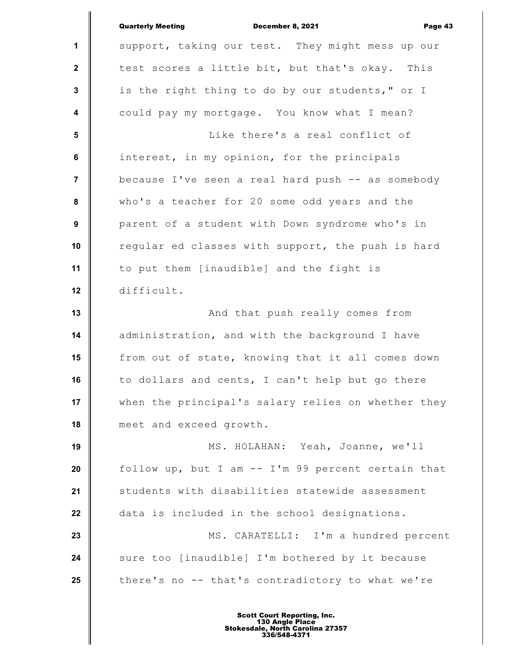|                         | <b>Quarterly Meeting</b><br>December 8, 2021<br>Page 43 |
|-------------------------|---------------------------------------------------------|
| 1                       | support, taking our test. They might mess up our        |
| $\boldsymbol{2}$        | test scores a little bit, but that's okay. This         |
| 3                       | is the right thing to do by our students," or I         |
| $\overline{\mathbf{4}}$ | could pay my mortgage. You know what I mean?            |
| $5\phantom{.0}$         | Like there's a real conflict of                         |
| $\bf 6$                 | interest, in my opinion, for the principals             |
| $\overline{7}$          | because I've seen a real hard push -- as somebody       |
| 8                       | who's a teacher for 20 some odd years and the           |
| 9                       | parent of a student with Down syndrome who's in         |
| 10                      | regular ed classes with support, the push is hard       |
| 11                      | to put them [inaudible] and the fight is                |
| 12                      | difficult.                                              |
| 13                      | And that push really comes from                         |
| 14                      | administration, and with the background I have          |
| 15                      | from out of state, knowing that it all comes down       |
| 16                      | to dollars and cents, I can't help but go there         |
| 17                      | when the principal's salary relies on whether they      |
| 18                      | meet and exceed growth.                                 |
| 19                      | MS. HOLAHAN: Yeah, Joanne, we'll                        |
| 20                      | follow up, but I am -- I'm 99 percent certain that      |
| 21                      | students with disabilities statewide assessment         |
| 22                      | data is included in the school designations.            |
| 23                      | MS. CARATELLI: I'm a hundred percent                    |
| 24                      | sure too [inaudible] I'm bothered by it because         |
| 25                      | there's no -- that's contradictory to what we're        |
|                         |                                                         |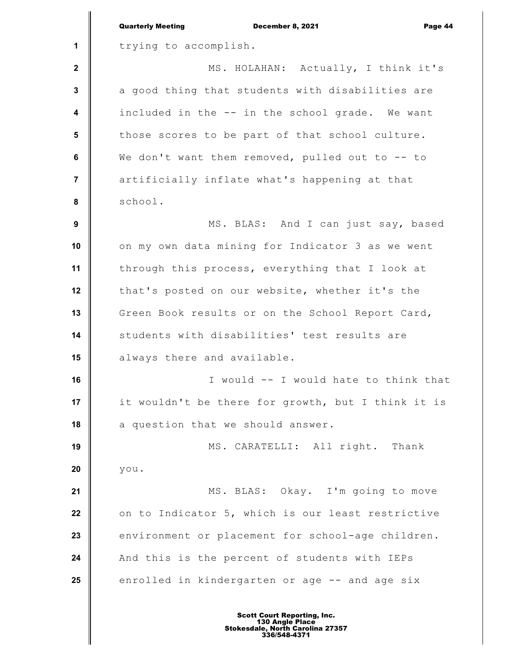|                         | <b>Quarterly Meeting</b><br>December 8, 2021<br>Page 44 |
|-------------------------|---------------------------------------------------------|
| 1                       | trying to accomplish.                                   |
| $\mathbf{2}$            | MS. HOLAHAN: Actually, I think it's                     |
| $\mathbf 3$             | a good thing that students with disabilities are        |
| $\overline{\mathbf{4}}$ | included in the -- in the school grade. We want         |
| 5                       | those scores to be part of that school culture.         |
| 6                       | We don't want them removed, pulled out to -- to         |
| $\overline{7}$          | artificially inflate what's happening at that           |
| 8                       | school.                                                 |
| $\boldsymbol{9}$        | MS. BLAS: And I can just say, based                     |
| 10                      | on my own data mining for Indicator 3 as we went        |
| 11                      | through this process, everything that I look at         |
| 12                      | that's posted on our website, whether it's the          |
| 13                      | Green Book results or on the School Report Card,        |
| 14                      | students with disabilities' test results are            |
| 15                      | always there and available.                             |
| 16                      | I would -- I would hate to think that                   |
| 17                      | it wouldn't be there for growth, but I think it is      |
| 18                      | a question that we should answer.                       |
| 19                      | MS. CARATELLI: All right. Thank                         |
| 20                      | you.                                                    |
| 21                      | MS. BLAS: Okay. I'm going to move                       |
| 22                      | on to Indicator 5, which is our least restrictive       |
| 23                      | environment or placement for school-age children.       |
| 24                      | And this is the percent of students with IEPs           |
| 25                      | enrolled in kindergarten or age -- and age six          |
|                         |                                                         |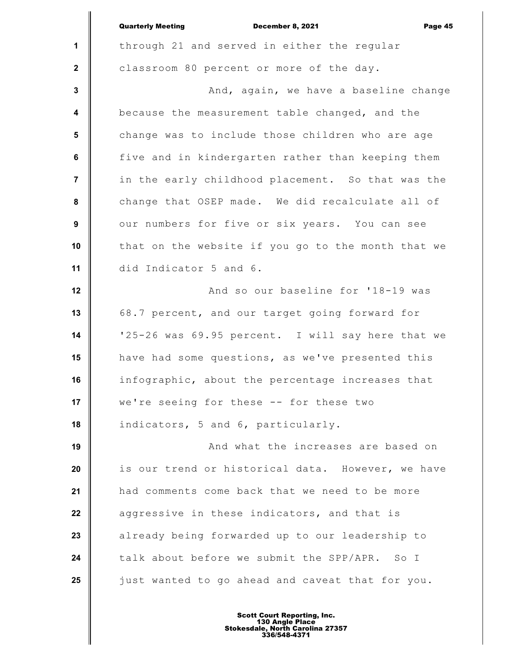|                  | <b>Quarterly Meeting</b><br>December 8, 2021<br>Page 45 |
|------------------|---------------------------------------------------------|
| 1                | through 21 and served in either the regular             |
| $\mathbf{2}$     | classroom 80 percent or more of the day.                |
| $\mathbf{3}$     | And, again, we have a baseline change                   |
| 4                | because the measurement table changed, and the          |
| $5\phantom{.0}$  | change was to include those children who are age        |
| $\bf 6$          | five and in kindergarten rather than keeping them       |
| $\overline{7}$   | in the early childhood placement. So that was the       |
| 8                | change that OSEP made. We did recalculate all of        |
| $\boldsymbol{9}$ | our numbers for five or six years. You can see          |
| 10               | that on the website if you go to the month that we      |
| 11               | did Indicator 5 and 6.                                  |
| 12               | And so our baseline for '18-19 was                      |
| 13               | 68.7 percent, and our target going forward for          |
| 14               | '25-26 was 69.95 percent. I will say here that we       |
| 15               | have had some questions, as we've presented this        |
| 16               | infographic, about the percentage increases that        |
| 17               | we're seeing for these -- for these two                 |
| 18               | indicators, 5 and 6, particularly.                      |
| 19               | And what the increases are based on                     |
| 20               | is our trend or historical data. However, we have       |
| 21               | had comments come back that we need to be more          |
| 22               | aggressive in these indicators, and that is             |
| 23               | already being forwarded up to our leadership to         |
| 24               | talk about before we submit the SPP/APR. So I           |
| 25               | just wanted to go ahead and caveat that for you.        |
|                  |                                                         |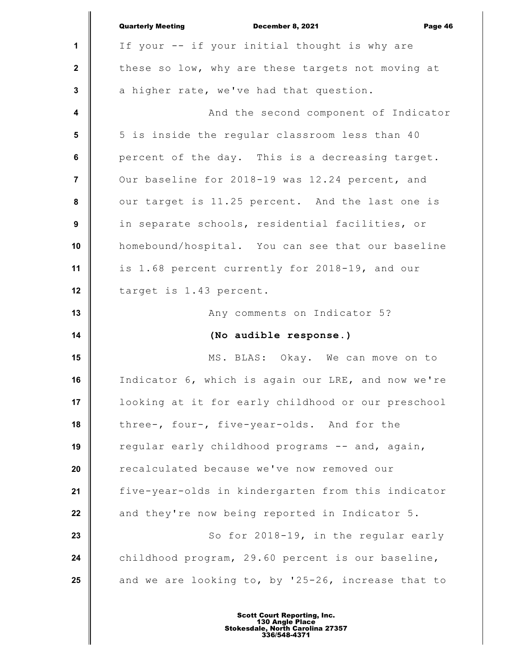|                         | <b>Quarterly Meeting</b><br>December 8, 2021<br>Page 46 |
|-------------------------|---------------------------------------------------------|
| 1                       | If your -- if your initial thought is why are           |
| $\mathbf{2}$            | these so low, why are these targets not moving at       |
| $\mathbf{3}$            | a higher rate, we've had that question.                 |
| $\overline{\mathbf{4}}$ | And the second component of Indicator                   |
| 5                       | 5 is inside the regular classroom less than 40          |
| 6                       | percent of the day. This is a decreasing target.        |
| $\overline{7}$          | Our baseline for 2018-19 was 12.24 percent, and         |
| 8                       | our target is 11.25 percent. And the last one is        |
| $\boldsymbol{9}$        | in separate schools, residential facilities, or         |
| 10                      | homebound/hospital. You can see that our baseline       |
| 11                      | is 1.68 percent currently for 2018-19, and our          |
| 12                      | target is 1.43 percent.                                 |
| 13                      | Any comments on Indicator 5?                            |
| 14                      | (No audible response.)                                  |
| 15                      | MS. BLAS: Okay. We can move on to                       |
| 16                      | Indicator 6, which is again our LRE, and now we're      |
| 17                      | looking at it for early childhood or our preschool      |
| 18                      | three-, four-, five-year-olds. And for the              |
| 19                      | regular early childhood programs -- and, again,         |
| 20                      | recalculated because we've now removed our              |
| 21                      | five-year-olds in kindergarten from this indicator      |
|                         |                                                         |
| 22                      | and they're now being reported in Indicator 5.          |
| 23                      | So for 2018-19, in the regular early                    |
| 24                      | childhood program, 29.60 percent is our baseline,       |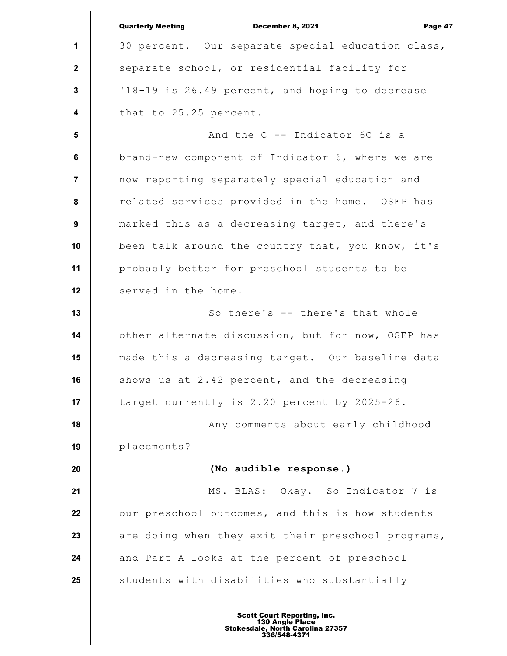|                         | <b>Quarterly Meeting</b><br><b>December 8, 2021</b><br>Page 47 |
|-------------------------|----------------------------------------------------------------|
| 1                       | 30 percent. Our separate special education class,              |
| $\mathbf{2}$            | separate school, or residential facility for                   |
| $\mathbf{3}$            | '18-19 is 26.49 percent, and hoping to decrease                |
| $\overline{\mathbf{4}}$ | that to 25.25 percent.                                         |
| 5                       | And the C -- Indicator 6C is a                                 |
| 6                       | brand-new component of Indicator 6, where we are               |
| $\overline{7}$          | now reporting separately special education and                 |
| 8                       | related services provided in the home. OSEP has                |
| 9                       | marked this as a decreasing target, and there's                |
| 10                      | been talk around the country that, you know, it's              |
| 11                      | probably better for preschool students to be                   |
| 12                      | served in the home.                                            |
| 13                      | So there's -- there's that whole                               |
| 14                      | other alternate discussion, but for now, OSEP has              |
| 15                      | made this a decreasing target. Our baseline data               |
| 16                      | shows us at 2.42 percent, and the decreasing                   |
| 17                      | target currently is 2.20 percent by 2025-26.                   |
| 18                      | Any comments about early childhood                             |
| 19                      | placements?                                                    |
| 20                      | (No audible response.)                                         |
| 21                      | MS. BLAS: Okay. So Indicator 7 is                              |
| 22                      | our preschool outcomes, and this is how students               |
| 23                      | are doing when they exit their preschool programs,             |
| 24                      | and Part A looks at the percent of preschool                   |
| 25                      | students with disabilities who substantially                   |
|                         |                                                                |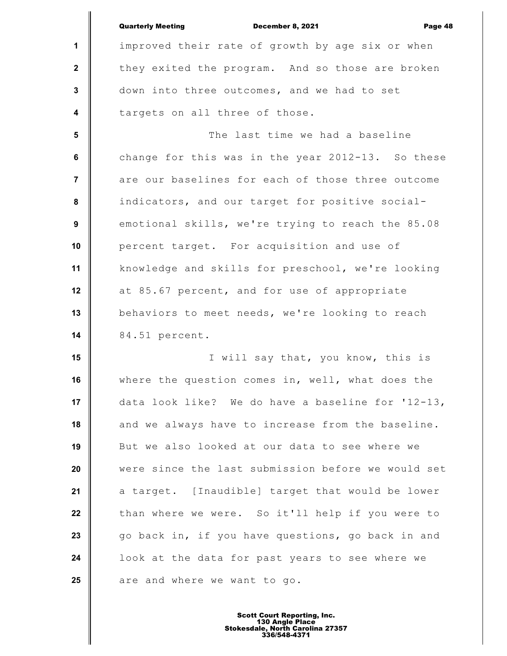|                  | <b>Quarterly Meeting</b><br><b>December 8, 2021</b><br>Page 48 |
|------------------|----------------------------------------------------------------|
| $\mathbf{1}$     | improved their rate of growth by age six or when               |
| $\mathbf{2}$     | they exited the program. And so those are broken               |
| $\mathbf{3}$     | down into three outcomes, and we had to set                    |
| $\boldsymbol{4}$ | targets on all three of those.                                 |
| 5                | The last time we had a baseline                                |
| 6                | change for this was in the year $2012-13$ . So these           |
| $\overline{7}$   | are our baselines for each of those three outcome              |
| 8                | indicators, and our target for positive social-                |
| 9                | emotional skills, we're trying to reach the 85.08              |
| 10               | percent target. For acquisition and use of                     |
| 11               | knowledge and skills for preschool, we're looking              |
| 12               | at 85.67 percent, and for use of appropriate                   |
| 13               | behaviors to meet needs, we're looking to reach                |
| 14               | 84.51 percent.                                                 |
| 15               | I will say that, you know, this is                             |
| 16               | where the question comes in, well, what does the               |
| 17               | data look like? We do have a baseline for '12-13,              |
| 18               | and we always have to increase from the baseline.              |
| 19               | But we also looked at our data to see where we                 |
| 20               | were since the last submission before we would set             |
| 21               | a target. [Inaudible] target that would be lower               |
| 22               | than where we were. So it'll help if you were to               |
| 23               | go back in, if you have questions, go back in and              |
| 24               | look at the data for past years to see where we                |
| 25               | are and where we want to go.                                   |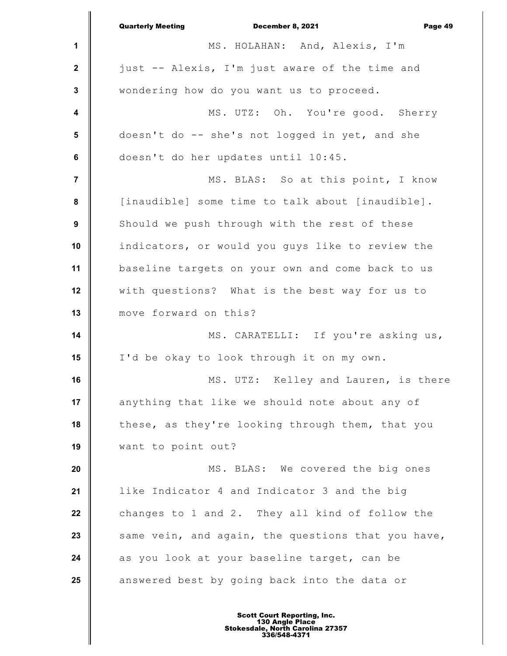|                  | December 8, 2021<br><b>Quarterly Meeting</b><br>Page 49 |
|------------------|---------------------------------------------------------|
| 1                | MS. HOLAHAN: And, Alexis, I'm                           |
| $\mathbf{2}$     | just -- Alexis, I'm just aware of the time and          |
| $\mathbf 3$      | wondering how do you want us to proceed.                |
| 4                | MS. UTZ: Oh. You're good. Sherry                        |
| $5\phantom{1}$   | doesn't do -- she's not logged in yet, and she          |
| 6                | doesn't do her updates until 10:45.                     |
| $\overline{7}$   | MS. BLAS: So at this point, I know                      |
| 8                | [inaudible] some time to talk about [inaudible].        |
| $\boldsymbol{9}$ | Should we push through with the rest of these           |
| 10               | indicators, or would you guys like to review the        |
| 11               | baseline targets on your own and come back to us        |
| 12               | with questions? What is the best way for us to          |
| 13               | move forward on this?                                   |
| 14               | MS. CARATELLI: If you're asking us,                     |
| 15               | I'd be okay to look through it on my own.               |
| 16               | MS. UTZ: Kelley and Lauren, is there                    |
| 17               | anything that like we should note about any of          |
| 18               | these, as they're looking through them, that you        |
| 19               | want to point out?                                      |
| 20               | MS. BLAS: We covered the big ones                       |
| 21               | like Indicator 4 and Indicator 3 and the big            |
| 22               | changes to 1 and 2. They all kind of follow the         |
| 23               | same vein, and again, the questions that you have,      |
| 24               | as you look at your baseline target, can be             |
| 25               | answered best by going back into the data or            |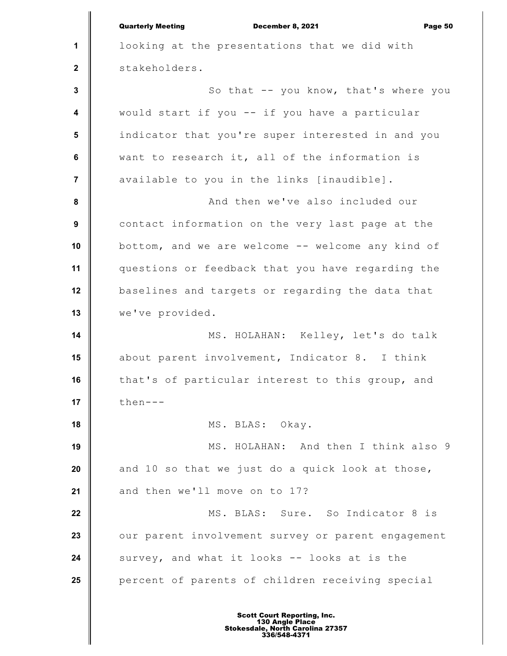**1 2 3 4 5 6 7 8 9 10 11 12 13 14 15 16 17 18 19 20 21 22 23 24 25** Quarterly Meeting December 8, 2021 Page 50 looking at the presentations that we did with stakeholders. So that -- you know, that's where you would start if you -- if you have a particular indicator that you're super interested in and you want to research it, all of the information is available to you in the links [inaudible]. And then we've also included our contact information on the very last page at the bottom, and we are welcome -- welcome any kind of questions or feedback that you have regarding the baselines and targets or regarding the data that we've provided. MS. HOLAHAN: Kelley, let's do talk about parent involvement, Indicator 8. I think that's of particular interest to this group, and then--- MS. BLAS: Okay. MS. HOLAHAN: And then I think also 9 and 10 so that we just do a quick look at those, and then we'll move on to 17? MS. BLAS: Sure. So Indicator 8 is our parent involvement survey or parent engagement survey, and what it looks -- looks at is the percent of parents of children receiving special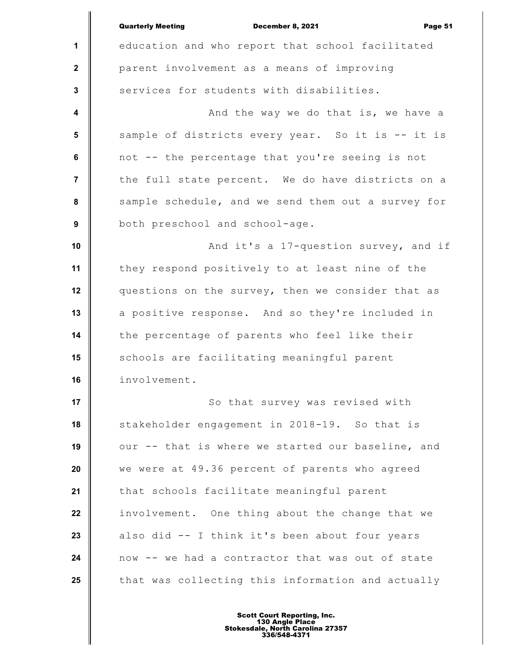|                  | <b>Quarterly Meeting</b><br>December 8, 2021<br>Page 51 |
|------------------|---------------------------------------------------------|
| 1                | education and who report that school facilitated        |
| $\mathbf{2}$     | parent involvement as a means of improving              |
| $\mathbf{3}$     | services for students with disabilities.                |
| $\boldsymbol{4}$ | And the way we do that is, we have a                    |
| 5                | sample of districts every year. So it is -- it is       |
| 6                | not -- the percentage that you're seeing is not         |
| $\overline{7}$   | the full state percent. We do have districts on a       |
| 8                | sample schedule, and we send them out a survey for      |
| $\boldsymbol{9}$ | both preschool and school-age.                          |
| 10               | And it's a 17-question survey, and if                   |
| 11               | they respond positively to at least nine of the         |
| 12               | questions on the survey, then we consider that as       |
| 13               | a positive response. And so they're included in         |
| 14               | the percentage of parents who feel like their           |
| 15               | schools are facilitating meaningful parent              |
| 16               | involvement.                                            |
| 17               | So that survey was revised with                         |
| 18               | stakeholder engagement in 2018-19. So that is           |
| 19               | our -- that is where we started our baseline, and       |
| 20               | we were at 49.36 percent of parents who agreed          |
| 21               | that schools facilitate meaningful parent               |
| 22               | involvement. One thing about the change that we         |
| 23               | also did -- I think it's been about four years          |
| 24               | now -- we had a contractor that was out of state        |
| 25               | that was collecting this information and actually       |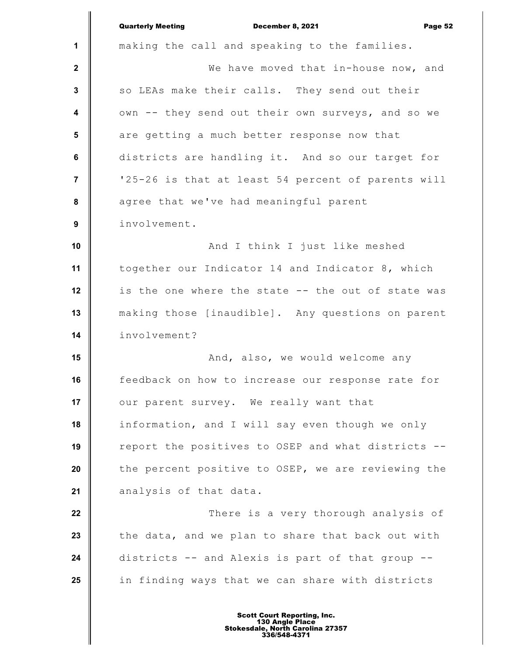|                         | <b>Quarterly Meeting</b><br>December 8, 2021<br>Page 52 |
|-------------------------|---------------------------------------------------------|
| $\mathbf 1$             | making the call and speaking to the families.           |
| $\mathbf{2}$            | We have moved that in-house now, and                    |
| $\mathbf{3}$            | so LEAs make their calls. They send out their           |
| $\overline{\mathbf{4}}$ | own -- they send out their own surveys, and so we       |
| 5                       | are getting a much better response now that             |
| 6                       | districts are handling it. And so our target for        |
| $\overline{7}$          | '25-26 is that at least 54 percent of parents will      |
| 8                       | agree that we've had meaningful parent                  |
| 9                       | involvement.                                            |
| 10                      | And I think I just like meshed                          |
| 11                      | together our Indicator 14 and Indicator 8, which        |
| 12                      | is the one where the state -- the out of state was      |
| 13                      | making those [inaudible]. Any questions on parent       |
| 14                      | involvement?                                            |
| 15                      | And, also, we would welcome any                         |
| 16                      | feedback on how to increase our response rate for       |
| 17                      | our parent survey. We really want that                  |
| 18                      | information, and I will say even though we only         |
| 19                      | report the positives to OSEP and what districts --      |
| 20                      | the percent positive to OSEP, we are reviewing the      |
| 21                      | analysis of that data.                                  |
| 22                      | There is a very thorough analysis of                    |
| 23                      | the data, and we plan to share that back out with       |
| 24                      | districts -- and Alexis is part of that group --        |
| 25                      | in finding ways that we can share with districts        |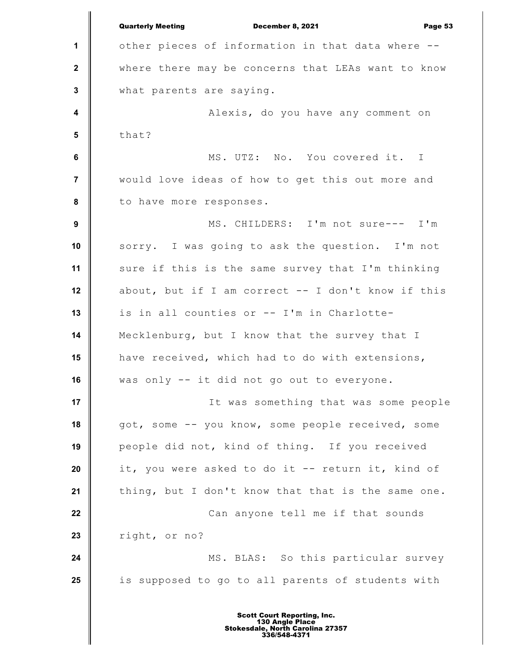**1 2 3 4 5 6 7 8 9 10 11 12 13 14 15 16 17 18 19 20 21 22 23 24 25** Quarterly Meeting December 8, 2021 Page 53 other pieces of information in that data where - where there may be concerns that LEAs want to know what parents are saying. Alexis, do you have any comment on that? MS. UTZ: No. You covered it. I would love ideas of how to get this out more and to have more responses. MS. CHILDERS: I'm not sure--- I'm sorry. I was going to ask the question. I'm not sure if this is the same survey that I'm thinking about, but if I am correct  $--$  I don't know if this is in all counties or -- I'm in Charlotte-Mecklenburg, but I know that the survey that I have received, which had to do with extensions, was only -- it did not go out to everyone. It was something that was some people got, some -- you know, some people received, some people did not, kind of thing. If you received it, you were asked to do it -- return it, kind of thing, but I don't know that that is the same one. Can anyone tell me if that sounds right, or no? MS. BLAS: So this particular survey is supposed to go to all parents of students with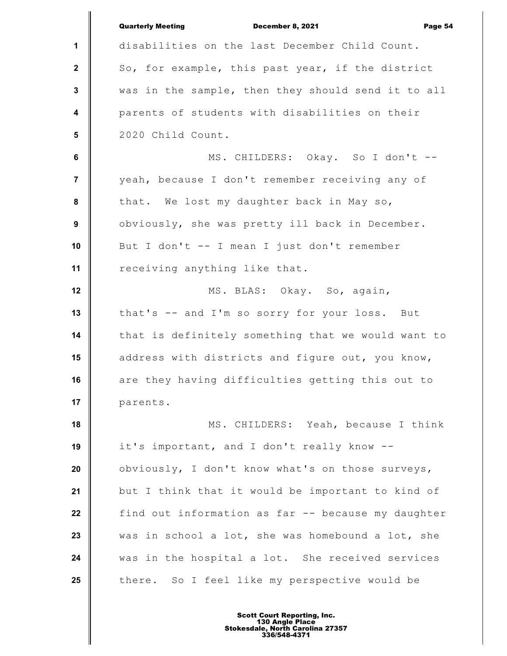|                  | <b>Quarterly Meeting</b><br><b>December 8, 2021</b><br>Page 54 |
|------------------|----------------------------------------------------------------|
| 1                | disabilities on the last December Child Count.                 |
| $\mathbf{2}$     | So, for example, this past year, if the district               |
| $\mathbf 3$      | was in the sample, then they should send it to all             |
| $\boldsymbol{4}$ | parents of students with disabilities on their                 |
| $5\phantom{.0}$  | 2020 Child Count.                                              |
| 6                | MS. CHILDERS: Okay. So I don't --                              |
| $\overline{7}$   | yeah, because I don't remember receiving any of                |
| 8                | that. We lost my daughter back in May so,                      |
| 9                | obviously, she was pretty ill back in December.                |
| 10               | But I don't -- I mean I just don't remember                    |
| 11               | receiving anything like that.                                  |
| 12               | MS. BLAS: Okay. So, again,                                     |
| 13               | that's -- and I'm so sorry for your loss. But                  |
| 14               | that is definitely something that we would want to             |
| 15               | address with districts and figure out, you know,               |
| 16               | are they having difficulties getting this out to               |
| 17               | parents.                                                       |
| 18               | MS. CHILDERS: Yeah, because I think                            |
| 19               | it's important, and I don't really know --                     |
| 20               | obviously, I don't know what's on those surveys,               |
| 21               | but I think that it would be important to kind of              |
| 22               | find out information as far -- because my daughter             |
| 23               | was in school a lot, she was homebound a lot, she              |
| 24               | was in the hospital a lot. She received services               |
| 25               | there. So I feel like my perspective would be                  |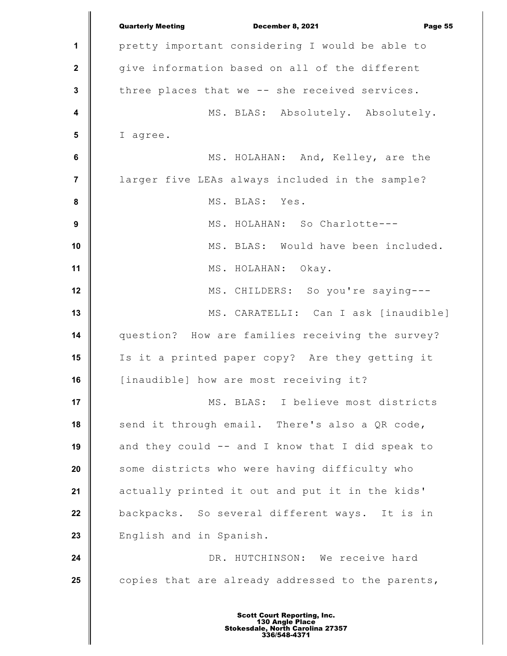**1 2 3 4 5 6 7 8 9 10 11 12 13 14 15 16 17 18 19 20 21 22 23 24 25** Quarterly Meeting December 8, 2021 Page 55 pretty important considering I would be able to give information based on all of the different three places that we -- she received services. MS. BLAS: Absolutely. Absolutely. I agree. MS. HOLAHAN: And, Kelley, are the larger five LEAs always included in the sample? MS. BLAS: Yes. MS. HOLAHAN: So Charlotte--- MS. BLAS: Would have been included. MS. HOLAHAN: Okay. MS. CHILDERS: So you're saying--- MS. CARATELLI: Can I ask [inaudible] question? How are families receiving the survey? Is it a printed paper copy? Are they getting it [inaudible] how are most receiving it? MS. BLAS: I believe most districts send it through email. There's also a QR code, and they could -- and I know that I did speak to some districts who were having difficulty who actually printed it out and put it in the kids' backpacks. So several different ways. It is in English and in Spanish. DR. HUTCHINSON: We receive hard copies that are already addressed to the parents,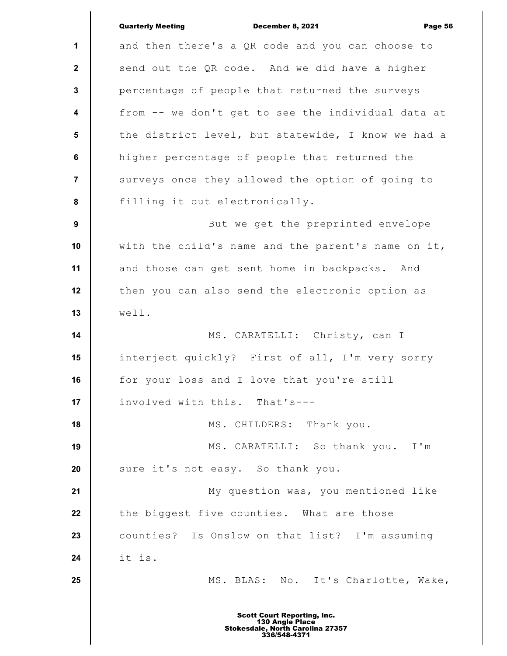|                         | <b>Quarterly Meeting</b><br>December 8, 2021<br>Page 56 |
|-------------------------|---------------------------------------------------------|
| 1                       | and then there's a QR code and you can choose to        |
| $\mathbf{2}$            | send out the QR code. And we did have a higher          |
| $\mathbf{3}$            | percentage of people that returned the surveys          |
| $\overline{\mathbf{4}}$ | from -- we don't get to see the individual data at      |
| $5\phantom{.0}$         | the district level, but statewide, I know we had a      |
| 6                       | higher percentage of people that returned the           |
| $\overline{7}$          | surveys once they allowed the option of going to        |
| $\pmb{8}$               | filling it out electronically.                          |
| 9                       | But we get the preprinted envelope                      |
| 10                      | with the child's name and the parent's name on it,      |
| 11                      | and those can get sent home in backpacks. And           |
| 12                      | then you can also send the electronic option as         |
| 13                      | well.                                                   |
| 14                      | MS. CARATELLI: Christy, can I                           |
| 15                      | interject quickly? First of all, I'm very sorry         |
| 16                      | for your loss and I love that you're still              |
| 17                      | involved with this. That's---                           |
| 18                      | MS. CHILDERS: Thank you.                                |
| 19                      | MS. CARATELLI: So thank you. I'm                        |
| 20                      | sure it's not easy. So thank you.                       |
| 21                      | My question was, you mentioned like                     |
| 22                      | the biggest five counties. What are those               |
| 23                      | counties? Is Onslow on that list? I'm assuming          |
| 24                      | it is.                                                  |
| 25                      | MS. BLAS: No. It's Charlotte, Wake,                     |
|                         | <b>Scott Court Reporting, Inc.</b>                      |

I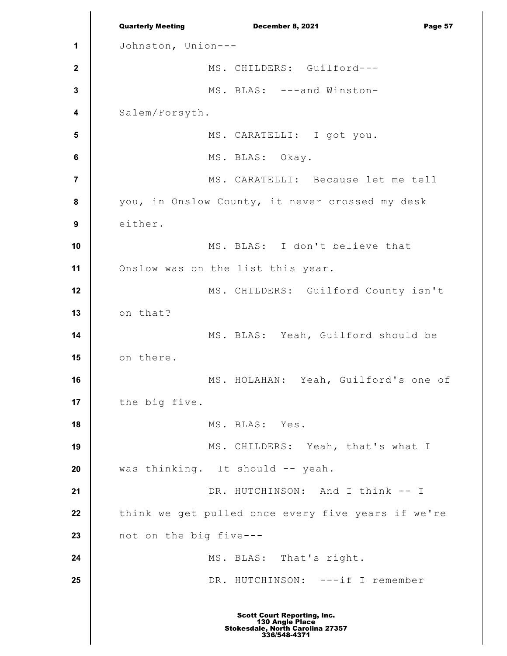**1 2 3 4 5 6 7 8 9 10 11 12 13 14 15 16 17 18 19 20 21 22 23 24 25** Quarterly Meeting December 8, 2021 Page 57 Johnston, Union--- MS. CHILDERS: Guilford--- MS. BLAS: ---and Winston-Salem/Forsyth. MS. CARATELLI: I got you. MS. BLAS: Okay. MS. CARATELLI: Because let me tell you, in Onslow County, it never crossed my desk either. MS. BLAS: I don't believe that Onslow was on the list this year. MS. CHILDERS: Guilford County isn't on that? MS. BLAS: Yeah, Guilford should be on there. MS. HOLAHAN: Yeah, Guilford's one of the big five. MS. BLAS: Yes. MS. CHILDERS: Yeah, that's what I was thinking. It should -- yeah. DR. HUTCHINSON: And I think -- I think we get pulled once every five years if we're not on the big five--- MS. BLAS: That's right. DR. HUTCHINSON: ---if I remember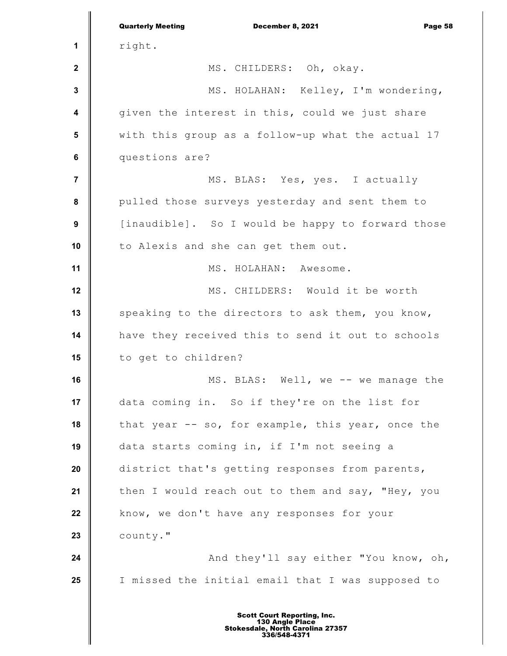|                         | <b>Quarterly Meeting</b><br>December 8, 2021<br>Page 58 |
|-------------------------|---------------------------------------------------------|
| 1                       | right.                                                  |
| $\mathbf{2}$            | MS. CHILDERS: Oh, okay.                                 |
| $\mathbf{3}$            | MS. HOLAHAN: Kelley, I'm wondering,                     |
| $\overline{\mathbf{4}}$ | given the interest in this, could we just share         |
| 5                       | with this group as a follow-up what the actual 17       |
| $\bf 6$                 | questions are?                                          |
| $\overline{7}$          | MS. BLAS: Yes, yes. I actually                          |
| 8                       | pulled those surveys yesterday and sent them to         |
| $\boldsymbol{9}$        | [inaudible]. So I would be happy to forward those       |
| 10                      | to Alexis and she can get them out.                     |
| 11                      | MS. HOLAHAN: Awesome.                                   |
| 12                      | MS. CHILDERS: Would it be worth                         |
| 13                      | speaking to the directors to ask them, you know,        |
| 14                      | have they received this to send it out to schools       |
| 15                      | to get to children?                                     |
| 16                      | MS. BLAS: Well, we -- we manage the                     |
| 17                      | data coming in. So if they're on the list for           |
| 18                      | that year -- so, for example, this year, once the       |
| 19                      | data starts coming in, if I'm not seeing a              |
| 20                      | district that's getting responses from parents,         |
| 21                      | then I would reach out to them and say, "Hey, you       |
| 22                      | know, we don't have any responses for your              |
| 23                      | county."                                                |
| 24                      | And they'll say either "You know, oh,                   |
| 25                      | I missed the initial email that I was supposed to       |
|                         |                                                         |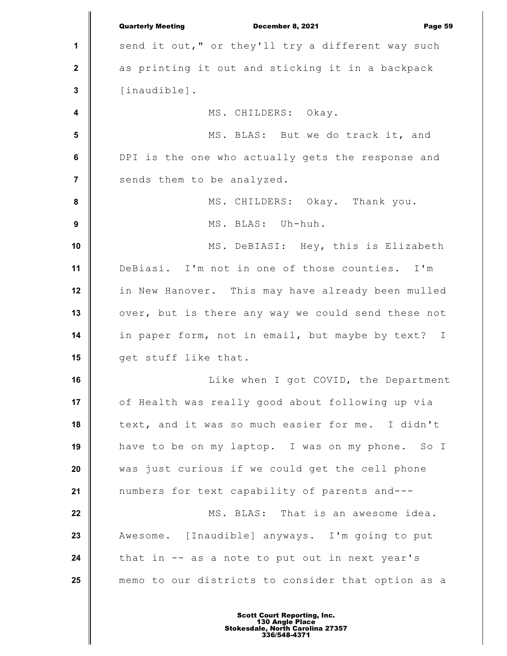**1 2 3 4 5 6 7 8 9 10 11 12 13 14 15 16 17 18 19 20 21 22 23 24 25** Quarterly Meeting December 8, 2021 Page 59 send it out," or they'll try a different way such as printing it out and sticking it in a backpack [inaudible]. MS. CHILDERS: Okay. MS. BLAS: But we do track it, and DPI is the one who actually gets the response and sends them to be analyzed. MS. CHILDERS: Okay. Thank you. MS. BLAS: Uh-huh. MS. DeBIASI: Hey, this is Elizabeth DeBiasi. I'm not in one of those counties. I'm in New Hanover. This may have already been mulled over, but is there any way we could send these not in paper form, not in email, but maybe by text? I get stuff like that. Like when I got COVID, the Department of Health was really good about following up via text, and it was so much easier for me. I didn't have to be on my laptop. I was on my phone. So I was just curious if we could get the cell phone numbers for text capability of parents and--- MS. BLAS: That is an awesome idea. Awesome. [Inaudible] anyways. I'm going to put that in -- as a note to put out in next year's memo to our districts to consider that option as a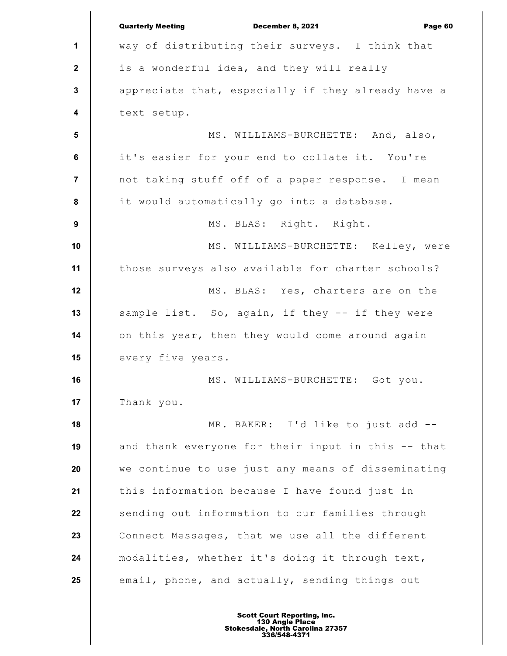|                  | <b>Quarterly Meeting</b><br>December 8, 2021<br>Page 60 |
|------------------|---------------------------------------------------------|
| 1                | way of distributing their surveys. I think that         |
| $\mathbf{2}$     | is a wonderful idea, and they will really               |
| $\mathbf 3$      | appreciate that, especially if they already have a      |
| 4                | text setup.                                             |
| 5                | MS. WILLIAMS-BURCHETTE: And, also,                      |
| $\bf 6$          | it's easier for your end to collate it. You're          |
| $\overline{7}$   | not taking stuff off of a paper response. I mean        |
| 8                | it would automatically go into a database.              |
| $\boldsymbol{9}$ | MS. BLAS: Right. Right.                                 |
| 10               | MS. WILLIAMS-BURCHETTE: Kelley, were                    |
| 11               | those surveys also available for charter schools?       |
| 12               | MS. BLAS: Yes, charters are on the                      |
| 13               | sample list. So, again, if they -- if they were         |
| 14               | on this year, then they would come around again         |
| 15               | every five years.                                       |
| 16               | MS. WILLIAMS-BURCHETTE: Got you.                        |
| 17               | Thank you.                                              |
| 18               | MR. BAKER: I'd like to just add --                      |
| 19               | and thank everyone for their input in this -- that      |
| 20               | we continue to use just any means of disseminating      |
| 21               | this information because I have found just in           |
| 22               | sending out information to our families through         |
| 23               | Connect Messages, that we use all the different         |
| 24               | modalities, whether it's doing it through text,         |
| 25               | email, phone, and actually, sending things out          |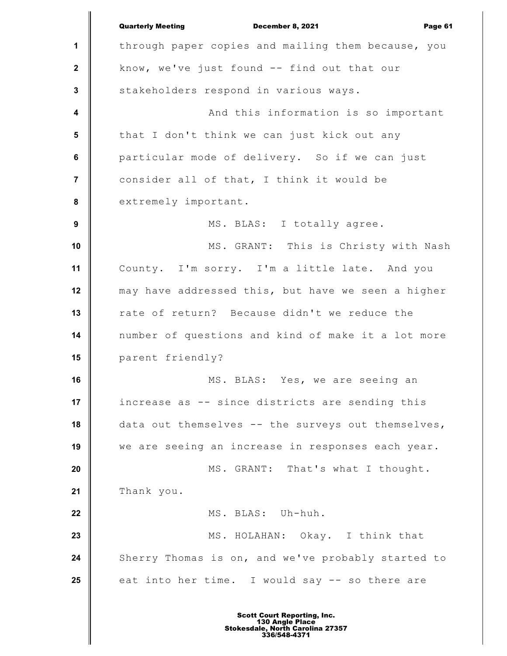**1 2 3 4 5 6 7 8 9 10 11 12 13 14 15 16 17 18 19 20 21 22 23 24 25** Quarterly Meeting December 8, 2021 Page 61 through paper copies and mailing them because, you know, we've just found -- find out that our stakeholders respond in various ways. And this information is so important that I don't think we can just kick out any particular mode of delivery. So if we can just consider all of that, I think it would be extremely important. MS. BLAS: I totally agree. MS. GRANT: This is Christy with Nash County. I'm sorry. I'm a little late. And you may have addressed this, but have we seen a higher rate of return? Because didn't we reduce the number of questions and kind of make it a lot more parent friendly? MS. BLAS: Yes, we are seeing an increase as -- since districts are sending this data out themselves -- the surveys out themselves, we are seeing an increase in responses each year. MS. GRANT: That's what I thought. Thank you. MS. BLAS: Uh-huh. MS. HOLAHAN: Okay. I think that Sherry Thomas is on, and we've probably started to eat into her time. I would say -- so there are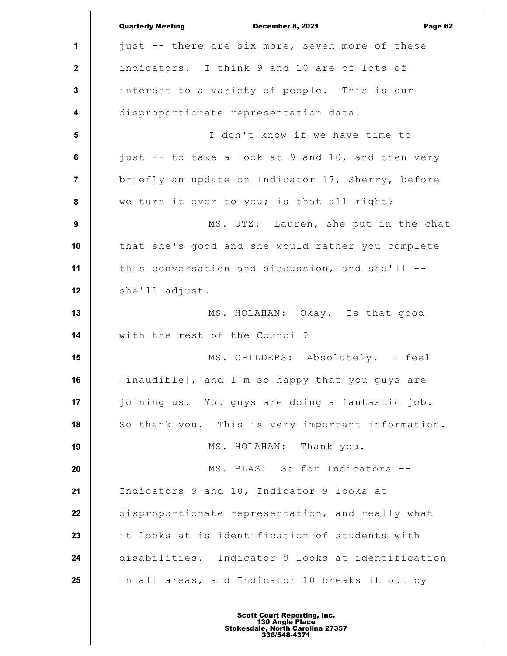|                         | <b>Quarterly Meeting</b><br>December 8, 2021<br>Page 62 |
|-------------------------|---------------------------------------------------------|
| 1                       | just -- there are six more, seven more of these         |
| $\mathbf{2}$            | indicators. I think 9 and 10 are of lots of             |
| $\mathbf 3$             | interest to a variety of people. This is our            |
| $\overline{\mathbf{4}}$ | disproportionate representation data.                   |
| $5\phantom{1}$          | I don't know if we have time to                         |
| $\bf 6$                 | just -- to take a look at 9 and 10, and then very       |
| $\overline{7}$          | briefly an update on Indicator 17, Sherry, before       |
| 8                       | we turn it over to you; is that all right?              |
| $\boldsymbol{9}$        | MS. UTZ: Lauren, she put in the chat                    |
| 10                      | that she's good and she would rather you complete       |
| 11                      | this conversation and discussion, and she'll --         |
| 12                      | she'll adjust.                                          |
| 13                      | MS. HOLAHAN: Okay. Is that good                         |
| 14                      | with the rest of the Council?                           |
| 15                      | MS. CHILDERS: Absolutely. I feel                        |
| 16                      | [inaudible], and I'm so happy that you guys are         |
| 17                      | joining us. You guys are doing a fantastic job.         |
| 18                      | So thank you. This is very important information.       |
| 19                      | MS. HOLAHAN: Thank you.                                 |
| 20                      | MS. BLAS: So for Indicators --                          |
| 21                      | Indicators 9 and 10, Indicator 9 looks at               |
| 22                      | disproportionate representation, and really what        |
| 23                      | it looks at is identification of students with          |
| 24                      | disabilities. Indicator 9 looks at identification       |
| 25                      | in all areas, and Indicator 10 breaks it out by         |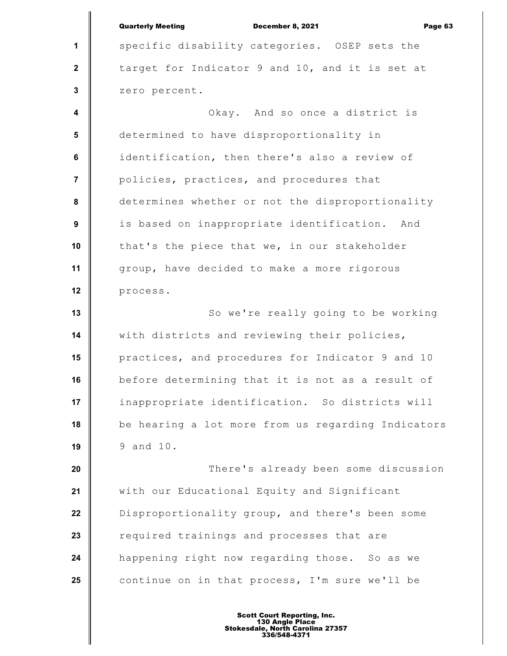**1 2 3 4 5 6 7 8 9 10 11 12 13 14 15 16 17 18 19 20 21 22 23 24 25** Quarterly Meeting December 8, 2021 Page 63 specific disability categories. OSEP sets the target for Indicator 9 and 10, and it is set at zero percent. Okay. And so once a district is determined to have disproportionality in identification, then there's also a review of policies, practices, and procedures that determines whether or not the disproportionality is based on inappropriate identification. And that's the piece that we, in our stakeholder group, have decided to make a more rigorous process. So we're really going to be working with districts and reviewing their policies, practices, and procedures for Indicator 9 and 10 before determining that it is not as a result of inappropriate identification. So districts will be hearing a lot more from us regarding Indicators 9 and 10. There's already been some discussion with our Educational Equity and Significant Disproportionality group, and there's been some required trainings and processes that are happening right now regarding those. So as we continue on in that process, I'm sure we'll be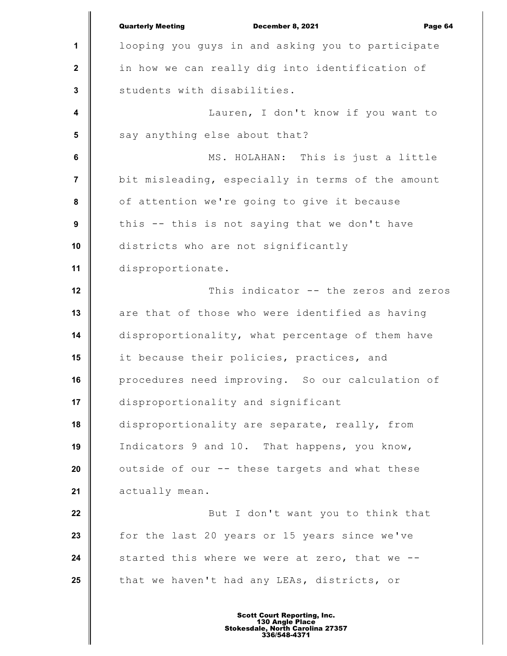**1 2 3 4 5 6 7 8 9 10 11 12 13 14 15 16 17 18 19 20 21 22 23 24 25** Quarterly Meeting December 8, 2021 Page 64 looping you guys in and asking you to participate in how we can really dig into identification of students with disabilities. Lauren, I don't know if you want to say anything else about that? MS. HOLAHAN: This is just a little bit misleading, especially in terms of the amount of attention we're going to give it because this -- this is not saying that we don't have districts who are not significantly disproportionate. This indicator -- the zeros and zeros are that of those who were identified as having disproportionality, what percentage of them have it because their policies, practices, and procedures need improving. So our calculation of disproportionality and significant disproportionality are separate, really, from Indicators 9 and 10. That happens, you know, outside of our -- these targets and what these actually mean. But I don't want you to think that for the last 20 years or 15 years since we've started this where we were at zero, that we - that we haven't had any LEAs, districts, or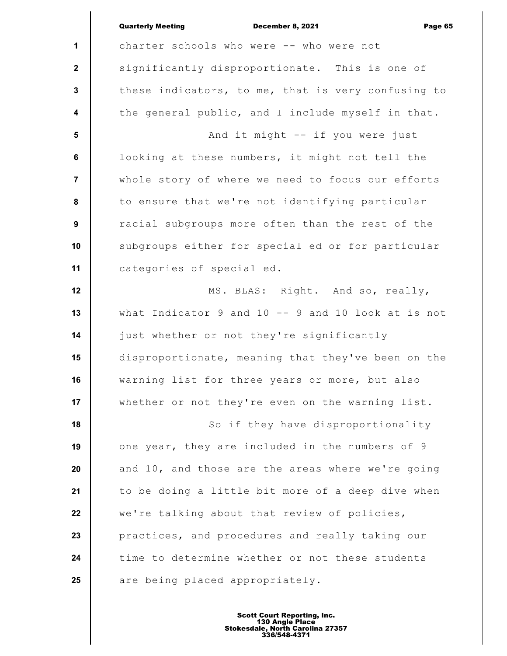|                  | <b>Quarterly Meeting</b><br>Page 65<br><b>December 8, 2021</b> |
|------------------|----------------------------------------------------------------|
| $\mathbf 1$      | charter schools who were -- who were not                       |
| $\mathbf{2}$     | significantly disproportionate. This is one of                 |
| $\mathbf 3$      | these indicators, to me, that is very confusing to             |
| $\boldsymbol{4}$ | the general public, and I include myself in that.              |
| $5\phantom{.0}$  | And it might -- if you were just                               |
| 6                | looking at these numbers, it might not tell the                |
| $\overline{7}$   | whole story of where we need to focus our efforts              |
| 8                | to ensure that we're not identifying particular                |
| 9                | racial subgroups more often than the rest of the               |
| 10               | subgroups either for special ed or for particular              |
| 11               | categories of special ed.                                      |
| 12               | MS. BLAS: Right. And so, really,                               |
| 13               | what Indicator 9 and $10 - -$ 9 and 10 look at is not          |
| 14               | just whether or not they're significantly                      |
| 15               | disproportionate, meaning that they've been on the             |
| 16               | warning list for three years or more, but also                 |
| 17               | whether or not they're even on the warning list.               |
| 18               | So if they have disproportionality                             |
| 19               | one year, they are included in the numbers of 9                |
| 20               | and 10, and those are the areas where we're going              |
| 21               | to be doing a little bit more of a deep dive when              |
| 22               | we're talking about that review of policies,                   |
| 23               | practices, and procedures and really taking our                |
| 24               | time to determine whether or not these students                |
| 25               | are being placed appropriately.                                |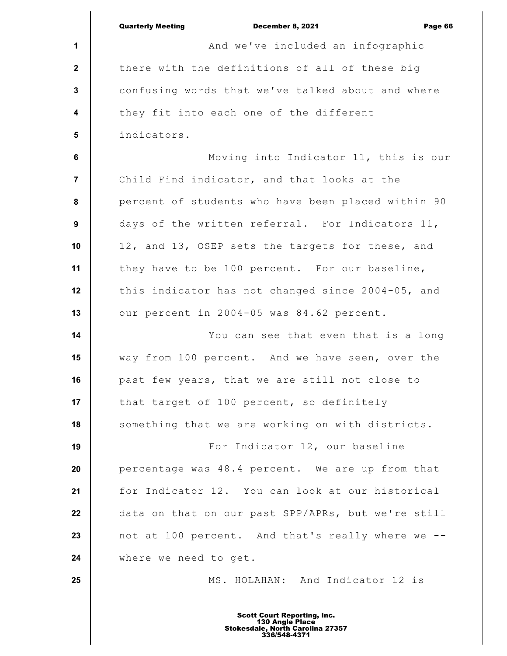|                         | <b>Quarterly Meeting</b><br>December 8, 2021<br>Page 66 |
|-------------------------|---------------------------------------------------------|
| 1                       | And we've included an infographic                       |
| $\mathbf{2}$            | there with the definitions of all of these big          |
| $\mathbf{3}$            | confusing words that we've talked about and where       |
| $\overline{\mathbf{4}}$ | they fit into each one of the different                 |
| 5                       | indicators.                                             |
| 6                       | Moving into Indicator 11, this is our                   |
| $\overline{7}$          | Child Find indicator, and that looks at the             |
| 8                       | percent of students who have been placed within 90      |
| 9                       | days of the written referral. For Indicators 11,        |
| 10                      | 12, and 13, OSEP sets the targets for these, and        |
| 11                      | they have to be 100 percent. For our baseline,          |
| 12                      | this indicator has not changed since 2004-05, and       |
| 13                      | our percent in 2004-05 was 84.62 percent.               |
| 14                      | You can see that even that is a long                    |
| 15                      | way from 100 percent. And we have seen, over the        |
| 16                      | past few years, that we are still not close to          |
| 17                      | that target of 100 percent, so definitely               |
| 18                      | something that we are working on with districts.        |
| 19                      | For Indicator 12, our baseline                          |
| 20                      | percentage was 48.4 percent. We are up from that        |
| 21                      | for Indicator 12. You can look at our historical        |
| 22                      | data on that on our past SPP/APRs, but we're still      |
| 23                      | not at 100 percent. And that's really where we --       |
| 24                      | where we need to get.                                   |
| 25                      | MS. HOLAHAN: And Indicator 12 is                        |
|                         |                                                         |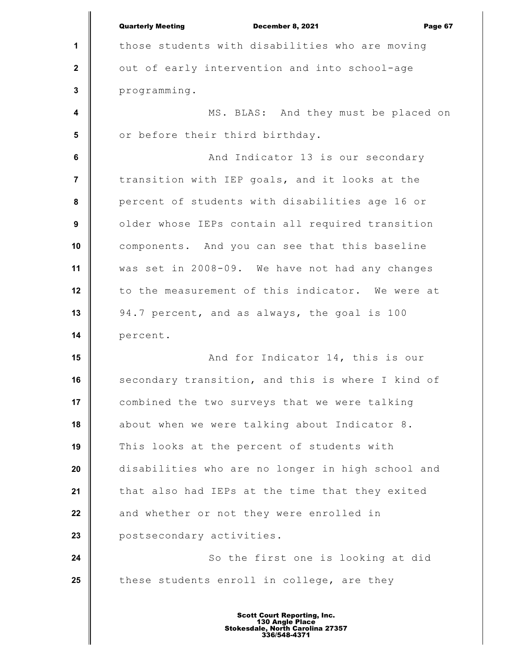**1 2 3 4 5 6 7 8 9 10 11 12 13 14 15 16 17 18 19 20 21 22 23 24 25** Quarterly Meeting December 8, 2021 Page 67 those students with disabilities who are moving out of early intervention and into school-age programming. MS. BLAS: And they must be placed on or before their third birthday. And Indicator 13 is our secondary transition with IEP goals, and it looks at the percent of students with disabilities age 16 or older whose IEPs contain all required transition components. And you can see that this baseline was set in 2008-09. We have not had any changes to the measurement of this indicator. We were at 94.7 percent, and as always, the goal is 100 percent. And for Indicator 14, this is our secondary transition, and this is where I kind of combined the two surveys that we were talking about when we were talking about Indicator 8. This looks at the percent of students with disabilities who are no longer in high school and that also had IEPs at the time that they exited and whether or not they were enrolled in postsecondary activities. So the first one is looking at did these students enroll in college, are they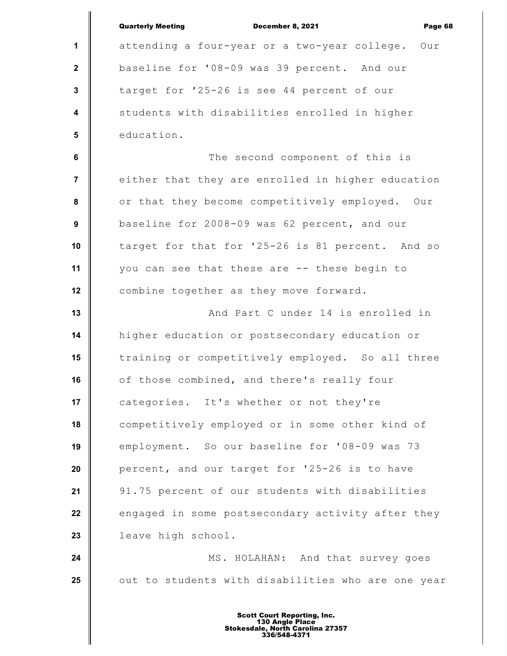|                         | <b>Quarterly Meeting</b><br><b>December 8, 2021</b><br>Page 68 |
|-------------------------|----------------------------------------------------------------|
| 1                       | attending a four-year or a two-year college.<br>Our            |
| $\mathbf{2}$            | baseline for '08-09 was 39 percent. And our                    |
| $\mathbf{3}$            | target for '25-26 is see 44 percent of our                     |
| $\overline{\mathbf{4}}$ | students with disabilities enrolled in higher                  |
| 5                       | education.                                                     |
| 6                       | The second component of this is                                |
| $\overline{7}$          | either that they are enrolled in higher education              |
| $\pmb{8}$               | or that they become competitively employed. Our                |
| 9                       | baseline for 2008-09 was 62 percent, and our                   |
| 10                      | target for that for '25-26 is 81 percent. And so               |
| 11                      | you can see that these are -- these begin to                   |
| 12                      | combine together as they move forward.                         |
| 13                      | And Part C under 14 is enrolled in                             |
| 14                      | higher education or postsecondary education or                 |
| 15                      | training or competitively employed. So all three               |
| 16                      | of those combined, and there's really four                     |
| 17                      | categories. It's whether or not they're                        |
| 18                      | competitively employed or in some other kind of                |
| 19                      | employment. So our baseline for '08-09 was 73                  |
| 20                      | percent, and our target for '25-26 is to have                  |
| 21                      | 91.75 percent of our students with disabilities                |
| 22                      | engaged in some postsecondary activity after they              |
| 23                      | leave high school.                                             |
| 24                      | MS. HOLAHAN: And that survey goes                              |
| 25                      | out to students with disabilities who are one year             |
|                         |                                                                |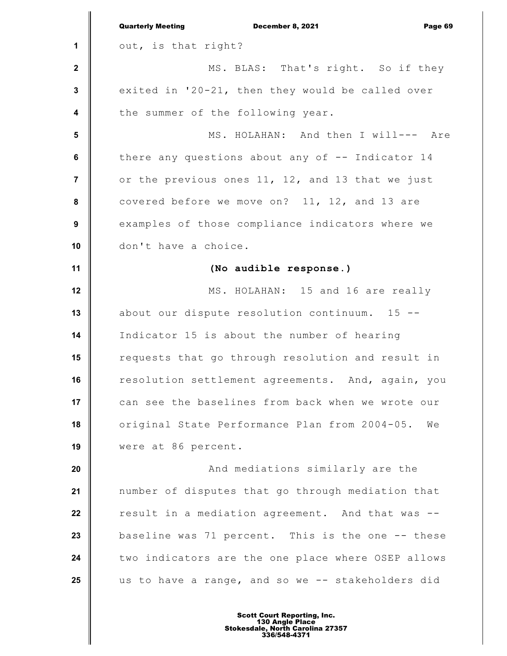|                         | <b>Quarterly Meeting</b><br>December 8, 2021<br>Page 69 |
|-------------------------|---------------------------------------------------------|
| 1                       | out, is that right?                                     |
| $\mathbf{2}$            | MS. BLAS: That's right. So if they                      |
| $\mathbf{3}$            | exited in '20-21, then they would be called over        |
| $\overline{\mathbf{4}}$ | the summer of the following year.                       |
| 5                       | MS. HOLAHAN: And then I will--- Are                     |
| 6                       | there any questions about any of -- Indicator 14        |
| $\overline{7}$          | or the previous ones 11, 12, and 13 that we just        |
| 8                       | covered before we move on? 11, 12, and 13 are           |
| $\boldsymbol{9}$        | examples of those compliance indicators where we        |
| 10                      | don't have a choice.                                    |
| 11                      | (No audible response.)                                  |
| 12                      | MS. HOLAHAN: 15 and 16 are really                       |
| 13                      | about our dispute resolution continuum. 15 --           |
| 14                      | Indicator 15 is about the number of hearing             |
| 15                      | requests that go through resolution and result in       |
| 16                      | resolution settlement agreements. And, again, you       |
| 17                      | can see the baselines from back when we wrote our       |
| 18                      | original State Performance Plan from 2004-05.<br>We     |
| 19                      | were at 86 percent.                                     |
| 20                      | And mediations similarly are the                        |
| 21                      | number of disputes that go through mediation that       |
| 22                      | result in a mediation agreement. And that was --        |
| 23                      | baseline was 71 percent. This is the one -- these       |
| 24                      | two indicators are the one place where OSEP allows      |
| 25                      | us to have a range, and so we -- stakeholders did       |
|                         |                                                         |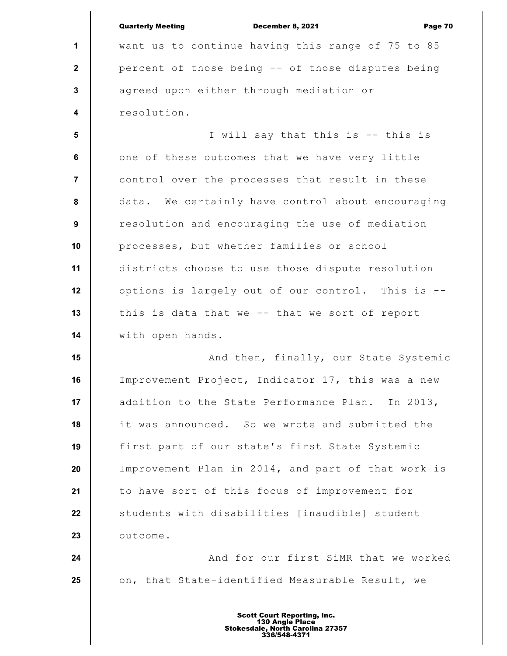|                         | <b>Quarterly Meeting</b><br>December 8, 2021<br>Page 70 |
|-------------------------|---------------------------------------------------------|
| $\mathbf{1}$            | want us to continue having this range of 75 to 85       |
| $\mathbf{2}$            | percent of those being -- of those disputes being       |
| $\mathbf{3}$            | agreed upon either through mediation or                 |
| $\overline{\mathbf{4}}$ | resolution.                                             |
| 5                       | I will say that this is -- this is                      |
| 6                       | one of these outcomes that we have very little          |
| $\overline{7}$          | control over the processes that result in these         |
| 8                       | data. We certainly have control about encouraging       |
| $\boldsymbol{9}$        | resolution and encouraging the use of mediation         |
| 10                      | processes, but whether families or school               |
| 11                      | districts choose to use those dispute resolution        |
| 12                      | options is largely out of our control. This is --       |
| 13                      | this is data that we -- that we sort of report          |
| 14                      | with open hands.                                        |
| 15                      | And then, finally, our State Systemic                   |
| 16                      | Improvement Project, Indicator 17, this was a new       |
| 17                      | addition to the State Performance Plan. In 2013,        |
| 18                      | it was announced. So we wrote and submitted the         |
| 19                      | first part of our state's first State Systemic          |
| 20                      | Improvement Plan in 2014, and part of that work is      |
| 21                      | to have sort of this focus of improvement for           |
| 22                      | students with disabilities [inaudible] student          |
| 23                      | outcome.                                                |
| 24                      | And for our first SiMR that we worked                   |
| 25                      | on, that State-identified Measurable Result, we         |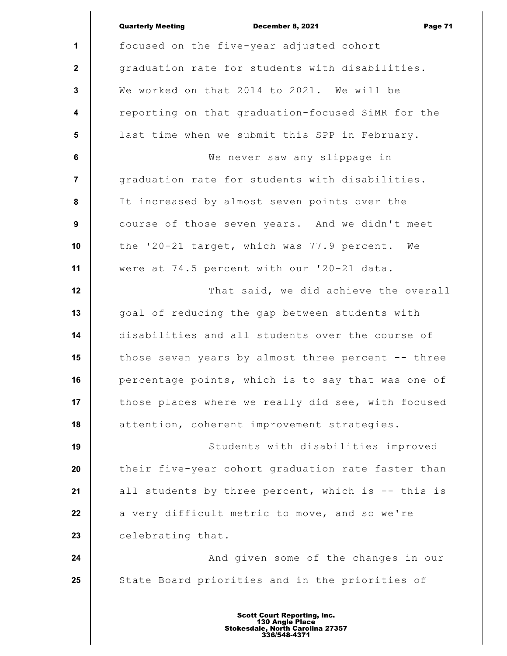|                         | <b>Quarterly Meeting</b><br>December 8, 2021<br>Page 71 |
|-------------------------|---------------------------------------------------------|
| 1                       | focused on the five-year adjusted cohort                |
| $\mathbf{2}$            | graduation rate for students with disabilities.         |
| $\mathbf{3}$            | We worked on that 2014 to 2021. We will be              |
| $\overline{\mathbf{4}}$ | reporting on that graduation-focused SiMR for the       |
| $5\phantom{.0}$         | last time when we submit this SPP in February.          |
| $6\phantom{a}$          | We never saw any slippage in                            |
| $\overline{7}$          | graduation rate for students with disabilities.         |
| $\pmb{8}$               | It increased by almost seven points over the            |
| $\boldsymbol{9}$        | course of those seven years. And we didn't meet         |
| 10                      | the '20-21 target, which was 77.9 percent. We           |
| 11                      | were at 74.5 percent with our '20-21 data.              |
| 12                      | That said, we did achieve the overall                   |
| 13                      | goal of reducing the gap between students with          |
| 14                      | disabilities and all students over the course of        |
| 15                      | those seven years by almost three percent -- three      |
| 16                      | percentage points, which is to say that was one of      |
| 17                      | those places where we really did see, with focused      |
| 18                      | attention, coherent improvement strategies.             |
| 19                      | Students with disabilities improved                     |
| 20                      | their five-year cohort graduation rate faster than      |
| 21                      | all students by three percent, which is -- this is      |
| 22                      | a very difficult metric to move, and so we're           |
| 23                      | celebrating that.                                       |
| 24                      | And given some of the changes in our                    |
| 25                      | State Board priorities and in the priorities of         |
|                         |                                                         |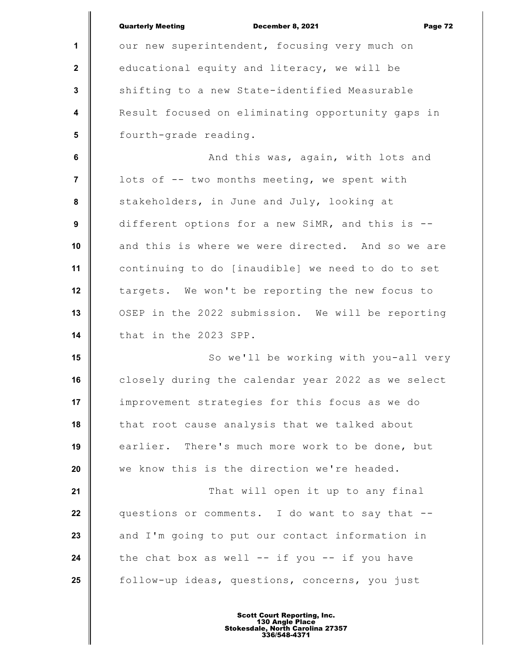|                  | <b>Quarterly Meeting</b><br>December 8, 2021<br>Page 72 |
|------------------|---------------------------------------------------------|
| $\mathbf{1}$     | our new superintendent, focusing very much on           |
| $\mathbf{2}$     | educational equity and literacy, we will be             |
| $\mathbf 3$      | shifting to a new State-identified Measurable           |
| $\boldsymbol{4}$ | Result focused on eliminating opportunity gaps in       |
| $5\phantom{.0}$  | fourth-grade reading.                                   |
| 6                | And this was, again, with lots and                      |
| $\overline{7}$   | lots of -- two months meeting, we spent with            |
| 8                | stakeholders, in June and July, looking at              |
| 9                | different options for a new SiMR, and this is --        |
| 10               | and this is where we were directed. And so we are       |
| 11               | continuing to do [inaudible] we need to do to set       |
| 12               | targets. We won't be reporting the new focus to         |
| 13               | OSEP in the 2022 submission. We will be reporting       |
| 14               | that in the 2023 SPP.                                   |
| 15               | So we'll be working with you-all very                   |
| 16               | closely during the calendar year 2022 as we select      |
| 17               | improvement strategies for this focus as we do          |
| 18               | that root cause analysis that we talked about           |
| 19               | earlier. There's much more work to be done, but         |
| 20               | we know this is the direction we're headed.             |
| 21               | That will open it up to any final                       |
| 22               | questions or comments. I do want to say that --         |
| 23               | and I'm going to put our contact information in         |
| 24               | the chat box as well $--$ if you $--$ if you have       |
| 25               | follow-up ideas, questions, concerns, you just          |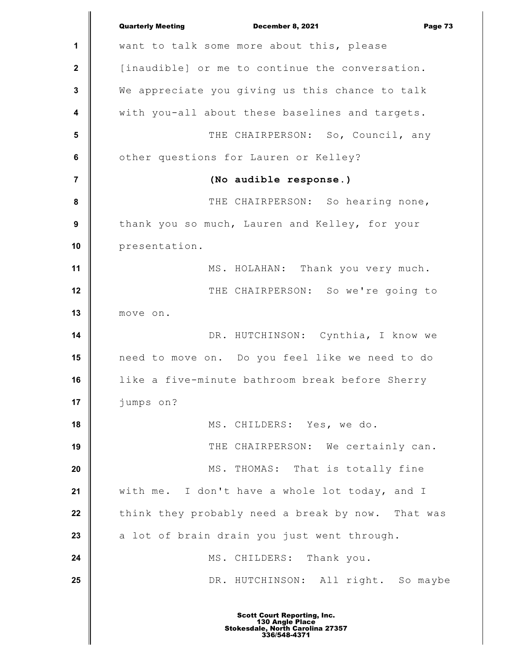|                         | <b>Quarterly Meeting</b><br>December 8, 2021<br>Page 73 |
|-------------------------|---------------------------------------------------------|
| 1                       | want to talk some more about this, please               |
| $\mathbf 2$             | [inaudible] or me to continue the conversation.         |
| 3                       | We appreciate you giving us this chance to talk         |
| $\overline{\mathbf{4}}$ | with you-all about these baselines and targets.         |
| $5\phantom{1}$          | THE CHAIRPERSON: So, Council, any                       |
| $\bf 6$                 | other questions for Lauren or Kelley?                   |
| $\overline{7}$          | (No audible response.)                                  |
| ${\bf 8}$               | THE CHAIRPERSON: So hearing none,                       |
| $\boldsymbol{9}$        | thank you so much, Lauren and Kelley, for your          |
| 10                      | presentation.                                           |
| 11                      | MS. HOLAHAN: Thank you very much.                       |
| 12                      | THE CHAIRPERSON: So we're going to                      |
| 13                      | move on.                                                |
| 14                      | DR. HUTCHINSON: Cynthia, I know we                      |
| 15                      | need to move on. Do you feel like we need to do         |
| 16                      | like a five-minute bathroom break before Sherry         |
| 17                      | jumps on?                                               |
| 18                      | MS. CHILDERS: Yes, we do.                               |
| 19                      | THE CHAIRPERSON: We certainly can.                      |
| 20                      | MS. THOMAS: That is totally fine                        |
| 21                      | with me. I don't have a whole lot today, and I          |
| 22                      | think they probably need a break by now. That was       |
| 23                      | a lot of brain drain you just went through.             |
| 24                      | MS. CHILDERS: Thank you.                                |
| 25                      | DR. HUTCHINSON: All right. So maybe                     |
|                         |                                                         |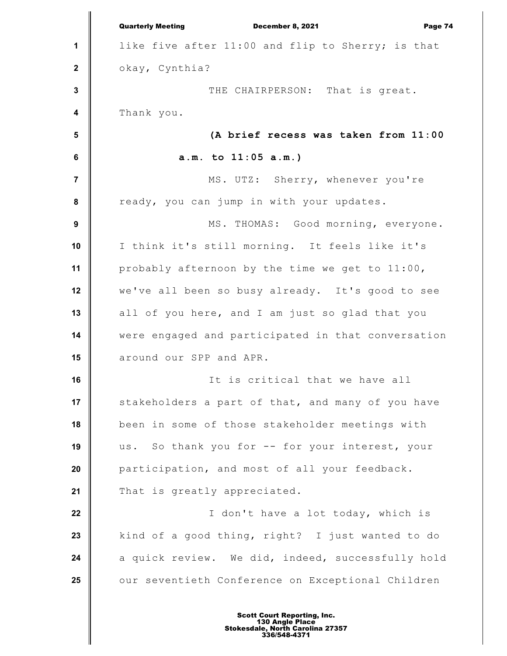|                | <b>Quarterly Meeting</b><br>Page 74<br>December 8, 2021 |
|----------------|---------------------------------------------------------|
| 1              | like five after 11:00 and flip to Sherry; is that       |
| $\mathbf{2}$   | okay, Cynthia?                                          |
| $\mathbf 3$    | THE CHAIRPERSON: That is great.                         |
| 4              | Thank you.                                              |
| $5\phantom{1}$ | (A brief recess was taken from 11:00                    |
| $\bf 6$        | $a.m.$ to $11:05 a.m.$ )                                |
| $\overline{7}$ | MS. UTZ: Sherry, whenever you're                        |
| 8              | ready, you can jump in with your updates.               |
| 9              | MS. THOMAS: Good morning, everyone.                     |
| 10             | I think it's still morning. It feels like it's          |
| 11             | probably afternoon by the time we get to 11:00,         |
| 12             | we've all been so busy already. It's good to see        |
| 13             | all of you here, and I am just so glad that you         |
| 14             | were engaged and participated in that conversation      |
| 15             | around our SPP and APR.                                 |
| 16             | It is critical that we have all                         |
| 17             | stakeholders a part of that, and many of you have       |
| 18             | been in some of those stakeholder meetings with         |
| 19             | us. So thank you for -- for your interest, your         |
| 20             | participation, and most of all your feedback.           |
| 21             | That is greatly appreciated.                            |
| 22             | I don't have a lot today, which is                      |
| 23             | kind of a good thing, right? I just wanted to do        |
| 24             | a quick review. We did, indeed, successfully hold       |
| 25             | our seventieth Conference on Exceptional Children       |
|                |                                                         |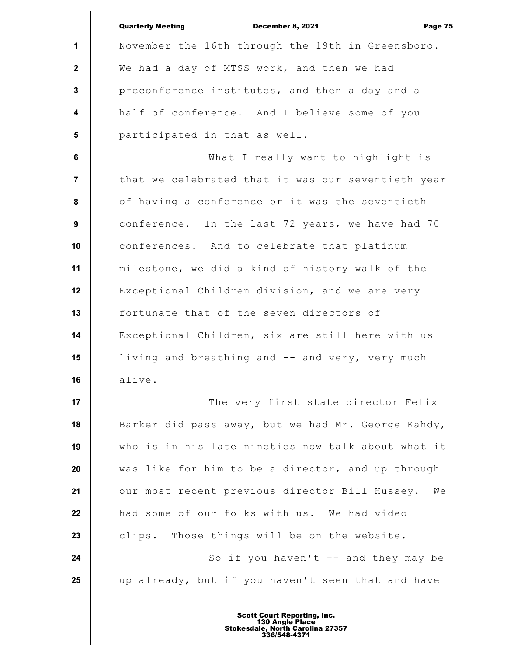|                         | <b>Quarterly Meeting</b><br>December 8, 2021<br>Page 75 |
|-------------------------|---------------------------------------------------------|
| $\mathbf 1$             | November the 16th through the 19th in Greensboro.       |
| $\mathbf{2}$            | We had a day of MTSS work, and then we had              |
| $\mathbf{3}$            | preconference institutes, and then a day and a          |
| $\overline{\mathbf{4}}$ | half of conference. And I believe some of you           |
| 5                       | participated in that as well.                           |
| 6                       | What I really want to highlight is                      |
| $\overline{7}$          | that we celebrated that it was our seventieth year      |
| 8                       | of having a conference or it was the seventieth         |
| 9                       | conference. In the last 72 years, we have had 70        |
| 10                      | conferences. And to celebrate that platinum             |
| 11                      | milestone, we did a kind of history walk of the         |
| 12                      | Exceptional Children division, and we are very          |
| 13                      | fortunate that of the seven directors of                |
| 14                      | Exceptional Children, six are still here with us        |
| 15                      | living and breathing and -- and very, very much         |
| 16                      | alive.                                                  |
| 17                      | The very first state director Felix                     |
| 18                      | Barker did pass away, but we had Mr. George Kahdy,      |
| 19                      | who is in his late nineties now talk about what it      |
| 20                      | was like for him to be a director, and up through       |
| 21                      | our most recent previous director Bill Hussey.<br>We    |
| 22                      | had some of our folks with us. We had video             |
| 23                      | clips. Those things will be on the website.             |
| 24                      | So if you haven't -- and they may be                    |
| 25                      | up already, but if you haven't seen that and have       |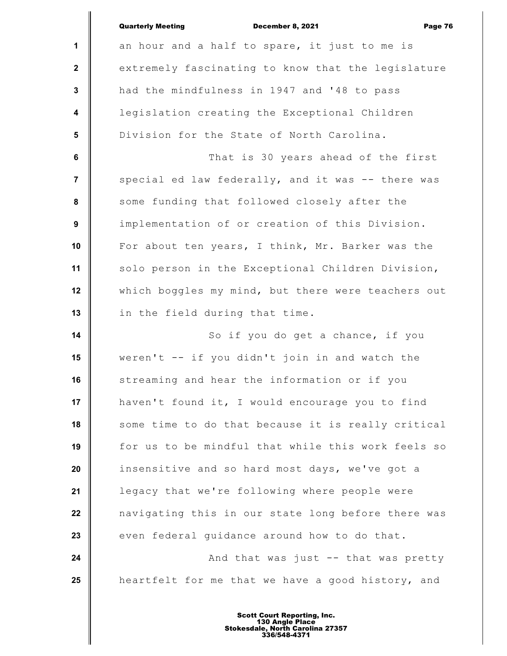|                         | <b>Quarterly Meeting</b><br>December 8, 2021<br>Page 76 |
|-------------------------|---------------------------------------------------------|
| 1                       | an hour and a half to spare, it just to me is           |
| $\mathbf{2}$            | extremely fascinating to know that the legislature      |
| $\mathbf{3}$            | had the mindfulness in 1947 and '48 to pass             |
| $\overline{\mathbf{4}}$ | legislation creating the Exceptional Children           |
| $5\phantom{.0}$         | Division for the State of North Carolina.               |
| 6                       | That is 30 years ahead of the first                     |
| $\overline{\mathbf{r}}$ | special ed law federally, and it was -- there was       |
| 8                       | some funding that followed closely after the            |
| 9                       | implementation of or creation of this Division.         |
| 10                      | For about ten years, I think, Mr. Barker was the        |
| 11                      | solo person in the Exceptional Children Division,       |
| 12                      | which boggles my mind, but there were teachers out      |
| 13                      | in the field during that time.                          |
| 14                      | So if you do get a chance, if you                       |
| 15                      | weren't -- if you didn't join in and watch the          |
| 16                      | streaming and hear the information or if you            |
| 17                      | haven't found it, I would encourage you to find         |
| 18                      | some time to do that because it is really critical      |
| 19                      | for us to be mindful that while this work feels so      |
| 20                      | insensitive and so hard most days, we've got a          |
| 21                      | legacy that we're following where people were           |
| 22                      | navigating this in our state long before there was      |
| 23                      | even federal guidance around how to do that.            |
| 24                      | And that was just -- that was pretty                    |
| 25                      | heartfelt for me that we have a good history, and       |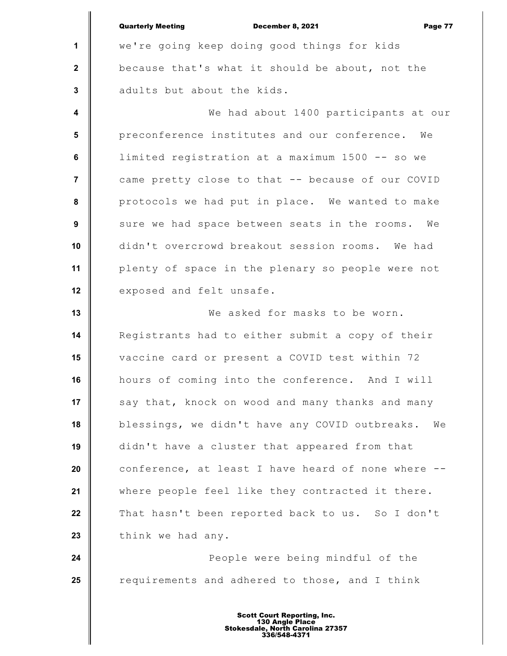**1 2 3 4 5 6 7 8 9 10 11 12 13 14 15 16 17 18 19 20 21 22 23 24 25** Quarterly Meeting December 8, 2021 Page 77 we're going keep doing good things for kids because that's what it should be about, not the adults but about the kids. We had about 1400 participants at our preconference institutes and our conference. We limited registration at a maximum 1500 -- so we came pretty close to that -- because of our COVID protocols we had put in place. We wanted to make sure we had space between seats in the rooms. We didn't overcrowd breakout session rooms. We had plenty of space in the plenary so people were not exposed and felt unsafe. We asked for masks to be worn. Registrants had to either submit a copy of their vaccine card or present a COVID test within 72 hours of coming into the conference. And I will say that, knock on wood and many thanks and many blessings, we didn't have any COVID outbreaks. We didn't have a cluster that appeared from that conference, at least I have heard of none where - where people feel like they contracted it there. That hasn't been reported back to us. So I don't think we had any. People were being mindful of the requirements and adhered to those, and I think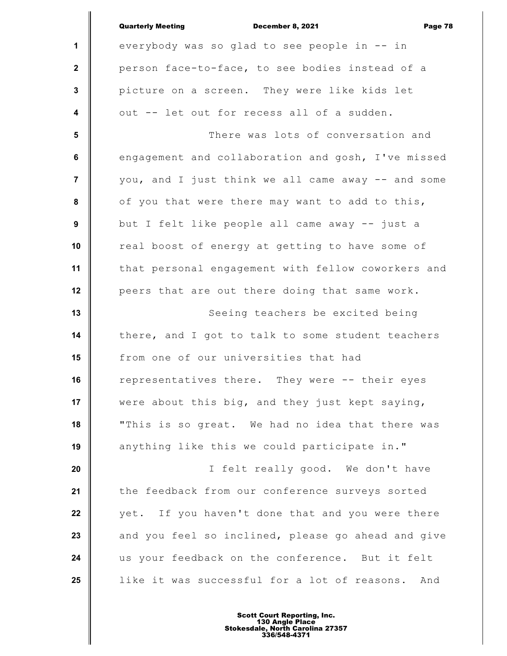|                         | <b>Quarterly Meeting</b><br>Page 78<br>December 8, 2021 |
|-------------------------|---------------------------------------------------------|
| $\mathbf{1}$            | everybody was so glad to see people in -- in            |
| $\mathbf{2}$            | person face-to-face, to see bodies instead of a         |
| 3                       | picture on a screen. They were like kids let            |
| $\overline{\mathbf{4}}$ | out -- let out for recess all of a sudden.              |
| 5                       | There was lots of conversation and                      |
| 6                       | engagement and collaboration and gosh, I've missed      |
| $\overline{7}$          | you, and I just think we all came away -- and some      |
| 8                       | of you that were there may want to add to this,         |
| 9                       | but I felt like people all came away -- just a          |
| 10                      | real boost of energy at getting to have some of         |
| 11                      | that personal engagement with fellow coworkers and      |
| 12                      | peers that are out there doing that same work.          |
| 13                      | Seeing teachers be excited being                        |
| 14                      | there, and I got to talk to some student teachers       |
| 15                      | from one of our universities that had                   |
| 16                      | representatives there. They were -- their eyes          |
| 17                      | were about this big, and they just kept saying,         |
| 18                      | "This is so great. We had no idea that there was        |
| 19                      | anything like this we could participate in."            |
| 20                      | I felt really good. We don't have                       |
| 21                      | the feedback from our conference surveys sorted         |
| 22                      | If you haven't done that and you were there<br>yet.     |
| 23                      | and you feel so inclined, please go ahead and give      |
| 24                      | us your feedback on the conference. But it felt         |
| 25                      | like it was successful for a lot of reasons. And        |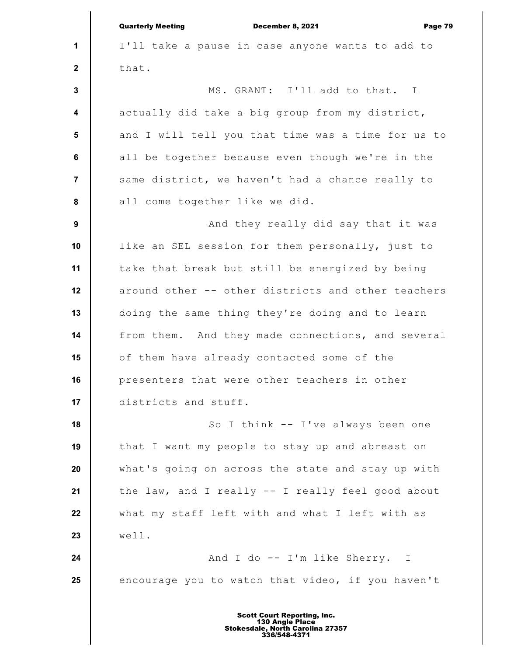|                         | <b>Quarterly Meeting</b><br>December 8, 2021<br>Page 79 |
|-------------------------|---------------------------------------------------------|
| 1                       | I'll take a pause in case anyone wants to add to        |
| $\mathbf{2}$            | that.                                                   |
| $\mathbf{3}$            | MS. GRANT: I'll add to that. I                          |
| $\overline{\mathbf{4}}$ | actually did take a big group from my district,         |
| $5\phantom{.0}$         | and I will tell you that time was a time for us to      |
| 6                       | all be together because even though we're in the        |
| $\overline{7}$          | same district, we haven't had a chance really to        |
| 8                       | all come together like we did.                          |
| 9                       | And they really did say that it was                     |
| 10                      | like an SEL session for them personally, just to        |
| 11                      | take that break but still be energized by being         |
| 12                      | around other -- other districts and other teachers      |
| 13                      | doing the same thing they're doing and to learn         |
| 14                      | from them. And they made connections, and several       |
| 15                      | of them have already contacted some of the              |
| 16                      | presenters that were other teachers in other            |
| 17                      | districts and stuff.                                    |
| 18                      | So I think -- I've always been one                      |
| 19                      | that I want my people to stay up and abreast on         |
| 20                      | what's going on across the state and stay up with       |
| 21                      | the law, and I really -- I really feel good about       |
| 22                      | what my staff left with and what I left with as         |
| 23                      | well.                                                   |
| 24                      | And I do -- I'm like Sherry. I                          |
| 25                      | encourage you to watch that video, if you haven't       |
|                         |                                                         |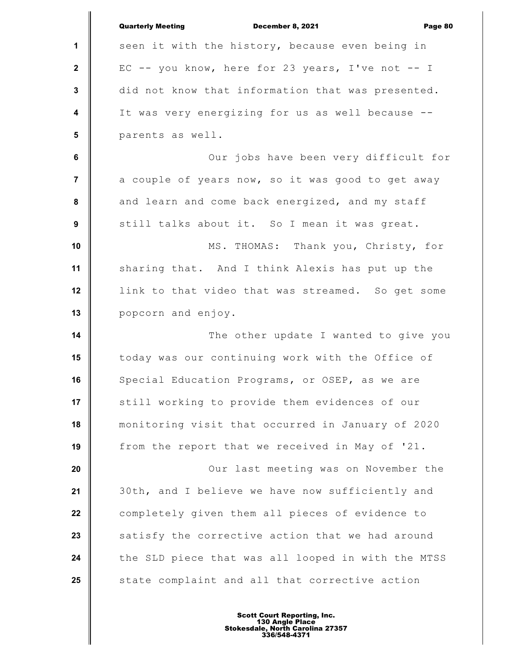|                | <b>Quarterly Meeting</b><br>December 8, 2021<br>Page 80 |
|----------------|---------------------------------------------------------|
| 1              | seen it with the history, because even being in         |
| $\mathbf{2}$   | EC -- you know, here for 23 years, I've not -- I        |
| $\mathbf{3}$   | did not know that information that was presented.       |
| 4              | It was very energizing for us as well because --        |
| $5\phantom{1}$ | parents as well.                                        |
| $\bf 6$        | Our jobs have been very difficult for                   |
| $\overline{7}$ | a couple of years now, so it was good to get away       |
| 8              | and learn and come back energized, and my staff         |
| 9              | still talks about it. So I mean it was great.           |
| 10             | MS. THOMAS: Thank you, Christy, for                     |
| 11             | sharing that. And I think Alexis has put up the         |
| 12             | link to that video that was streamed. So get some       |
| 13             | popcorn and enjoy.                                      |
| 14             | The other update I wanted to give you                   |
| 15             | today was our continuing work with the Office of        |
| 16             | Special Education Programs, or OSEP, as we are          |
| 17             | still working to provide them evidences of our          |
| 18             | monitoring visit that occurred in January of 2020       |
| 19             | from the report that we received in May of '21.         |
| 20             | Our last meeting was on November the                    |
| 21             | 30th, and I believe we have now sufficiently and        |
| 22             | completely given them all pieces of evidence to         |
| 23             | satisfy the corrective action that we had around        |
| 24             | the SLD piece that was all looped in with the MTSS      |
| 25             | state complaint and all that corrective action          |
|                |                                                         |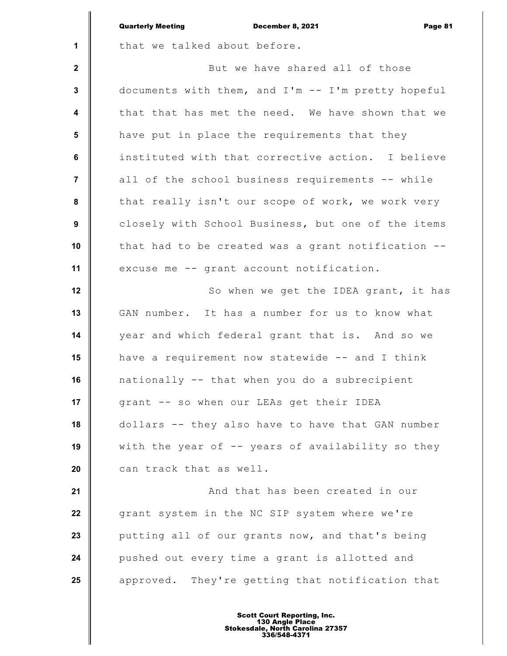|                         | <b>Quarterly Meeting</b><br>December 8, 2021<br>Page 81 |
|-------------------------|---------------------------------------------------------|
| $\mathbf{1}$            | that we talked about before.                            |
| $\mathbf{2}$            | But we have shared all of those                         |
| $\mathbf{3}$            | documents with them, and I'm -- I'm pretty hopeful      |
| $\overline{\mathbf{4}}$ | that that has met the need. We have shown that we       |
| $5\phantom{1}$          | have put in place the requirements that they            |
| 6                       | instituted with that corrective action. I believe       |
| $\overline{7}$          | all of the school business requirements -- while        |
| $\pmb{8}$               | that really isn't our scope of work, we work very       |
| $\boldsymbol{9}$        | closely with School Business, but one of the items      |
| 10                      | that had to be created was a grant notification --      |
| 11                      | excuse me -- grant account notification.                |
| 12                      | So when we get the IDEA grant, it has                   |
| 13                      | GAN number. It has a number for us to know what         |
| 14                      | year and which federal grant that is. And so we         |
| 15                      | have a requirement now statewide -- and I think         |
| 16                      | nationally -- that when you do a subrecipient           |
| 17                      | grant -- so when our LEAs get their IDEA                |
| 18                      | dollars -- they also have to have that GAN number       |
| 19                      | with the year of -- years of availability so they       |
| 20                      | can track that as well.                                 |
| 21                      | And that has been created in our                        |
| 22                      | grant system in the NC SIP system where we're           |
| 23                      | putting all of our grants now, and that's being         |
| 24                      | pushed out every time a grant is allotted and           |
| 25                      | approved. They're getting that notification that        |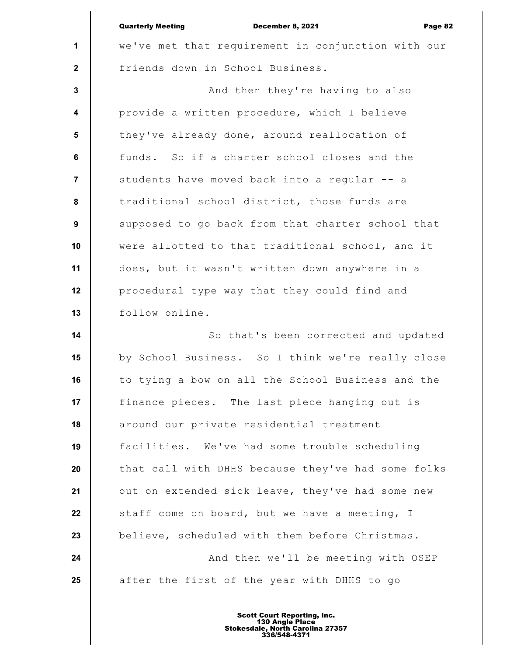|                         | <b>Quarterly Meeting</b><br>December 8, 2021<br>Page 82 |
|-------------------------|---------------------------------------------------------|
| 1                       | we've met that requirement in conjunction with our      |
| $\mathbf{2}$            | friends down in School Business.                        |
| $\mathbf 3$             | And then they're having to also                         |
| $\overline{\mathbf{4}}$ | provide a written procedure, which I believe            |
| $5\phantom{1}$          | they've already done, around reallocation of            |
| $\bf 6$                 | funds. So if a charter school closes and the            |
| $\overline{7}$          | students have moved back into a regular -- a            |
| $\pmb{8}$               | traditional school district, those funds are            |
| $\boldsymbol{9}$        | supposed to go back from that charter school that       |
| 10                      | were allotted to that traditional school, and it        |
| 11                      | does, but it wasn't written down anywhere in a          |
| 12                      | procedural type way that they could find and            |
| 13                      | follow online.                                          |
| 14                      | So that's been corrected and updated                    |
| 15                      | by School Business. So I think we're really close       |
| 16                      | to tying a bow on all the School Business and the       |
| 17                      | finance pieces. The last piece hanging out is           |
| 18                      | around our private residential treatment                |
| 19                      | facilities. We've had some trouble scheduling           |
| 20                      | that call with DHHS because they've had some folks      |
| 21                      | out on extended sick leave, they've had some new        |
| 22                      | staff come on board, but we have a meeting, I           |
| 23                      | believe, scheduled with them before Christmas.          |
| 24                      | And then we'll be meeting with OSEP                     |
| 25                      | after the first of the year with DHHS to go             |
|                         |                                                         |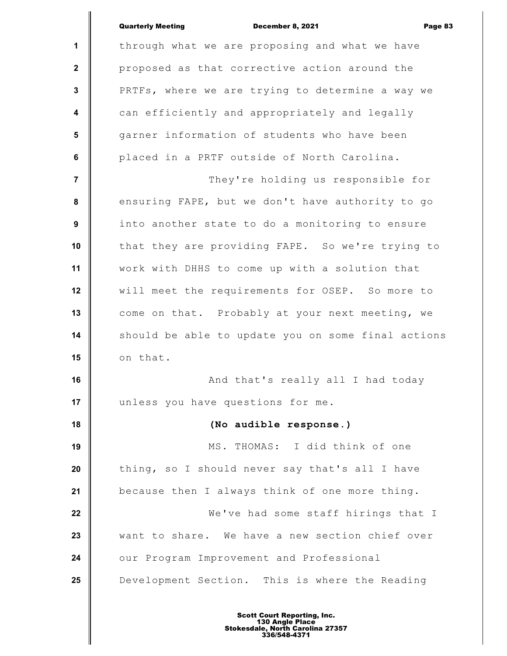|                         | <b>Quarterly Meeting</b><br>December 8, 2021<br>Page 83 |
|-------------------------|---------------------------------------------------------|
| 1                       | through what we are proposing and what we have          |
| $\mathbf{2}$            | proposed as that corrective action around the           |
| 3                       | PRTFs, where we are trying to determine a way we        |
| $\overline{\mathbf{4}}$ | can efficiently and appropriately and legally           |
| $5\phantom{.0}$         | garner information of students who have been            |
| 6                       | placed in a PRTF outside of North Carolina.             |
| $\overline{7}$          | They're holding us responsible for                      |
| 8                       | ensuring FAPE, but we don't have authority to go        |
| 9                       | into another state to do a monitoring to ensure         |
| 10                      | that they are providing FAPE. So we're trying to        |
| 11                      | work with DHHS to come up with a solution that          |
| 12                      | will meet the requirements for OSEP. So more to         |
| 13                      | come on that. Probably at your next meeting, we         |
| 14                      | should be able to update you on some final actions      |
| 15                      | on that.                                                |
| 16                      | And that's really all I had today                       |
| 17                      | unless you have questions for me.                       |
| 18                      | (No audible response.)                                  |
| 19                      | MS. THOMAS: I did think of one                          |
| 20                      | thing, so I should never say that's all I have          |
| 21                      | because then I always think of one more thing.          |
| 22                      | We've had some staff hirings that I                     |
| 23                      | want to share. We have a new section chief over         |
| 24                      | our Program Improvement and Professional                |
| 25                      | Development Section. This is where the Reading          |
|                         |                                                         |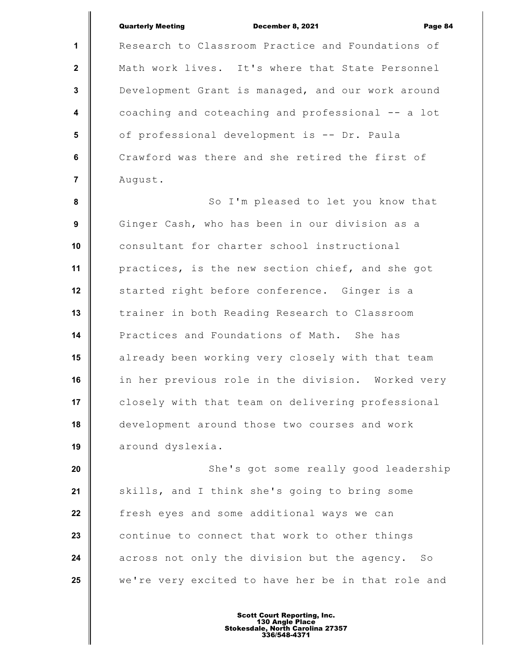| <b>Quarterly Meeting</b> |                                                   | <b>December 8, 2021</b> | Page 84 |
|--------------------------|---------------------------------------------------|-------------------------|---------|
|                          | Research to Classroom Practice and Foundations of |                         |         |
|                          | Math work lives. It's where that State Personnel  |                         |         |
|                          | Development Grant is managed, and our work around |                         |         |
|                          | coaching and coteaching and professional -- a lot |                         |         |
|                          | of professional development is -- Dr. Paula       |                         |         |
|                          | Crawford was there and she retired the first of   |                         |         |
| August.                  |                                                   |                         |         |

**1**

 **2**

 **3**

 **4**

 **5**

 **6**

 **7**

 **8 9 10 11 12 13 14 15 16 17 18 19** So I'm pleased to let you know that Ginger Cash, who has been in our division as a consultant for charter school instructional practices, is the new section chief, and she got started right before conference. Ginger is a trainer in both Reading Research to Classroom Practices and Foundations of Math. She has already been working very closely with that team in her previous role in the division. Worked very closely with that team on delivering professional development around those two courses and work around dyslexia.

**20 21 22 23 24 25** She's got some really good leadership skills, and I think she's going to bring some fresh eyes and some additional ways we can continue to connect that work to other things across not only the division but the agency. So we're very excited to have her be in that role and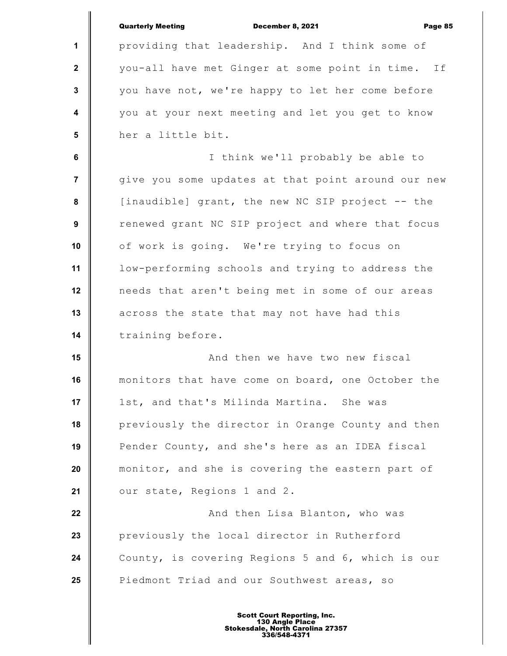|                         | <b>Quarterly Meeting</b><br><b>December 8, 2021</b><br>Page 85 |
|-------------------------|----------------------------------------------------------------|
| 1                       | providing that leadership. And I think some of                 |
| $\mathbf{2}$            | you-all have met Ginger at some point in time. If              |
| 3                       | you have not, we're happy to let her come before               |
| $\overline{\mathbf{4}}$ | you at your next meeting and let you get to know               |
| 5                       | her a little bit.                                              |
| 6                       | I think we'll probably be able to                              |
| $\overline{7}$          | give you some updates at that point around our new             |
| 8                       | [inaudible] grant, the new NC SIP project -- the               |
| 9                       | renewed grant NC SIP project and where that focus              |
| 10                      | of work is going. We're trying to focus on                     |
| 11                      | low-performing schools and trying to address the               |
| 12                      | needs that aren't being met in some of our areas               |
| 13                      | across the state that may not have had this                    |
| 14                      | training before.                                               |
| 15                      | And then we have two new fiscal                                |
| 16                      | monitors that have come on board, one October the              |
| 17                      | 1st, and that's Milinda Martina. She was                       |
| 18                      | previously the director in Orange County and then              |
| 19                      | Pender County, and she's here as an IDEA fiscal                |
| 20                      | monitor, and she is covering the eastern part of               |
| 21                      | our state, Regions 1 and 2.                                    |
| 22                      | And then Lisa Blanton, who was                                 |
| 23                      | previously the local director in Rutherford                    |
| 24                      | County, is covering Regions 5 and 6, which is our              |
| 25                      | Piedmont Triad and our Southwest areas, so                     |
|                         |                                                                |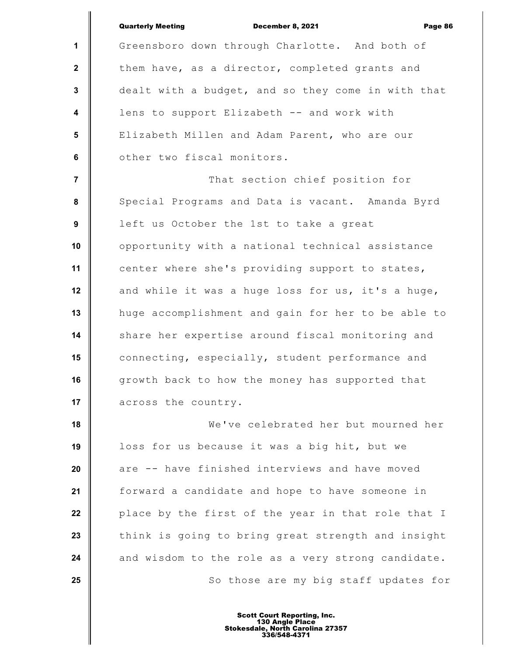|                         | <b>Quarterly Meeting</b><br>December 8, 2021<br>Page 86 |
|-------------------------|---------------------------------------------------------|
| $\mathbf{1}$            | Greensboro down through Charlotte. And both of          |
| $\mathbf{2}$            | them have, as a director, completed grants and          |
| $\mathbf{3}$            | dealt with a budget, and so they come in with that      |
| $\overline{\mathbf{4}}$ | lens to support Elizabeth -- and work with              |
| 5                       | Elizabeth Millen and Adam Parent, who are our           |
| 6                       | other two fiscal monitors.                              |
| $\overline{7}$          | That section chief position for                         |
| 8                       | Special Programs and Data is vacant. Amanda Byrd        |
| 9                       | left us October the 1st to take a great                 |
| 10                      | opportunity with a national technical assistance        |
| 11                      | center where she's providing support to states,         |
| 12                      | and while it was a huge loss for us, it's a huge,       |
| 13                      | huge accomplishment and gain for her to be able to      |
| 14                      | share her expertise around fiscal monitoring and        |
| 15                      | connecting, especially, student performance and         |
| 16                      | growth back to how the money has supported that         |
| 17                      | across the country.                                     |
| 18                      | We've celebrated her but mourned her                    |
| 19                      | loss for us because it was a big hit, but we            |
| 20                      | are -- have finished interviews and have moved          |
| 21                      | forward a candidate and hope to have someone in         |
| 22                      | place by the first of the year in that role that I      |
| 23                      | think is going to bring great strength and insight      |
| 24                      | and wisdom to the role as a very strong candidate.      |
| 25                      | So those are my big staff updates for                   |
|                         |                                                         |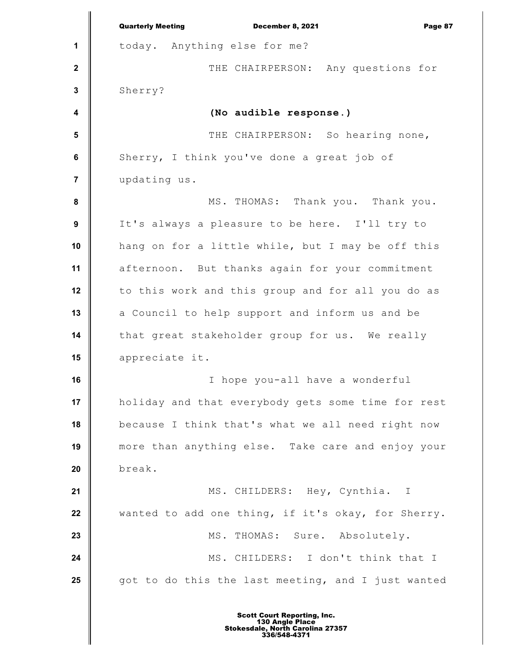**1 2 3 4 5 6 7 8 9 10 11 12 13 14 15 16 17 18 19 20 21 22 23 24 25** Quarterly Meeting December 8, 2021 Page 87 today. Anything else for me? THE CHAIRPERSON: Any questions for Sherry? **(No audible response.)** THE CHAIRPERSON: So hearing none, Sherry, I think you've done a great job of updating us. MS. THOMAS: Thank you. Thank you. It's always a pleasure to be here. I'll try to hang on for a little while, but I may be off this afternoon. But thanks again for your commitment to this work and this group and for all you do as a Council to help support and inform us and be that great stakeholder group for us. We really appreciate it. I hope you-all have a wonderful holiday and that everybody gets some time for rest because I think that's what we all need right now more than anything else. Take care and enjoy your break. MS. CHILDERS: Hey, Cynthia. I wanted to add one thing, if it's okay, for Sherry. MS. THOMAS: Sure. Absolutely. MS. CHILDERS: I don't think that I got to do this the last meeting, and I just wanted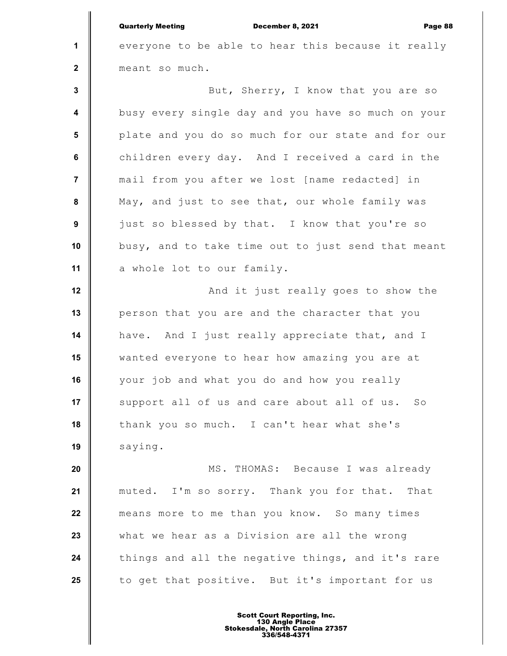**1 2 3 4 5 6 7 8 9 10 11 12 13 14 15 16 17 18 19 20 21 22 23 24 25** Quarterly Meeting December 8, 2021 Page 88 everyone to be able to hear this because it really meant so much. But, Sherry, I know that you are so busy every single day and you have so much on your plate and you do so much for our state and for our children every day. And I received a card in the mail from you after we lost [name redacted] in May, and just to see that, our whole family was just so blessed by that. I know that you're so busy, and to take time out to just send that meant a whole lot to our family. And it just really goes to show the person that you are and the character that you have. And I just really appreciate that, and I wanted everyone to hear how amazing you are at your job and what you do and how you really support all of us and care about all of us. So thank you so much. I can't hear what she's saying. MS. THOMAS: Because I was already muted. I'm so sorry. Thank you for that. That means more to me than you know. So many times what we hear as a Division are all the wrong things and all the negative things, and it's rare to get that positive. But it's important for us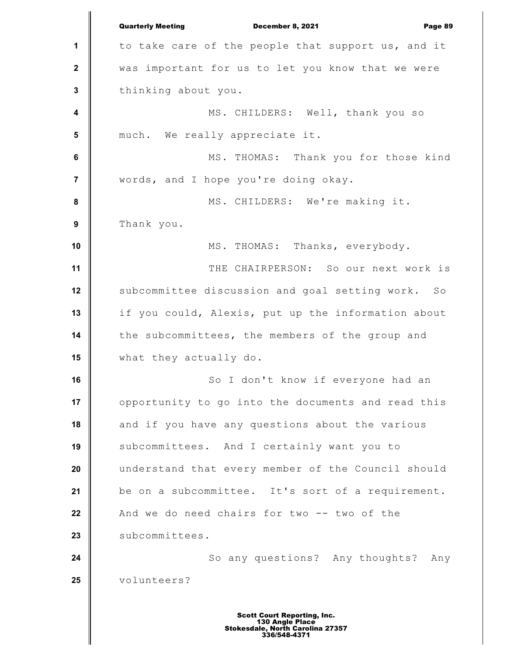**1 2 3 4 5 6 7 8 9 10 11 12 13 14 15 16 17 18 19 20 21 22 23 24 25** Quarterly Meeting December 8, 2021 Page 89 to take care of the people that support us, and it was important for us to let you know that we were thinking about you. MS. CHILDERS: Well, thank you so much. We really appreciate it. MS. THOMAS: Thank you for those kind words, and I hope you're doing okay. MS. CHILDERS: We're making it. Thank you. MS. THOMAS: Thanks, everybody. THE CHAIRPERSON: So our next work is subcommittee discussion and goal setting work. So if you could, Alexis, put up the information about the subcommittees, the members of the group and what they actually do. So I don't know if everyone had an opportunity to go into the documents and read this and if you have any questions about the various subcommittees. And I certainly want you to understand that every member of the Council should be on a subcommittee. It's sort of a requirement. And we do need chairs for two -- two of the subcommittees. So any questions? Any thoughts? Any volunteers?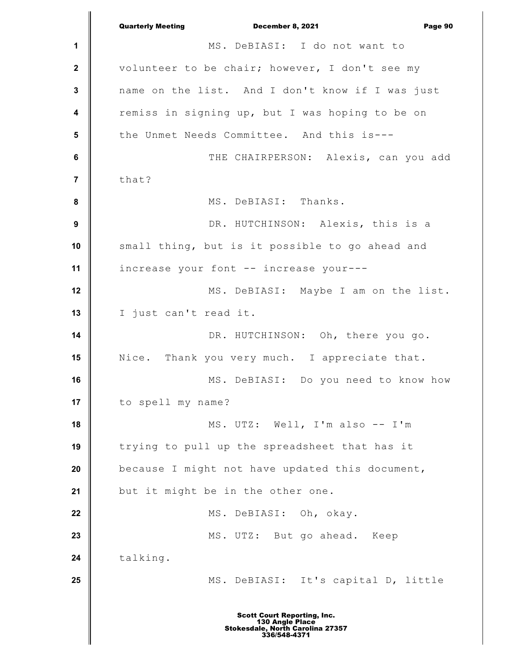**1 2 3 4 5 6 7 8 9 10 11 12 13 14 15 16 17 18 19 20 21 22 23 24 25** Quarterly Meeting December 8, 2021 Page 90 MS. DeBIASI: I do not want to volunteer to be chair; however, I don't see my name on the list. And I don't know if I was just remiss in signing up, but I was hoping to be on the Unmet Needs Committee. And this is--- THE CHAIRPERSON: Alexis, can you add that? MS. DeBIASI: Thanks. DR. HUTCHINSON: Alexis, this is a small thing, but is it possible to go ahead and increase your font -- increase your--- MS. DeBIASI: Maybe I am on the list. I just can't read it. DR. HUTCHINSON: Oh, there you go. Nice. Thank you very much. I appreciate that. MS. DeBIASI: Do you need to know how to spell my name? MS. UTZ: Well, I'm also -- I'm trying to pull up the spreadsheet that has it because I might not have updated this document, but it might be in the other one. MS. DeBIASI: Oh, okay. MS. UTZ: But go ahead. Keep talking. MS. DeBIASI: It's capital D, little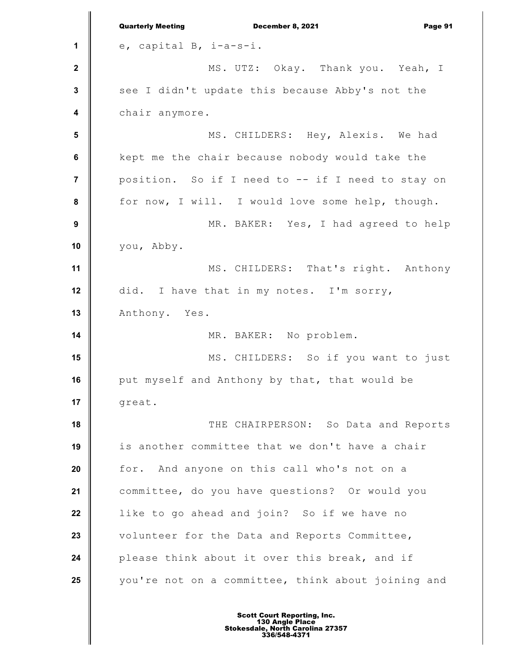|                         | <b>Quarterly Meeting</b><br>December 8, 2021<br>Page 91 |
|-------------------------|---------------------------------------------------------|
| 1                       | e, capital B, i-a-s-i.                                  |
| $\mathbf{2}$            | MS. UTZ: Okay. Thank you. Yeah, I                       |
| $\mathbf{3}$            | see I didn't update this because Abby's not the         |
| $\overline{\mathbf{4}}$ | chair anymore.                                          |
| $5\phantom{.0}$         | MS. CHILDERS: Hey, Alexis. We had                       |
| $\bf 6$                 | kept me the chair because nobody would take the         |
| $\overline{7}$          | position. So if I need to -- if I need to stay on       |
| 8                       | for now, I will. I would love some help, though.        |
| $\boldsymbol{9}$        | MR. BAKER: Yes, I had agreed to help                    |
| 10                      | you, Abby.                                              |
| 11                      | MS. CHILDERS: That's right. Anthony                     |
| 12                      | did. I have that in my notes. I'm sorry,                |
| 13                      | Anthony. Yes.                                           |
| 14                      | MR. BAKER: No problem.                                  |
| 15                      | MS. CHILDERS: So if you want to just                    |
| 16                      | put myself and Anthony by that, that would be           |
| 17                      | great.                                                  |
| 18                      | THE CHAIRPERSON: So Data and Reports                    |
| 19                      | is another committee that we don't have a chair         |
| 20                      | for. And anyone on this call who's not on a             |
| 21                      | committee, do you have questions? Or would you          |
| 22                      | like to go ahead and join? So if we have no             |
| 23                      | volunteer for the Data and Reports Committee,           |
| 24                      | please think about it over this break, and if           |
| 25                      | you're not on a committee, think about joining and      |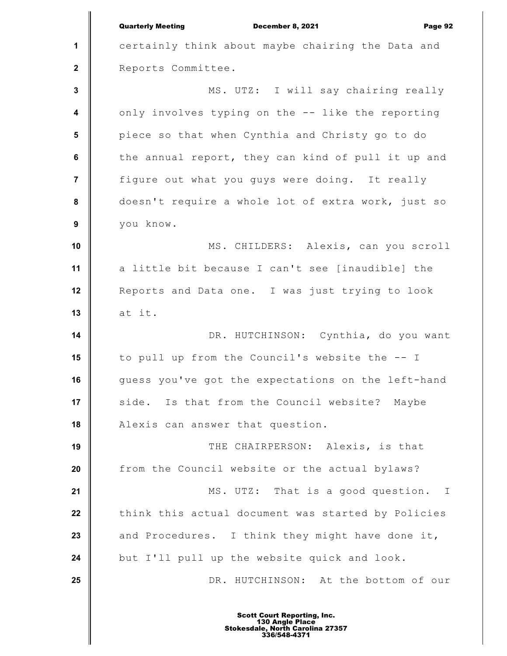|                  | <b>Quarterly Meeting</b><br>December 8, 2021<br>Page 92 |
|------------------|---------------------------------------------------------|
| $\mathbf{1}$     | certainly think about maybe chairing the Data and       |
| $\mathbf{2}$     | Reports Committee.                                      |
| $\mathbf 3$      | MS. UTZ: I will say chairing really                     |
| $\boldsymbol{4}$ | only involves typing on the -- like the reporting       |
| $5\phantom{1}$   | piece so that when Cynthia and Christy go to do         |
| 6                | the annual report, they can kind of pull it up and      |
| $\overline{7}$   | figure out what you guys were doing. It really          |
| $\pmb{8}$        | doesn't require a whole lot of extra work, just so      |
| $\boldsymbol{9}$ | you know.                                               |
| 10               | MS. CHILDERS: Alexis, can you scroll                    |
| 11               | a little bit because I can't see [inaudible] the        |
| 12               | Reports and Data one. I was just trying to look         |
| 13               | at it.                                                  |
| 14               | DR. HUTCHINSON: Cynthia, do you want                    |
| 15               | to pull up from the Council's website the -- I          |
| 16               | guess you've got the expectations on the left-hand      |
| 17               | side. Is that from the Council website?<br>Maybe        |
| 18               | Alexis can answer that question.                        |
| 19               | THE CHAIRPERSON: Alexis, is that                        |
| 20               | from the Council website or the actual bylaws?          |
| 21               | MS. UTZ: That is a good question.<br>$\mathbb{I}$       |
| 22               | think this actual document was started by Policies      |
| 23               | and Procedures. I think they might have done it,        |
| 24               | but I'll pull up the website quick and look.            |
| 25               | DR. HUTCHINSON: At the bottom of our                    |
|                  |                                                         |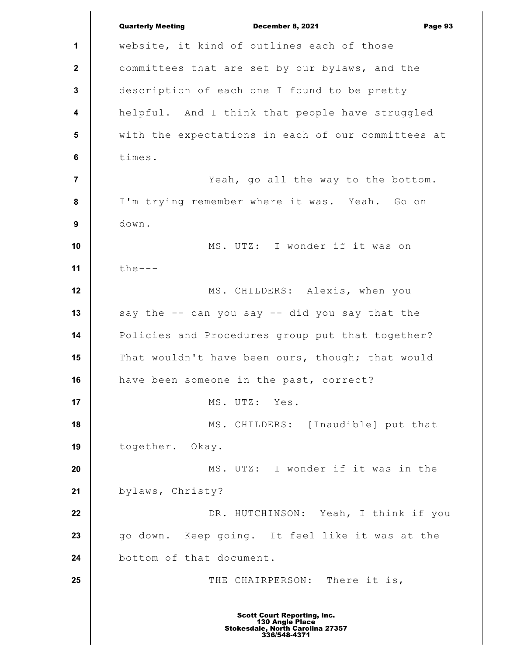**1 2 3 4 5 6 7 8 9 10 11 12 13 14 15 16 17 18 19 20 21 22 23 24 25** Quarterly Meeting December 8, 2021 Page 93 website, it kind of outlines each of those committees that are set by our bylaws, and the description of each one I found to be pretty helpful. And I think that people have struggled with the expectations in each of our committees at times. Yeah, go all the way to the bottom. I'm trying remember where it was. Yeah. Go on down. MS. UTZ: I wonder if it was on  $the--$ MS. CHILDERS: Alexis, when you say the -- can you say -- did you say that the Policies and Procedures group put that together? That wouldn't have been ours, though; that would have been someone in the past, correct? MS. UTZ: Yes. MS. CHILDERS: [Inaudible] put that together. Okay. MS. UTZ: I wonder if it was in the bylaws, Christy? DR. HUTCHINSON: Yeah, I think if you go down. Keep going. It feel like it was at the bottom of that document. THE CHAIRPERSON: There it is, Scott Court Reporting, Inc. 130 Angle Place Stokesdale, North Carolina 27357 336/548-4371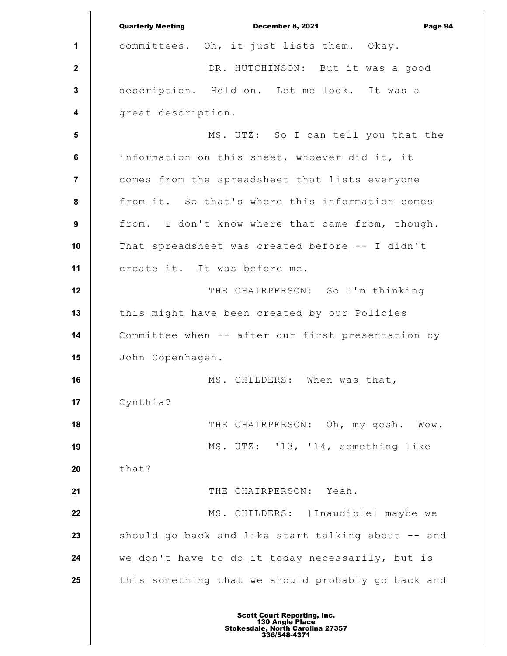**1 2 3 4 5 6 7 8 9 10 11 12 13 14 15 16 17 18 19 20 21 22 23 24 25** Quarterly Meeting December 8, 2021 Page 94 committees. Oh, it just lists them. Okay. DR. HUTCHINSON: But it was a good description. Hold on. Let me look. It was a great description. MS. UTZ: So I can tell you that the information on this sheet, whoever did it, it comes from the spreadsheet that lists everyone from it. So that's where this information comes from. I don't know where that came from, though. That spreadsheet was created before -- I didn't create it. It was before me. THE CHAIRPERSON: So I'm thinking this might have been created by our Policies Committee when -- after our first presentation by John Copenhagen. MS. CHILDERS: When was that, Cynthia? THE CHAIRPERSON: Oh, my gosh. Wow. MS. UTZ: '13, '14, something like that? THE CHAIRPERSON: Yeah. MS. CHILDERS: [Inaudible] maybe we should go back and like start talking about -- and we don't have to do it today necessarily, but is this something that we should probably go back and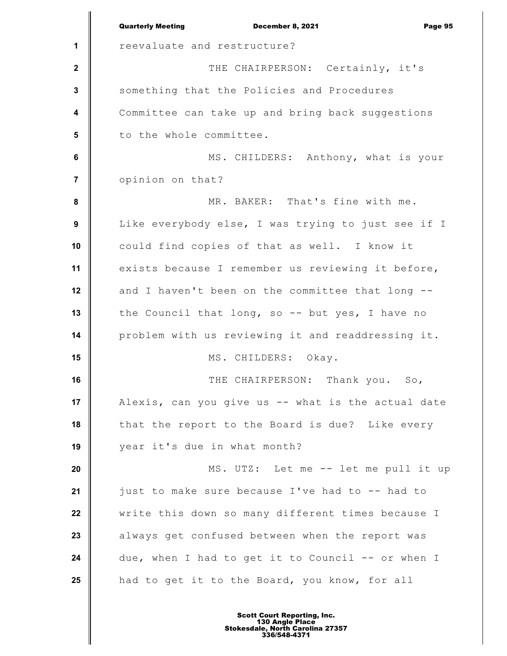|                  | <b>Quarterly Meeting</b><br>December 8, 2021<br>Page 95 |
|------------------|---------------------------------------------------------|
| 1                | reevaluate and restructure?                             |
| $\boldsymbol{2}$ | THE CHAIRPERSON: Certainly, it's                        |
| 3                | something that the Policies and Procedures              |
| 4                | Committee can take up and bring back suggestions        |
| $5\phantom{1}$   | to the whole committee.                                 |
| 6                | MS. CHILDERS: Anthony, what is your                     |
| $\overline{7}$   | opinion on that?                                        |
| 8                | MR. BAKER: That's fine with me.                         |
| $\boldsymbol{9}$ | Like everybody else, I was trying to just see if I      |
| 10               | could find copies of that as well. I know it            |
| 11               | exists because I remember us reviewing it before,       |
| 12               | and I haven't been on the committee that long --        |
| 13               | the Council that long, so -- but yes, I have no         |
| 14               | problem with us reviewing it and readdressing it.       |
| 15               | MS. CHILDERS: Okay.                                     |
| 16               | THE CHAIRPERSON: Thank you. So,                         |
| 17               | Alexis, can you give us -- what is the actual date      |
| 18               | that the report to the Board is due? Like every         |
| 19               | year it's due in what month?                            |
| 20               | MS. UTZ: Let me -- let me pull it up                    |
| 21               | just to make sure because I've had to -- had to         |
| 22               | write this down so many different times because I       |
| 23               | always get confused between when the report was         |
| 24               | due, when I had to get it to Council -- or when I       |
| 25               | had to get it to the Board, you know, for all           |
|                  |                                                         |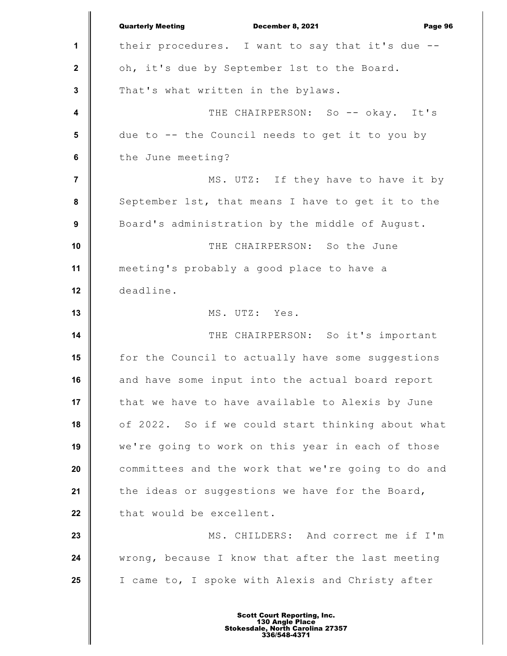**1 2 3 4 5 6 7 8 9 10 11 12 13 14 15 16 17 18 19 20 21 22 23 24 25** Quarterly Meeting December 8, 2021 Page 96 their procedures. I want to say that it's due - oh, it's due by September 1st to the Board. That's what written in the bylaws. THE CHAIRPERSON: So -- okay. It's due to -- the Council needs to get it to you by the June meeting? MS. UTZ: If they have to have it by September 1st, that means I have to get it to the Board's administration by the middle of August. THE CHAIRPERSON: So the June meeting's probably a good place to have a deadline. MS. UTZ: Yes. THE CHAIRPERSON: So it's important for the Council to actually have some suggestions and have some input into the actual board report that we have to have available to Alexis by June of 2022. So if we could start thinking about what we're going to work on this year in each of those committees and the work that we're going to do and the ideas or suggestions we have for the Board, that would be excellent. MS. CHILDERS: And correct me if I'm wrong, because I know that after the last meeting I came to, I spoke with Alexis and Christy after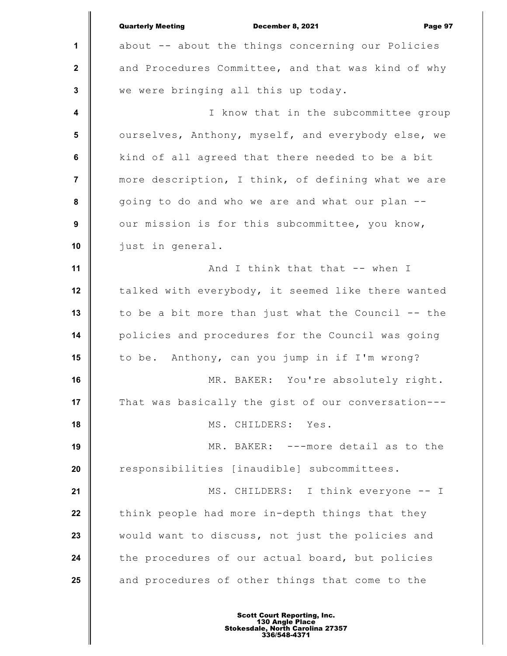|                         | <b>Quarterly Meeting</b><br>December 8, 2021<br>Page 97 |
|-------------------------|---------------------------------------------------------|
| 1                       | about -- about the things concerning our Policies       |
| $\mathbf{2}$            | and Procedures Committee, and that was kind of why      |
| $\mathbf{3}$            | we were bringing all this up today.                     |
| $\overline{\mathbf{4}}$ | I know that in the subcommittee group                   |
| 5                       | ourselves, Anthony, myself, and everybody else, we      |
| 6                       | kind of all agreed that there needed to be a bit        |
| $\overline{7}$          | more description, I think, of defining what we are      |
| 8                       | going to do and who we are and what our plan --         |
| 9                       | our mission is for this subcommittee, you know,         |
| 10                      | just in general.                                        |
| 11                      | And I think that that -- when I                         |
| 12                      | talked with everybody, it seemed like there wanted      |
| 13                      | to be a bit more than just what the Council -- the      |
| 14                      | policies and procedures for the Council was going       |
| 15                      | Anthony, can you jump in if I'm wrong?<br>to be.        |
| 16                      | MR. BAKER: You're absolutely right.                     |
| 17                      | That was basically the gist of our conversation---      |
| 18                      | MS. CHILDERS: Yes.                                      |
| 19                      | ---more detail as to the<br>MR. BAKER:                  |
| 20                      | responsibilities [inaudible] subcommittees.             |
| 21                      | MS. CHILDERS: I think everyone -- I                     |
| 22                      | think people had more in-depth things that they         |
| 23                      | would want to discuss, not just the policies and        |
| 24                      | the procedures of our actual board, but policies        |
| 25                      | and procedures of other things that come to the         |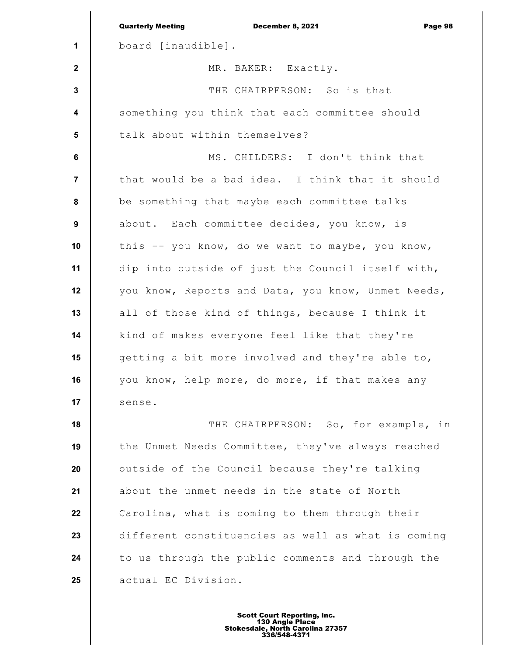|                         | <b>Quarterly Meeting</b><br>December 8, 2021<br>Page 98 |
|-------------------------|---------------------------------------------------------|
| 1                       | board [inaudible].                                      |
| $\mathbf{2}$            | MR. BAKER: Exactly.                                     |
| $\mathbf{3}$            | THE CHAIRPERSON: So is that                             |
| $\overline{\mathbf{4}}$ | something you think that each committee should          |
| $5\phantom{1}$          | talk about within themselves?                           |
| $\bf 6$                 | MS. CHILDERS: I don't think that                        |
| $\overline{7}$          | that would be a bad idea. I think that it should        |
| $\pmb{8}$               | be something that maybe each committee talks            |
| $\boldsymbol{9}$        | about. Each committee decides, you know, is             |
| 10                      | this -- you know, do we want to maybe, you know,        |
| 11                      | dip into outside of just the Council itself with,       |
| 12                      | you know, Reports and Data, you know, Unmet Needs,      |
| 13                      | all of those kind of things, because I think it         |
| 14                      | kind of makes everyone feel like that they're           |
| 15                      | getting a bit more involved and they're able to,        |
| 16                      | you know, help more, do more, if that makes any         |
| 17                      | sense.                                                  |
| 18                      | THE CHAIRPERSON: So, for example, in                    |
| 19                      | the Unmet Needs Committee, they've always reached       |
| 20                      | outside of the Council because they're talking          |
| 21                      | about the unmet needs in the state of North             |
| 22                      | Carolina, what is coming to them through their          |
| 23                      | different constituencies as well as what is coming      |
| 24                      | to us through the public comments and through the       |
| 25                      | actual EC Division.                                     |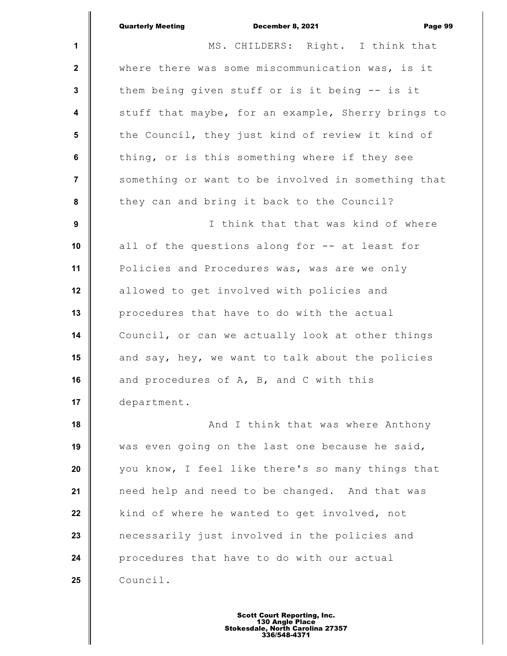|                         | <b>Quarterly Meeting</b><br>December 8, 2021<br>Page 99 |
|-------------------------|---------------------------------------------------------|
| $\mathbf{1}$            | MS. CHILDERS: Right. I think that                       |
| $\mathbf{2}$            | where there was some miscommunication was, is it        |
| $\mathbf{3}$            | them being given stuff or is it being -- is it          |
| $\overline{\mathbf{4}}$ | stuff that maybe, for an example, Sherry brings to      |
| 5                       | the Council, they just kind of review it kind of        |
| 6                       | thing, or is this something where if they see           |
| $\overline{7}$          | something or want to be involved in something that      |
| 8                       | they can and bring it back to the Council?              |
| 9                       | I think that that was kind of where                     |
| 10                      | all of the questions along for -- at least for          |
| 11                      | Policies and Procedures was, was are we only            |
| 12                      | allowed to get involved with policies and               |
| 13                      | procedures that have to do with the actual              |
| 14                      | Council, or can we actually look at other things        |
| 15                      | and say, hey, we want to talk about the policies        |
| 16                      | and procedures of A, B, and C with this                 |
| 17                      | department.                                             |
| 18                      | And I think that was where Anthony                      |
| 19                      | was even going on the last one because he said,         |
| 20                      | you know, I feel like there's so many things that       |
| 21                      | need help and need to be changed. And that was          |
| 22                      | kind of where he wanted to get involved, not            |
| 23                      | necessarily just involved in the policies and           |
| 24                      | procedures that have to do with our actual              |
| 25                      | Council.                                                |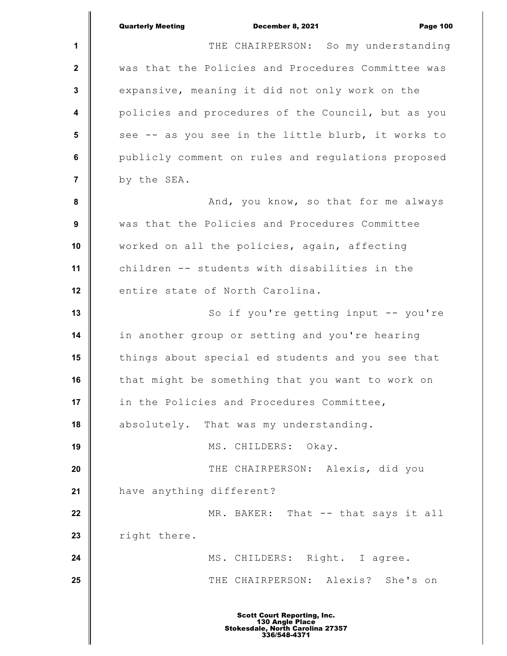|                         | <b>Quarterly Meeting</b><br>December 8, 2021<br><b>Page 100</b> |
|-------------------------|-----------------------------------------------------------------|
| 1                       | THE CHAIRPERSON: So my understanding                            |
| $\mathbf{2}$            | was that the Policies and Procedures Committee was              |
| $\mathbf 3$             | expansive, meaning it did not only work on the                  |
| $\overline{\mathbf{4}}$ | policies and procedures of the Council, but as you              |
| 5                       | see -- as you see in the little blurb, it works to              |
| 6                       | publicly comment on rules and regulations proposed              |
| $\overline{7}$          | by the SEA.                                                     |
| $\pmb{8}$               | And, you know, so that for me always                            |
| $\boldsymbol{9}$        | was that the Policies and Procedures Committee                  |
| 10                      | worked on all the policies, again, affecting                    |
| 11                      | children -- students with disabilities in the                   |
| 12                      | entire state of North Carolina.                                 |
| 13                      | So if you're getting input -- you're                            |
| 14                      | in another group or setting and you're hearing                  |
| 15                      | things about special ed students and you see that               |
| 16                      | that might be something that you want to work on                |
| 17                      | in the Policies and Procedures Committee,                       |
| 18                      | absolutely. That was my understanding.                          |
| 19                      | MS. CHILDERS: Okay.                                             |
| 20                      | THE CHAIRPERSON: Alexis, did you                                |
| 21                      | have anything different?                                        |
| 22                      | MR. BAKER: That -- that says it all                             |
| 23                      | right there.                                                    |
| 24                      | MS. CHILDERS: Right. I agree.                                   |
| 25                      | THE CHAIRPERSON: Alexis? She's on                               |
|                         | <b>Scott Court Reporting, Inc.</b>                              |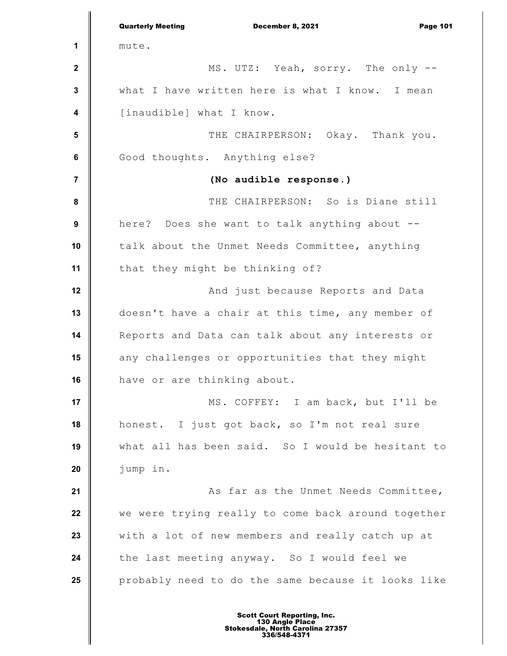**1 2 3 4 5 6 7 8 9 10 11 12 13 14 15 16 17 18 19 20 21 22 23 24 25** Quarterly Meeting December 8, 2021 Page 101 mute. MS. UTZ: Yeah, sorry. The only - what I have written here is what I know. I mean [inaudible] what I know. THE CHAIRPERSON: Okay. Thank you. Good thoughts. Anything else? **(No audible response.)** THE CHAIRPERSON: So is Diane still here? Does she want to talk anything about - talk about the Unmet Needs Committee, anything that they might be thinking of? And just because Reports and Data doesn't have a chair at this time, any member of Reports and Data can talk about any interests or any challenges or opportunities that they might have or are thinking about. MS. COFFEY: I am back, but I'll be honest. I just got back, so I'm not real sure what all has been said. So I would be hesitant to jump in. As far as the Unmet Needs Committee, we were trying really to come back around together with a lot of new members and really catch up at the last meeting anyway. So I would feel we probably need to do the same because it looks like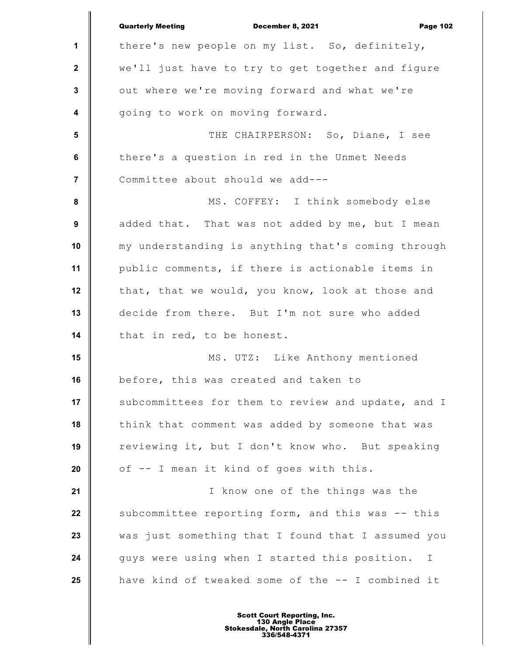|                         | <b>Quarterly Meeting</b><br>December 8, 2021<br><b>Page 102</b> |
|-------------------------|-----------------------------------------------------------------|
| 1                       | there's new people on my list. So, definitely,                  |
| $\mathbf{2}$            | we'll just have to try to get together and figure               |
| $\mathbf{3}$            | out where we're moving forward and what we're                   |
| $\overline{\mathbf{4}}$ | going to work on moving forward.                                |
| 5                       | THE CHAIRPERSON: So, Diane, I see                               |
| 6                       | there's a question in red in the Unmet Needs                    |
| $\overline{7}$          | Committee about should we add---                                |
| 8                       | MS. COFFEY: I think somebody else                               |
| 9                       | added that. That was not added by me, but I mean                |
| 10                      | my understanding is anything that's coming through              |
| 11                      | public comments, if there is actionable items in                |
| 12                      | that, that we would, you know, look at those and                |
| 13                      | decide from there. But I'm not sure who added                   |
| 14                      | that in red, to be honest.                                      |
| 15                      | MS. UTZ: Like Anthony mentioned                                 |
| 16                      | before, this was created and taken to                           |
| 17                      | subcommittees for them to review and update, and I              |
| 18                      | think that comment was added by someone that was                |
| 19                      | reviewing it, but I don't know who. But speaking                |
| 20                      | of -- I mean it kind of goes with this.                         |
| 21                      | I know one of the things was the                                |
| 22                      | subcommittee reporting form, and this was -- this               |
| 23                      | was just something that I found that I assumed you              |
| 24                      | guys were using when I started this position.<br>$\mathbf{I}$   |
| 25                      | have kind of tweaked some of the -- I combined it               |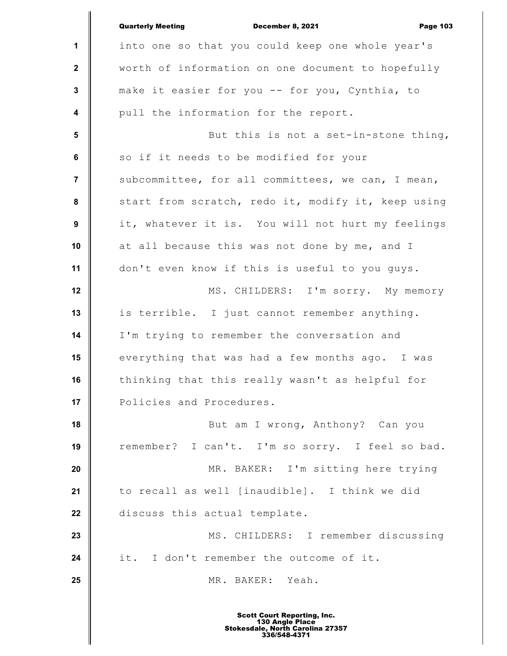|                         | <b>Quarterly Meeting</b><br>December 8, 2021<br><b>Page 103</b> |
|-------------------------|-----------------------------------------------------------------|
| $\mathbf 1$             | into one so that you could keep one whole year's                |
| $\mathbf{2}$            | worth of information on one document to hopefully               |
| $\mathbf{3}$            | make it easier for you -- for you, Cynthia, to                  |
| $\overline{\mathbf{4}}$ | pull the information for the report.                            |
| $5\phantom{.0}$         | But this is not a set-in-stone thing,                           |
| 6                       | so if it needs to be modified for your                          |
| $\overline{7}$          | subcommittee, for all committees, we can, I mean,               |
| 8                       | start from scratch, redo it, modify it, keep using              |
| 9                       | it, whatever it is. You will not hurt my feelings               |
| 10                      | at all because this was not done by me, and I                   |
| 11                      | don't even know if this is useful to you guys.                  |
| 12                      | MS. CHILDERS: I'm sorry. My memory                              |
| 13                      | is terrible. I just cannot remember anything.                   |
| 14                      | I'm trying to remember the conversation and                     |
| 15                      | everything that was had a few months ago. I was                 |
| 16                      | thinking that this really wasn't as helpful for                 |
| 17                      | Policies and Procedures.                                        |
| 18                      | But am I wrong, Anthony? Can you                                |
| 19                      | remember? I can't. I'm so sorry. I feel so bad.                 |
| 20                      | MR. BAKER: I'm sitting here trying                              |
| 21                      | to recall as well [inaudible]. I think we did                   |
| 22                      | discuss this actual template.                                   |
| 23                      | MS. CHILDERS: I remember discussing                             |
| 24                      | I don't remember the outcome of it.<br>it.                      |
| 25                      | MR. BAKER: Yeah.                                                |
|                         |                                                                 |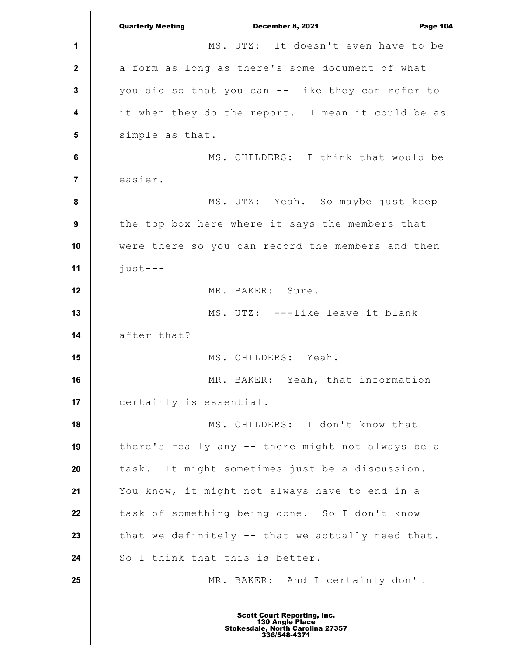**1 2 3 4 5 6 7 8 9 10 11 12 13 14 15 16 17 18 19 20 21 22 23 24 25** Quarterly Meeting December 8, 2021 Page 104 MS. UTZ: It doesn't even have to be a form as long as there's some document of what you did so that you can -- like they can refer to it when they do the report. I mean it could be as simple as that. MS. CHILDERS: I think that would be easier. MS. UTZ: Yeah. So maybe just keep the top box here where it says the members that were there so you can record the members and then just--- MR. BAKER: Sure. MS. UTZ: ---like leave it blank after that? MS. CHILDERS: Yeah. MR. BAKER: Yeah, that information certainly is essential. MS. CHILDERS: I don't know that there's really any -- there might not always be a task. It might sometimes just be a discussion. You know, it might not always have to end in a task of something being done. So I don't know that we definitely -- that we actually need that. So I think that this is better. MR. BAKER: And I certainly don't Scott Court Reporting, Inc. 130 Angle Place Stokesdale, North Carolina 27357 336/548-4371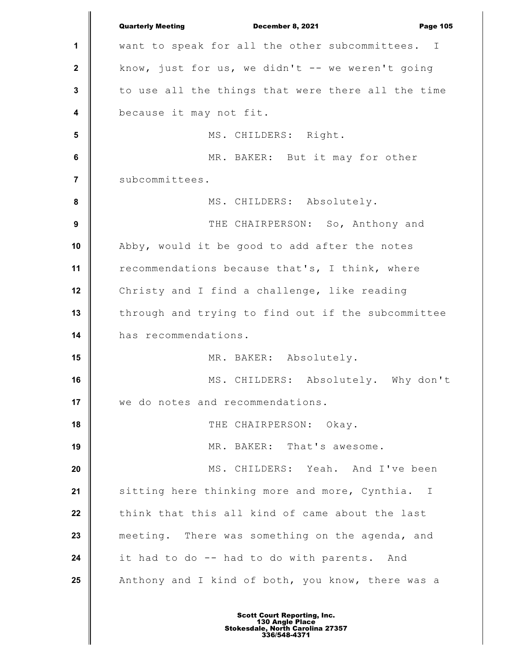**1 2 3 4 5 6 7 8 9 10 11 12 13 14 15 16 17 18 19 20 21 22 23 24 25** Quarterly Meeting December 8, 2021 Page 105 want to speak for all the other subcommittees. I know, just for us, we didn't  $--$  we weren't going to use all the things that were there all the time because it may not fit. MS. CHILDERS: Right. MR. BAKER: But it may for other subcommittees. MS. CHILDERS: Absolutely. THE CHAIRPERSON: So, Anthony and Abby, would it be good to add after the notes recommendations because that's, I think, where Christy and I find a challenge, like reading through and trying to find out if the subcommittee has recommendations. MR. BAKER: Absolutely. MS. CHILDERS: Absolutely. Why don't we do notes and recommendations. THE CHAIRPERSON: Okay. MR. BAKER: That's awesome. MS. CHILDERS: Yeah. And I've been sitting here thinking more and more, Cynthia. I think that this all kind of came about the last meeting. There was something on the agenda, and it had to do -- had to do with parents. And Anthony and I kind of both, you know, there was a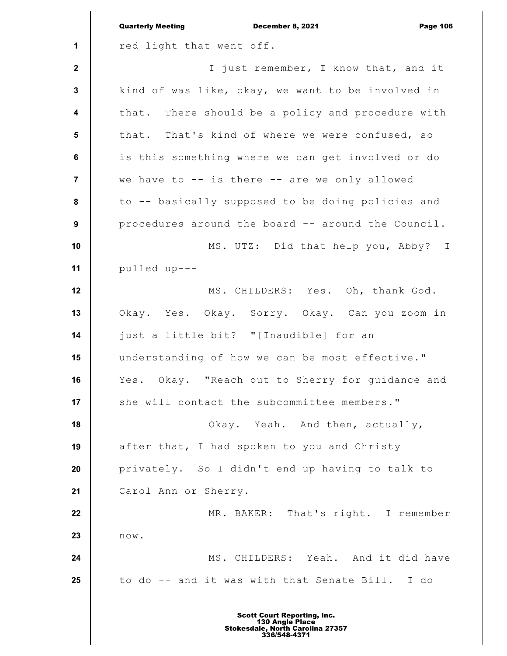|                         | <b>Quarterly Meeting</b><br>December 8, 2021<br><b>Page 106</b> |
|-------------------------|-----------------------------------------------------------------|
| 1                       | red light that went off.                                        |
| $\mathbf{2}$            | I just remember, I know that, and it                            |
| 3                       | kind of was like, okay, we want to be involved in               |
| $\overline{\mathbf{4}}$ | that. There should be a policy and procedure with               |
| $5\phantom{1}$          | that. That's kind of where we were confused, so                 |
| $\bf 6$                 | is this something where we can get involved or do               |
| $\overline{7}$          | we have to -- is there -- are we only allowed                   |
| 8                       | to -- basically supposed to be doing policies and               |
| 9                       | procedures around the board -- around the Council.              |
| 10                      | MS. UTZ: Did that help you, Abby? I                             |
| 11                      | pulled up---                                                    |
| 12                      | MS. CHILDERS: Yes. Oh, thank God.                               |
| 13                      | Okay. Yes. Okay. Sorry. Okay. Can you zoom in                   |
| 14                      | just a little bit? "[Inaudible] for an                          |
| 15                      | understanding of how we can be most effective."                 |
| 16                      | Yes. Okay. "Reach out to Sherry for guidance and                |
| 17                      | she will contact the subcommittee members."                     |
| 18                      | Okay. Yeah. And then, actually,                                 |
| 19                      | after that, I had spoken to you and Christy                     |
| 20                      | privately. So I didn't end up having to talk to                 |
| 21                      | Carol Ann or Sherry.                                            |
| 22                      | MR. BAKER: That's right. I remember                             |
| 23                      | norm.                                                           |
| 24                      | MS. CHILDERS: Yeah. And it did have                             |
| 25                      | to do -- and it was with that Senate Bill. I do                 |
|                         |                                                                 |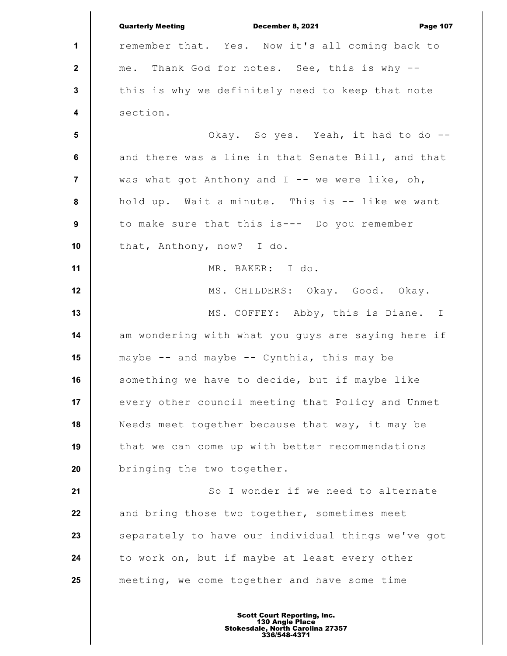|                         | <b>Quarterly Meeting</b><br>December 8, 2021<br><b>Page 107</b> |
|-------------------------|-----------------------------------------------------------------|
| 1                       | remember that. Yes. Now it's all coming back to                 |
| $\mathbf{2}$            | me. Thank God for notes. See, this is why --                    |
| $\mathbf 3$             | this is why we definitely need to keep that note                |
| $\overline{\mathbf{4}}$ | section.                                                        |
| $5\phantom{.0}$         | Okay. So yes. Yeah, it had to do --                             |
| $\bf 6$                 | and there was a line in that Senate Bill, and that              |
| $\overline{7}$          | was what got Anthony and $I$ -- we were like, oh,               |
| 8                       | hold up. Wait a minute. This is -- like we want                 |
| $\boldsymbol{9}$        | to make sure that this is--- Do you remember                    |
| 10                      | that, Anthony, now? I do.                                       |
| 11                      | MR. BAKER: I do.                                                |
| 12                      | MS. CHILDERS: Okay. Good. Okay.                                 |
| 13                      | MS. COFFEY: Abby, this is Diane. I                              |
| 14                      | am wondering with what you guys are saying here if              |
| 15                      | maybe -- and maybe -- Cynthia, this may be                      |
| 16                      | something we have to decide, but if maybe like                  |
| 17                      | every other council meeting that Policy and Unmet               |
| 18                      | Needs meet together because that way, it may be                 |
| 19                      | that we can come up with better recommendations                 |
| 20                      | bringing the two together.                                      |
| 21                      | So I wonder if we need to alternate                             |
| 22                      | and bring those two together, sometimes meet                    |
| 23                      | separately to have our individual things we've got              |
| 24                      | to work on, but if maybe at least every other                   |
| 25                      | meeting, we come together and have some time                    |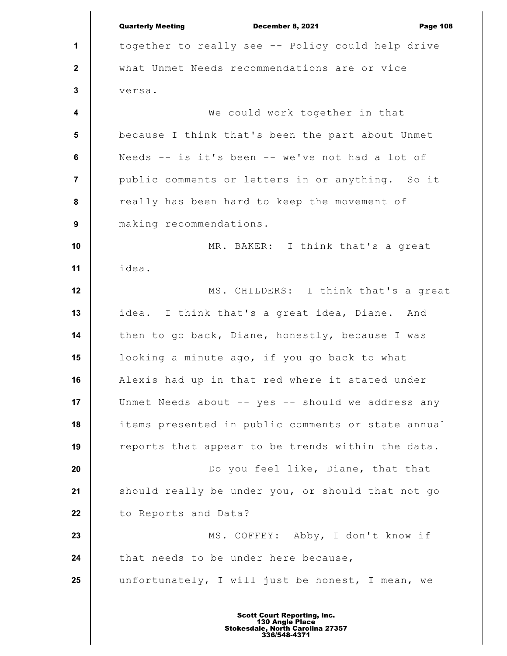|                         | <b>Quarterly Meeting</b><br>December 8, 2021<br><b>Page 108</b> |
|-------------------------|-----------------------------------------------------------------|
| 1                       | together to really see -- Policy could help drive               |
| $\mathbf{2}$            | what Unmet Needs recommendations are or vice                    |
| 3                       | versa.                                                          |
| $\overline{\mathbf{4}}$ | We could work together in that                                  |
| 5                       | because I think that's been the part about Unmet                |
| $\bf 6$                 | Needs -- is it's been -- we've not had a lot of                 |
| $\overline{7}$          | public comments or letters in or anything. So it                |
| 8                       | really has been hard to keep the movement of                    |
| $\boldsymbol{9}$        | making recommendations.                                         |
| 10                      | MR. BAKER: I think that's a great                               |
| 11                      | idea.                                                           |
| 12                      | MS. CHILDERS: I think that's a great                            |
| 13                      | idea. I think that's a great idea, Diane. And                   |
| 14                      | then to go back, Diane, honestly, because I was                 |
| 15                      | looking a minute ago, if you go back to what                    |
| 16                      | Alexis had up in that red where it stated under                 |
| 17                      | Unmet Needs about -- yes -- should we address any               |
| 18                      | items presented in public comments or state annual              |
| 19                      | reports that appear to be trends within the data.               |
| 20                      | Do you feel like, Diane, that that                              |
| 21                      | should really be under you, or should that not go               |
| 22                      | to Reports and Data?                                            |
| 23                      | MS. COFFEY: Abby, I don't know if                               |
| 24                      | that needs to be under here because,                            |
| 25                      | unfortunately, I will just be honest, I mean, we                |
|                         |                                                                 |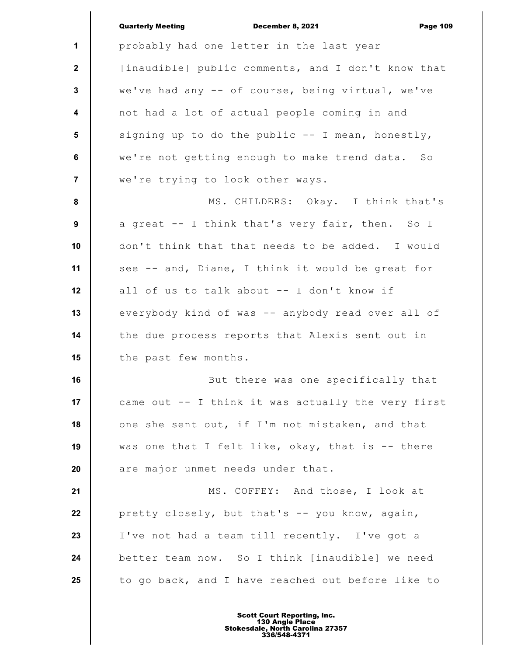|                  | <b>Quarterly Meeting</b><br><b>December 8, 2021</b><br><b>Page 109</b> |
|------------------|------------------------------------------------------------------------|
| 1                | probably had one letter in the last year                               |
| $\mathbf{2}$     | [inaudible] public comments, and I don't know that                     |
| $\mathbf{3}$     | we've had any -- of course, being virtual, we've                       |
| $\boldsymbol{4}$ | not had a lot of actual people coming in and                           |
| 5                | signing up to do the public -- I mean, honestly,                       |
| 6                | we're not getting enough to make trend data. So                        |
| $\overline{7}$   | we're trying to look other ways.                                       |
| 8                | MS. CHILDERS: Okay. I think that's                                     |
| 9                | a great -- I think that's very fair, then. So I                        |
| 10               | don't think that that needs to be added. I would                       |
| 11               | see -- and, Diane, I think it would be great for                       |
| 12               | all of us to talk about -- I don't know if                             |
| 13               | everybody kind of was -- anybody read over all of                      |
| 14               | the due process reports that Alexis sent out in                        |
| 15               | the past few months.                                                   |
| 16               | But there was one specifically that                                    |
| 17               | came out -- I think it was actually the very first                     |
| 18               | one she sent out, if I'm not mistaken, and that                        |
| 19               | was one that I felt like, okay, that is -- there                       |
| 20               | are major unmet needs under that.                                      |
| 21               | MS. COFFEY: And those, I look at                                       |
| 22               | pretty closely, but that's -- you know, again,                         |
| 23               | I've not had a team till recently. I've got a                          |
| 24               | better team now. So I think [inaudible] we need                        |
| 25               | to go back, and I have reached out before like to                      |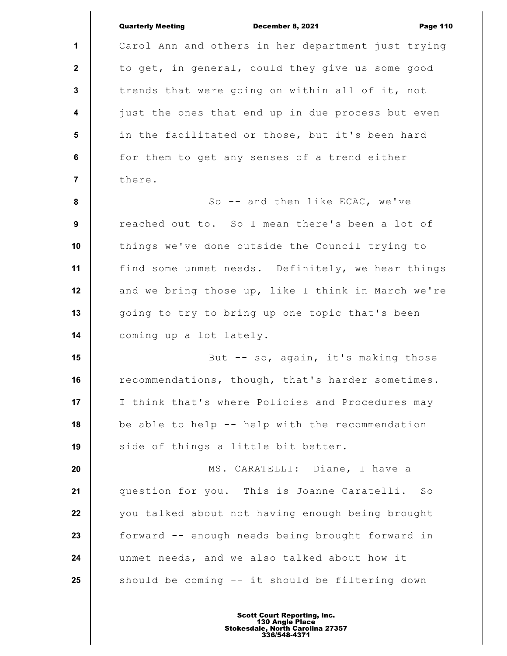|                | <b>Quarterly Meeting</b><br>December 8, 2021<br><b>Page 110</b> |
|----------------|-----------------------------------------------------------------|
| 1              | Carol Ann and others in her department just trying              |
| $\mathbf{2}$   | to get, in general, could they give us some good                |
| $\mathbf 3$    | trends that were going on within all of it, not                 |
| 4              | just the ones that end up in due process but even               |
| 5              | in the facilitated or those, but it's been hard                 |
| 6              | for them to get any senses of a trend either                    |
| $\overline{7}$ | there.                                                          |
| 8              | So -- and then like ECAC, we've                                 |
| 9              | reached out to. So I mean there's been a lot of                 |
| 10             | things we've done outside the Council trying to                 |
| 11             | find some unmet needs. Definitely, we hear things               |
| 12             | and we bring those up, like I think in March we're              |
| 13             | going to try to bring up one topic that's been                  |
| 14             | coming up a lot lately.                                         |
| 15             | But -- so, again, it's making those                             |
| 16             | recommendations, though, that's harder sometimes.               |
| 17             | I think that's where Policies and Procedures may                |
| 18             | be able to help -- help with the recommendation                 |
| 19             | side of things a little bit better.                             |
| 20             | MS. CARATELLI: Diane, I have a                                  |
| 21             | question for you. This is Joanne Caratelli. So                  |
| 22             | you talked about not having enough being brought                |
| 23             | forward -- enough needs being brought forward in                |
| 24             | unmet needs, and we also talked about how it                    |
| 25             | should be coming -- it should be filtering down                 |
|                |                                                                 |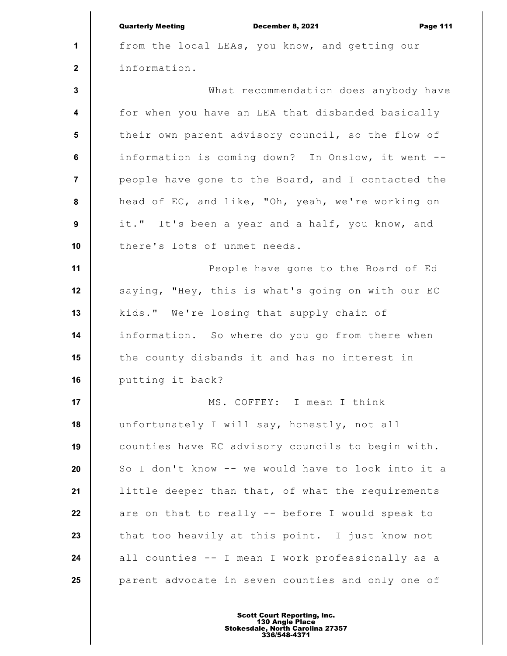|                  | <b>Quarterly Meeting</b><br>December 8, 2021<br><b>Page 111</b> |
|------------------|-----------------------------------------------------------------|
| $\mathbf{1}$     | from the local LEAs, you know, and getting our                  |
| $\mathbf{2}$     | information.                                                    |
| $\mathbf{3}$     | What recommendation does anybody have                           |
| $\boldsymbol{4}$ | for when you have an LEA that disbanded basically               |
| 5                | their own parent advisory council, so the flow of               |
| 6                | information is coming down? In Onslow, it went --               |
| $\overline{7}$   | people have gone to the Board, and I contacted the              |
| 8                | head of EC, and like, "Oh, yeah, we're working on               |
| 9                | it." It's been a year and a half, you know, and                 |
| 10               | there's lots of unmet needs.                                    |
| 11               | People have gone to the Board of Ed                             |
| 12               | saying, "Hey, this is what's going on with our EC               |
| 13               | kids." We're losing that supply chain of                        |
| 14               | information. So where do you go from there when                 |
| 15               | the county disbands it and has no interest in                   |
| 16               | putting it back?                                                |
| 17               | MS. COFFEY: I mean I think                                      |
| 18               | unfortunately I will say, honestly, not all                     |
| 19               | counties have EC advisory councils to begin with.               |
| 20               | So I don't know -- we would have to look into it a              |
| 21               | little deeper than that, of what the requirements               |
| 22               | are on that to really -- before I would speak to                |
| 23               | that too heavily at this point. I just know not                 |
| 24               | all counties -- I mean I work professionally as a               |
| 25               | parent advocate in seven counties and only one of               |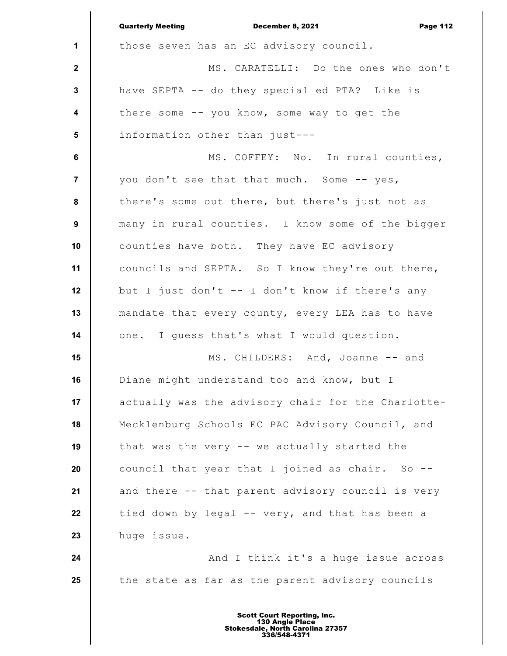|                         | <b>Quarterly Meeting</b><br>December 8, 2021<br><b>Page 112</b> |
|-------------------------|-----------------------------------------------------------------|
| $\mathbf{1}$            | those seven has an EC advisory council.                         |
| $\mathbf{2}$            | MS. CARATELLI: Do the ones who don't                            |
| $\mathbf{3}$            | have SEPTA -- do they special ed PTA? Like is                   |
| $\overline{\mathbf{4}}$ | there some -- you know, some way to get the                     |
| 5                       | information other than just---                                  |
| 6                       | MS. COFFEY: No. In rural counties,                              |
| $\overline{7}$          | you don't see that that much. Some -- yes,                      |
| 8                       | there's some out there, but there's just not as                 |
| $\boldsymbol{9}$        | many in rural counties. I know some of the bigger               |
| 10                      | counties have both. They have EC advisory                       |
| 11                      | councils and SEPTA. So I know they're out there,                |
| 12                      | but I just don't -- I don't know if there's any                 |
| 13                      | mandate that every county, every LEA has to have                |
| 14                      | one. I guess that's what I would question.                      |
| 15                      | MS. CHILDERS: And, Joanne -- and                                |
| 16                      | Diane might understand too and know, but I                      |
| 17                      | actually was the advisory chair for the Charlotte-              |
| 18                      | Mecklenburg Schools EC PAC Advisory Council, and                |
| 19                      | that was the very -- we actually started the                    |
| 20                      | council that year that I joined as chair. So --                 |
| 21                      | and there -- that parent advisory council is very               |
| 22                      | tied down by legal -- very, and that has been a                 |
| 23                      | huge issue.                                                     |
| 24                      | And I think it's a huge issue across                            |
| 25                      | the state as far as the parent advisory councils                |
|                         |                                                                 |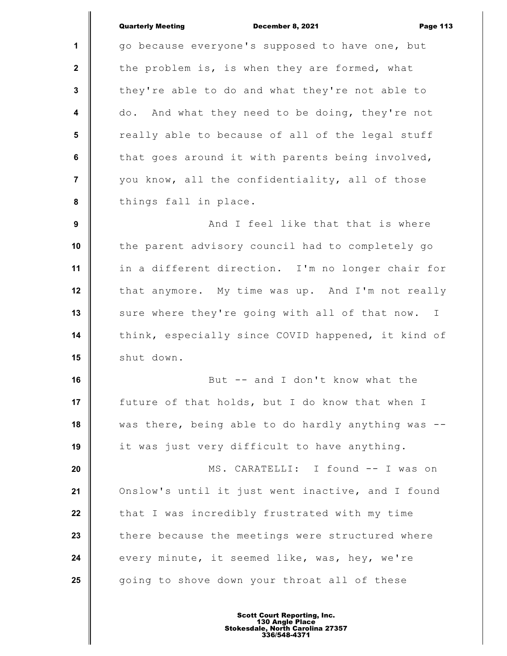December 8, 2021 **Page 113** 

**1 2 3 4 5 6 7 8 9 10 11 12 13 14 15 16 17 18 19 20 21 22 23 24 25** go because everyone's supposed to have one, but the problem is, is when they are formed, what they're able to do and what they're not able to do. And what they need to be doing, they're not really able to because of all of the legal stuff that goes around it with parents being involved, you know, all the confidentiality, all of those things fall in place. And I feel like that that is where the parent advisory council had to completely go in a different direction. I'm no longer chair for that anymore. My time was up. And I'm not really sure where they're going with all of that now. I think, especially since COVID happened, it kind of shut down. But -- and I don't know what the future of that holds, but I do know that when I was there, being able to do hardly anything was - it was just very difficult to have anything. MS. CARATELLI: I found -- I was on Onslow's until it just went inactive, and I found that I was incredibly frustrated with my time there because the meetings were structured where every minute, it seemed like, was, hey, we're going to shove down your throat all of these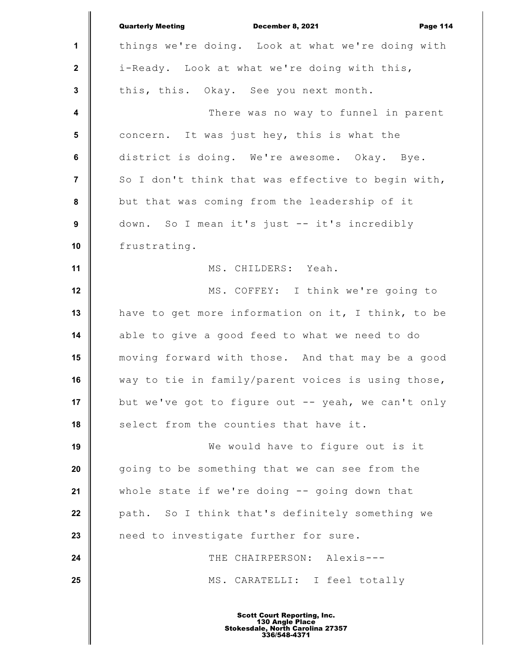|                         | <b>Quarterly Meeting</b><br>December 8, 2021<br><b>Page 114</b> |
|-------------------------|-----------------------------------------------------------------|
| 1                       | things we're doing. Look at what we're doing with               |
| $\mathbf{2}$            | i-Ready. Look at what we're doing with this,                    |
| $\mathbf{3}$            | this, this. Okay. See you next month.                           |
| $\overline{\mathbf{4}}$ | There was no way to funnel in parent                            |
| $5\phantom{1}$          | concern. It was just hey, this is what the                      |
| $\bf 6$                 | district is doing. We're awesome. Okay. Bye.                    |
| $\overline{7}$          | So I don't think that was effective to begin with,              |
| 8                       | but that was coming from the leadership of it                   |
| $\boldsymbol{9}$        | down. So I mean it's just -- it's incredibly                    |
| 10                      | frustrating.                                                    |
| 11                      | MS. CHILDERS: Yeah.                                             |
| 12                      | MS. COFFEY: I think we're going to                              |
| 13                      | have to get more information on it, I think, to be              |
| 14                      | able to give a good feed to what we need to do                  |
| 15                      | moving forward with those. And that may be a good               |
| 16                      | way to tie in family/parent voices is using those,              |
| 17                      | but we've got to figure out -- yeah, we can't only              |
| 18                      | select from the counties that have it.                          |
| 19                      | We would have to figure out is it                               |
| 20                      | going to be something that we can see from the                  |
| 21                      | whole state if we're doing -- going down that                   |
| 22                      | path. So I think that's definitely something we                 |
| 23                      | need to investigate further for sure.                           |
| 24                      | THE CHAIRPERSON: Alexis---                                      |
| 25                      | MS. CARATELLI: I feel totally                                   |
|                         |                                                                 |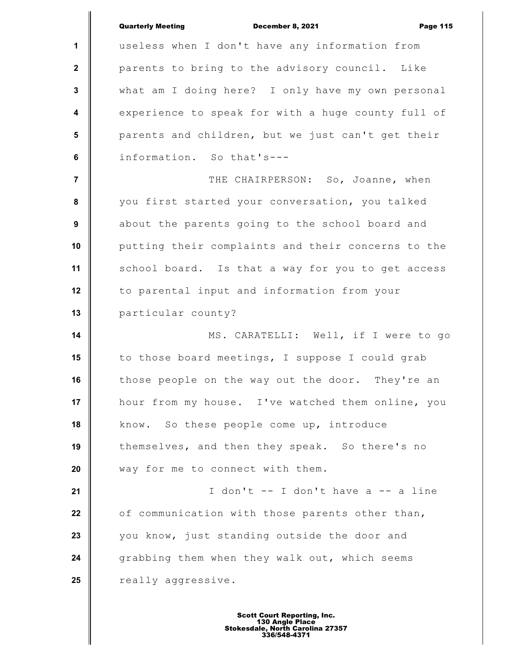|                         | <b>Quarterly Meeting</b><br>December 8, 2021<br><b>Page 115</b> |
|-------------------------|-----------------------------------------------------------------|
| 1                       | useless when I don't have any information from                  |
| $\mathbf{2}$            | parents to bring to the advisory council. Like                  |
| $\mathbf{3}$            | what am I doing here? I only have my own personal               |
| $\overline{\mathbf{4}}$ | experience to speak for with a huge county full of              |
| $5\phantom{1}$          | parents and children, but we just can't get their               |
| 6                       | information. So that's---                                       |
| $\overline{7}$          | THE CHAIRPERSON: So, Joanne, when                               |
| 8                       | you first started your conversation, you talked                 |
| $\boldsymbol{9}$        | about the parents going to the school board and                 |
| 10                      | putting their complaints and their concerns to the              |
| 11                      | school board. Is that a way for you to get access               |
| 12                      | to parental input and information from your                     |
| 13                      | particular county?                                              |
| 14                      | MS. CARATELLI: Well, if I were to go                            |
| 15                      | to those board meetings, I suppose I could grab                 |
| 16                      | those people on the way out the door. They're an                |
| 17                      | hour from my house. I've watched them online, you               |
| 18                      | know. So these people come up, introduce                        |
| 19                      | themselves, and then they speak. So there's no                  |
| 20                      | way for me to connect with them.                                |
| 21                      | I don't -- I don't have a -- a line                             |
| 22                      | of communication with those parents other than,                 |
| 23                      | you know, just standing outside the door and                    |
| 24                      | grabbing them when they walk out, which seems                   |
| 25                      | really aggressive.                                              |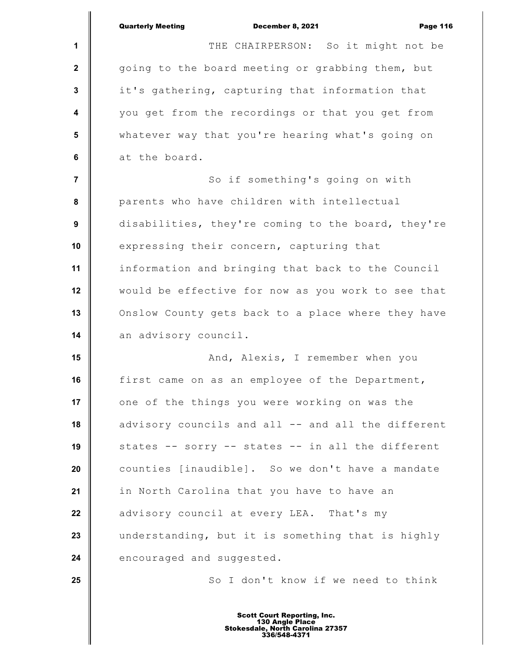|                 | <b>Quarterly Meeting</b><br><b>Page 116</b><br>December 8, 2021 |
|-----------------|-----------------------------------------------------------------|
| 1               | THE CHAIRPERSON: So it might not be                             |
| $\mathbf{2}$    | going to the board meeting or grabbing them, but                |
| $\mathbf 3$     | it's gathering, capturing that information that                 |
| 4               | you get from the recordings or that you get from                |
| $5\phantom{.0}$ | whatever way that you're hearing what's going on                |
| $\bf 6$         | at the board.                                                   |
| $\overline{7}$  | So if something's going on with                                 |
| 8               | parents who have children with intellectual                     |
| 9               | disabilities, they're coming to the board, they're              |
| 10              | expressing their concern, capturing that                        |
| 11              | information and bringing that back to the Council               |
| 12              | would be effective for now as you work to see that              |
| 13              | Onslow County gets back to a place where they have              |
| 14              | an advisory council.                                            |
| 15              | And, Alexis, I remember when you                                |
| 16              | first came on as an employee of the Department,                 |
| 17              | one of the things you were working on was the                   |
| 18              | advisory councils and all -- and all the different              |
| 19              | states -- sorry -- states -- in all the different               |
| 20              | counties [inaudible]. So we don't have a mandate                |
| 21              | in North Carolina that you have to have an                      |
| 22              | advisory council at every LEA. That's my                        |
| 23              | understanding, but it is something that is highly               |
| 24              | encouraged and suggested.                                       |
| 25              | So I don't know if we need to think                             |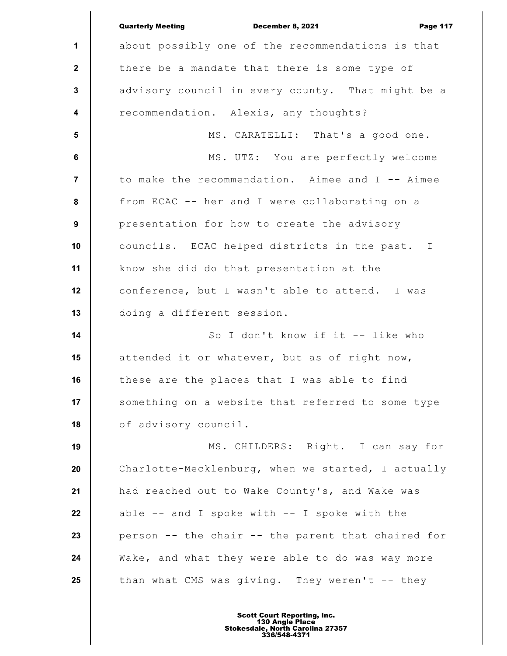|                         | <b>Quarterly Meeting</b><br>December 8, 2021<br><b>Page 117</b> |
|-------------------------|-----------------------------------------------------------------|
| 1                       | about possibly one of the recommendations is that               |
| $\mathbf{2}$            | there be a mandate that there is some type of                   |
| $\mathbf{3}$            | advisory council in every county. That might be a               |
| $\overline{\mathbf{4}}$ | recommendation. Alexis, any thoughts?                           |
| 5                       | MS. CARATELLI: That's a good one.                               |
| 6                       | MS. UTZ: You are perfectly welcome                              |
| $\overline{7}$          | to make the recommendation. Aimee and I -- Aimee                |
| 8                       | from ECAC -- her and I were collaborating on a                  |
| 9                       | presentation for how to create the advisory                     |
| 10                      | councils. ECAC helped districts in the past. I                  |
| 11                      | know she did do that presentation at the                        |
| 12                      | conference, but I wasn't able to attend. I was                  |
| 13                      | doing a different session.                                      |
| 14                      | So I don't know if it -- like who                               |
| 15                      | attended it or whatever, but as of right now,                   |
| 16                      | these are the places that I was able to find                    |
| 17                      | something on a website that referred to some type               |
| 18                      | of advisory council.                                            |
| 19                      | MS. CHILDERS: Right. I can say for                              |
| 20                      | Charlotte-Mecklenburg, when we started, I actually              |
| 21                      | had reached out to Wake County's, and Wake was                  |
| 22                      | able $--$ and I spoke with $--$ I spoke with the                |
| 23                      | person -- the chair -- the parent that chaired for              |
| 24                      | Wake, and what they were able to do was way more                |
| 25                      | than what CMS was giving. They weren't -- they                  |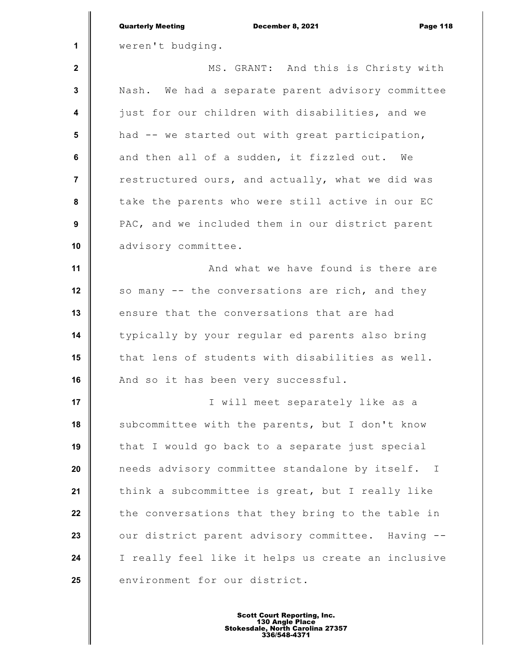|                         | <b>Quarterly Meeting</b><br>December 8, 2021<br><b>Page 118</b> |
|-------------------------|-----------------------------------------------------------------|
| 1                       | weren't budging.                                                |
| $\mathbf{2}$            | MS. GRANT: And this is Christy with                             |
| $\mathbf 3$             | Nash. We had a separate parent advisory committee               |
| $\overline{\mathbf{4}}$ | just for our children with disabilities, and we                 |
| 5                       | had -- we started out with great participation,                 |
| 6                       | and then all of a sudden, it fizzled out. We                    |
| $\overline{\mathbf{r}}$ | restructured ours, and actually, what we did was                |
| 8                       | take the parents who were still active in our EC                |
| 9                       | PAC, and we included them in our district parent                |
| 10                      | advisory committee.                                             |
| 11                      | And what we have found is there are                             |
| 12                      | so many -- the conversations are rich, and they                 |
| 13                      | ensure that the conversations that are had                      |
| 14                      | typically by your regular ed parents also bring                 |
| 15                      | that lens of students with disabilities as well.                |
| 16                      | And so it has been very successful.                             |
| 17                      | I will meet separately like as a                                |
| 18                      | subcommittee with the parents, but I don't know                 |
| 19                      | that I would go back to a separate just special                 |
| 20                      | needs advisory committee standalone by itself. I                |
| 21                      | think a subcommittee is great, but I really like                |
| 22                      | the conversations that they bring to the table in               |
| 23                      | our district parent advisory committee. Having --               |
| 24                      | I really feel like it helps us create an inclusive              |
| 25                      | environment for our district.                                   |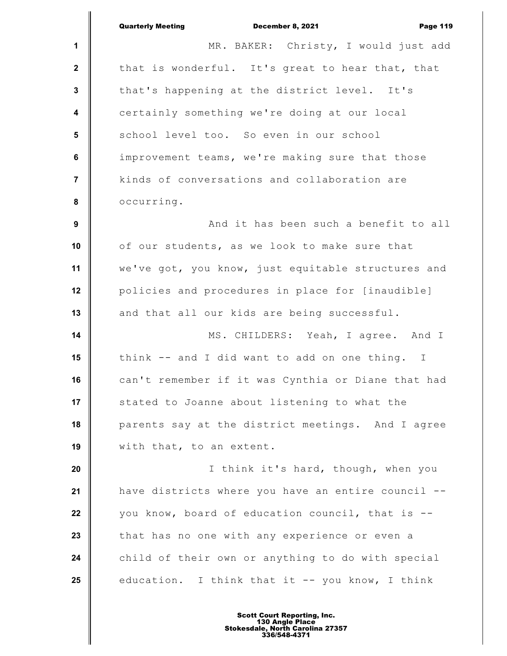|                         | <b>Quarterly Meeting</b><br>December 8, 2021<br><b>Page 119</b> |
|-------------------------|-----------------------------------------------------------------|
| $\mathbf{1}$            | MR. BAKER: Christy, I would just add                            |
| $\mathbf{2}$            | that is wonderful. It's great to hear that, that                |
| $\mathbf{3}$            | that's happening at the district level. It's                    |
| $\overline{\mathbf{4}}$ | certainly something we're doing at our local                    |
| $5\phantom{1}$          | school level too. So even in our school                         |
| 6                       | improvement teams, we're making sure that those                 |
| 7                       | kinds of conversations and collaboration are                    |
| 8                       | occurring.                                                      |
| 9                       | And it has been such a benefit to all                           |
| 10                      | of our students, as we look to make sure that                   |
| 11                      | we've got, you know, just equitable structures and              |
| 12                      | policies and procedures in place for [inaudible]                |
| 13                      | and that all our kids are being successful.                     |
| 14                      | MS. CHILDERS: Yeah, I agree. And I                              |
| 15                      | think -- and I did want to add on one thing. I                  |
| 16                      | can't remember if it was Cynthia or Diane that had              |
| 17                      | stated to Joanne about listening to what the                    |
| 18                      | parents say at the district meetings. And I agree               |
| 19                      | with that, to an extent.                                        |
| 20                      | I think it's hard, though, when you                             |
| 21                      | have districts where you have an entire council --              |
| 22                      | you know, board of education council, that is --                |
| 23                      | that has no one with any experience or even a                   |
| 24                      | child of their own or anything to do with special               |
| 25                      | education. I think that it -- you know, I think                 |
|                         |                                                                 |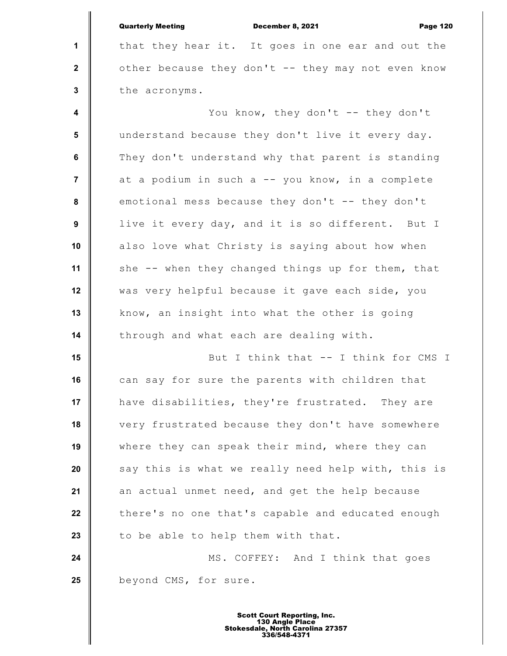**1 2 3 4 5 6 7 8 9 10 11 12 13 14 15 16 17 18 19 20 21 22 23 24 25** Quarterly Meeting December 8, 2021 Page 120 that they hear it. It goes in one ear and out the other because they don't -- they may not even know the acronyms. You know, they don't -- they don't understand because they don't live it every day. They don't understand why that parent is standing at a podium in such a -- you know, in a complete emotional mess because they don't -- they don't live it every day, and it is so different. But I also love what Christy is saying about how when she -- when they changed things up for them, that was very helpful because it gave each side, you know, an insight into what the other is going through and what each are dealing with. But I think that -- I think for CMS I can say for sure the parents with children that have disabilities, they're frustrated. They are very frustrated because they don't have somewhere where they can speak their mind, where they can say this is what we really need help with, this is an actual unmet need, and get the help because there's no one that's capable and educated enough to be able to help them with that. MS. COFFEY: And I think that goes beyond CMS, for sure.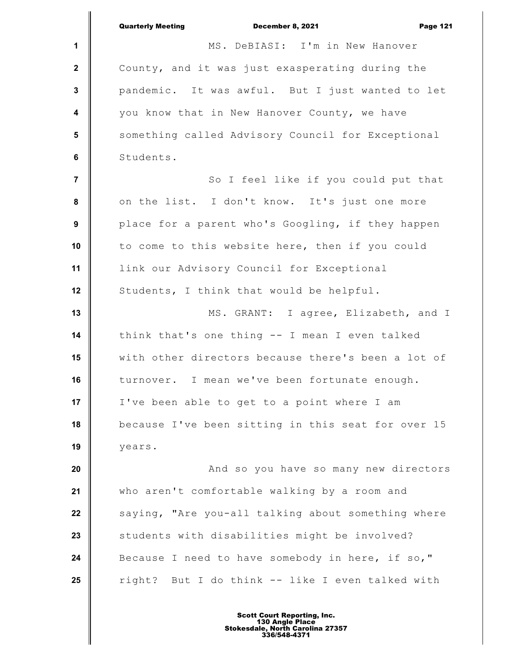|                  | <b>Quarterly Meeting</b><br>December 8, 2021<br><b>Page 121</b> |
|------------------|-----------------------------------------------------------------|
| $\mathbf{1}$     | MS. DeBIASI: I'm in New Hanover                                 |
| $\mathbf{2}$     | County, and it was just exasperating during the                 |
| $\mathbf{3}$     | pandemic. It was awful. But I just wanted to let                |
| $\boldsymbol{4}$ | you know that in New Hanover County, we have                    |
| 5                | something called Advisory Council for Exceptional               |
| 6                | Students.                                                       |
| $\overline{7}$   | So I feel like if you could put that                            |
| 8                | on the list. I don't know. It's just one more                   |
| 9                | place for a parent who's Googling, if they happen               |
| 10               | to come to this website here, then if you could                 |
| 11               | link our Advisory Council for Exceptional                       |
| 12               | Students, I think that would be helpful.                        |
| 13               | MS. GRANT: I agree, Elizabeth, and I                            |
| 14               | think that's one thing -- I mean I even talked                  |
| 15               | with other directors because there's been a lot of              |
| 16               | turnover. I mean we've been fortunate enough.                   |
| 17               | I've been able to get to a point where I am                     |
| 18               | because I've been sitting in this seat for over 15              |
| 19               | years.                                                          |
| 20               | And so you have so many new directors                           |
| 21               | who aren't comfortable walking by a room and                    |
| 22               | saying, "Are you-all talking about something where              |
| 23               | students with disabilities might be involved?                   |
| 24               | Because I need to have somebody in here, if so,"                |
| 25               | right? But I do think -- like I even talked with                |
|                  |                                                                 |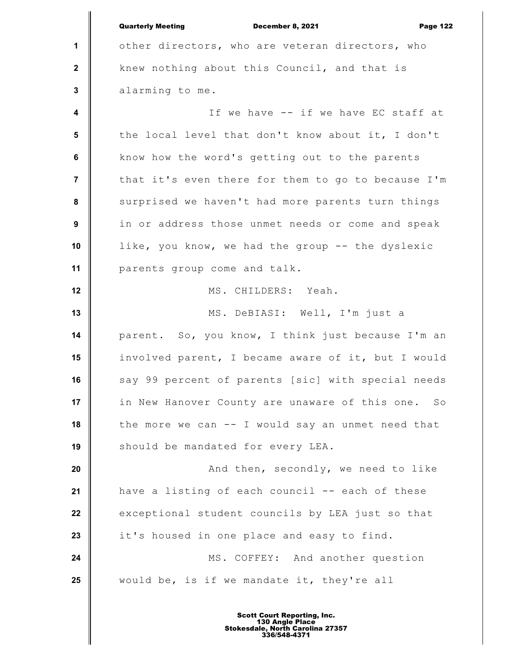**1 2 3 4 5 6 7 8 9 10 11 12 13 14 15 16 17 18 19 20 21 22 23 24 25** Quarterly Meeting December 8, 2021 Page 122 other directors, who are veteran directors, who knew nothing about this Council, and that is alarming to me. If we have -- if we have EC staff at the local level that don't know about it, I don't know how the word's getting out to the parents that it's even there for them to go to because I'm surprised we haven't had more parents turn things in or address those unmet needs or come and speak like, you know, we had the group -- the dyslexic parents group come and talk. MS. CHILDERS: Yeah. MS. DeBIASI: Well, I'm just a parent. So, you know, I think just because I'm an involved parent, I became aware of it, but I would say 99 percent of parents [sic] with special needs in New Hanover County are unaware of this one. So the more we can -- I would say an unmet need that should be mandated for every LEA. And then, secondly, we need to like have a listing of each council -- each of these exceptional student councils by LEA just so that it's housed in one place and easy to find. MS. COFFEY: And another question would be, is if we mandate it, they're all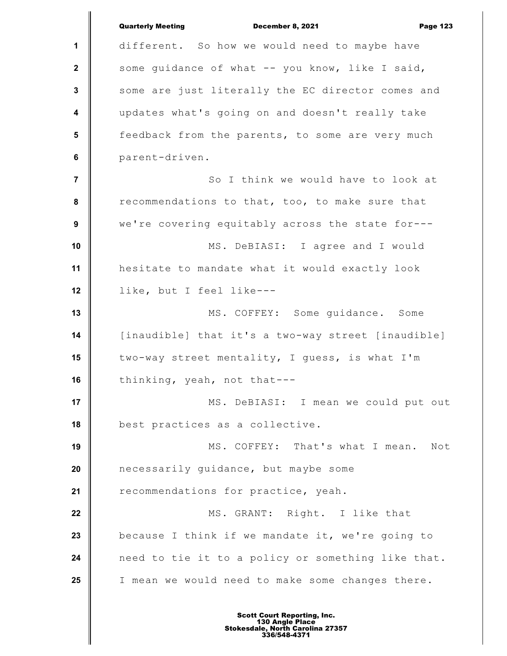**1 2 3 4 5 6 7 8 9 10 11 12 13 14 15 16 17 18 19 20 21 22 23 24 25** Quarterly Meeting December 8, 2021 Page 123 different. So how we would need to maybe have some guidance of what -- you know, like I said, some are just literally the EC director comes and updates what's going on and doesn't really take feedback from the parents, to some are very much parent-driven. So I think we would have to look at recommendations to that, too, to make sure that we're covering equitably across the state for--- MS. DeBIASI: I agree and I would hesitate to mandate what it would exactly look like, but I feel like--- MS. COFFEY: Some guidance. Some [inaudible] that it's a two-way street [inaudible] two-way street mentality, I guess, is what I'm thinking, yeah, not that--- MS. DeBIASI: I mean we could put out best practices as a collective. MS. COFFEY: That's what I mean. Not necessarily guidance, but maybe some recommendations for practice, yeah. MS. GRANT: Right. I like that because I think if we mandate it, we're going to need to tie it to a policy or something like that. I mean we would need to make some changes there.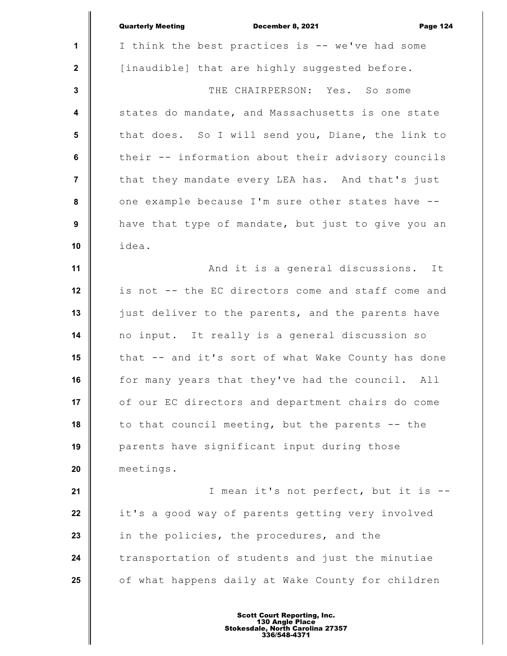|                         | <b>Quarterly Meeting</b><br>December 8, 2021<br><b>Page 124</b> |
|-------------------------|-----------------------------------------------------------------|
| 1                       | I think the best practices is -- we've had some                 |
| $\mathbf{2}$            | [inaudible] that are highly suggested before.                   |
| $\mathbf{3}$            | THE CHAIRPERSON: Yes. So some                                   |
| $\overline{\mathbf{4}}$ | states do mandate, and Massachusetts is one state               |
| 5                       | that does. So I will send you, Diane, the link to               |
| $6\phantom{a}$          | their -- information about their advisory councils              |
| $\overline{7}$          | that they mandate every LEA has. And that's just                |
| ${\bf 8}$               | one example because I'm sure other states have --               |
| 9                       | have that type of mandate, but just to give you an              |
| 10                      | idea.                                                           |
| 11                      | And it is a general discussions.<br>It                          |
| 12                      | is not -- the EC directors come and staff come and              |
| 13                      | just deliver to the parents, and the parents have               |
| 14                      | no input. It really is a general discussion so                  |
| 15                      | that -- and it's sort of what Wake County has done              |
| 16                      | for many years that they've had the council. All                |
| 17                      | of our EC directors and department chairs do come               |
| 18                      | to that council meeting, but the parents -- the                 |
| 19                      | parents have significant input during those                     |
| 20                      | meetings.                                                       |
| 21                      | I mean it's not perfect, but it is                              |
| 22                      | it's a good way of parents getting very involved                |
| 23                      | in the policies, the procedures, and the                        |
| 24                      | transportation of students and just the minutiae                |
| 25                      | of what happens daily at Wake County for children               |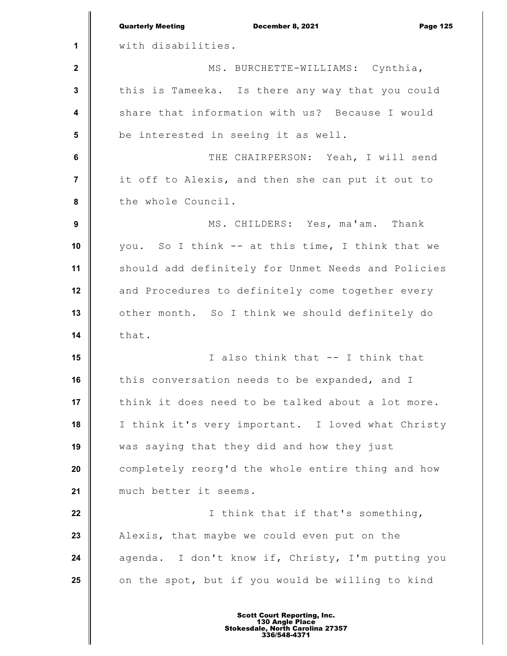|                         | <b>Quarterly Meeting</b><br>December 8, 2021<br><b>Page 125</b> |
|-------------------------|-----------------------------------------------------------------|
| 1                       | with disabilities.                                              |
| $\mathbf 2$             | MS. BURCHETTE-WILLIAMS: Cynthia,                                |
| 3                       | this is Tameeka. Is there any way that you could                |
| $\overline{\mathbf{4}}$ | share that information with us? Because I would                 |
| $5\phantom{1}$          | be interested in seeing it as well.                             |
| $\bf 6$                 | THE CHAIRPERSON: Yeah, I will send                              |
| $\overline{7}$          | it off to Alexis, and then she can put it out to                |
| 8                       | the whole Council.                                              |
| 9                       | MS. CHILDERS: Yes, ma'am. Thank                                 |
| 10                      | you. So I think -- at this time, I think that we                |
| 11                      | should add definitely for Unmet Needs and Policies              |
| 12                      | and Procedures to definitely come together every                |
| 13                      | other month. So I think we should definitely do                 |
| 14                      | that.                                                           |
| 15                      | I also think that -- I think that                               |
| 16                      | this conversation needs to be expanded, and I                   |
| 17                      | think it does need to be talked about a lot more.               |
| 18                      | I think it's very important. I loved what Christy               |
| 19                      | was saying that they did and how they just                      |
| 20                      | completely reorg'd the whole entire thing and how               |
| 21                      | much better it seems.                                           |
| 22                      | I think that if that's something,                               |
| 23                      | Alexis, that maybe we could even put on the                     |
| 24                      | agenda. I don't know if, Christy, I'm putting you               |
| 25                      | on the spot, but if you would be willing to kind                |
|                         |                                                                 |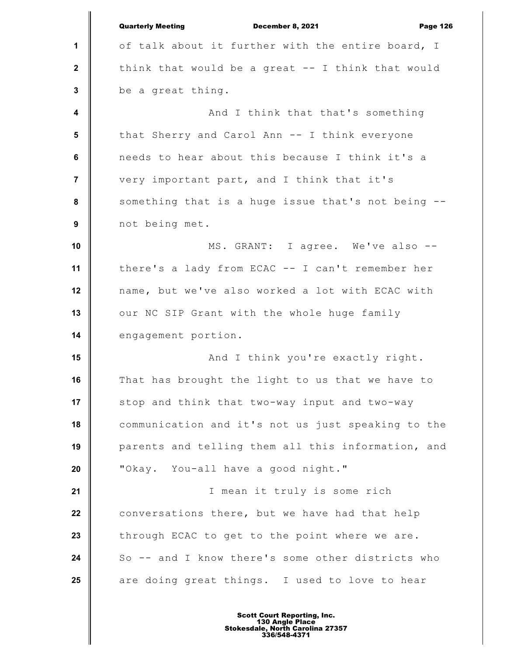**1 2 3 4 5 6 7 8 9 10 11 12 13 14 15 16 17 18 19 20 21 22 23 24 25** Quarterly Meeting December 8, 2021 Page 126 of talk about it further with the entire board, I think that would be a great -- I think that would be a great thing. And I think that that's something that Sherry and Carol Ann -- I think everyone needs to hear about this because I think it's a very important part, and I think that it's something that is a huge issue that's not being - not being met. MS. GRANT: I agree. We've also - there's a lady from ECAC -- I can't remember her name, but we've also worked a lot with ECAC with our NC SIP Grant with the whole huge family engagement portion. And I think you're exactly right. That has brought the light to us that we have to stop and think that two-way input and two-way communication and it's not us just speaking to the parents and telling them all this information, and "Okay. You-all have a good night." I mean it truly is some rich conversations there, but we have had that help through ECAC to get to the point where we are. So -- and I know there's some other districts who are doing great things. I used to love to hear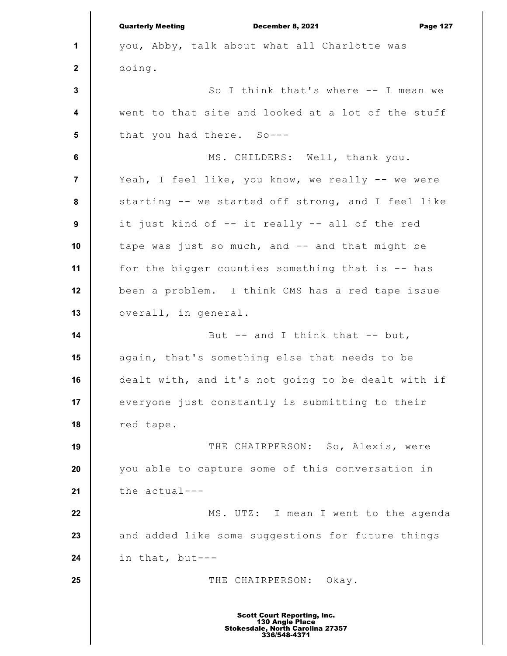**1 2 3 4 5 6 7 8 9 10 11 12 13 14 15 16 17 18 19 20 21 22 23 24 25** Quarterly Meeting December 8, 2021 Page 127 you, Abby, talk about what all Charlotte was doing. So I think that's where -- I mean we went to that site and looked at a lot of the stuff that you had there. So--- MS. CHILDERS: Well, thank you. Yeah, I feel like, you know, we really -- we were starting -- we started off strong, and I feel like it just kind of -- it really -- all of the red tape was just so much, and -- and that might be for the bigger counties something that is -- has been a problem. I think CMS has a red tape issue overall, in general. But  $--$  and I think that  $--$  but, again, that's something else that needs to be dealt with, and it's not going to be dealt with if everyone just constantly is submitting to their red tape. THE CHAIRPERSON: So, Alexis, were you able to capture some of this conversation in the actual--- MS. UTZ: I mean I went to the agenda and added like some suggestions for future things in that, but--- THE CHAIRPERSON: Okay. Scott Court Reporting, Inc. 130 Angle Place Stokesdale, North Carolina 27357 336/548-4371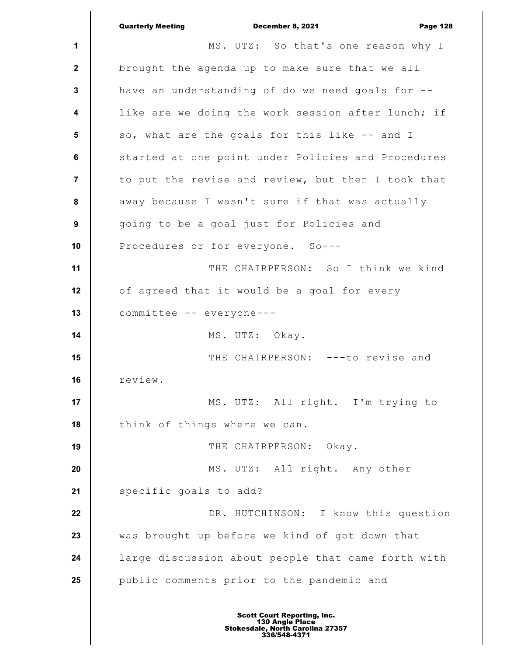**1 2 3 4 5 6 7 8 9 10 11 12 13 14 15 16 17 18 19 20 21 22 23 24 25** Quarterly Meeting December 8, 2021 Page 128 MS. UTZ: So that's one reason why I brought the agenda up to make sure that we all have an understanding of do we need goals for - like are we doing the work session after lunch; if so, what are the goals for this like -- and I started at one point under Policies and Procedures to put the revise and review, but then I took that away because I wasn't sure if that was actually going to be a goal just for Policies and Procedures or for everyone. So--- THE CHAIRPERSON: So I think we kind of agreed that it would be a goal for every committee -- everyone--- MS. UTZ: Okay. THE CHAIRPERSON: ---to revise and review. MS. UTZ: All right. I'm trying to think of things where we can. THE CHAIRPERSON: Okay. MS. UTZ: All right. Any other specific goals to add? DR. HUTCHINSON: I know this question was brought up before we kind of got down that large discussion about people that came forth with public comments prior to the pandemic and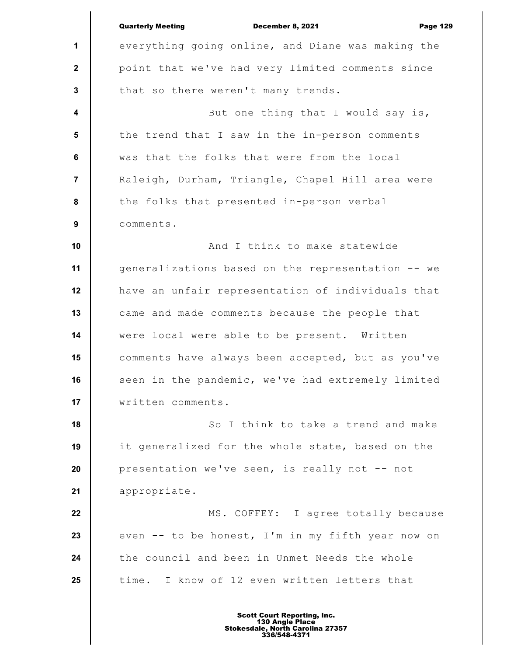|                         | <b>Quarterly Meeting</b><br>December 8, 2021<br><b>Page 129</b> |
|-------------------------|-----------------------------------------------------------------|
| 1                       | everything going online, and Diane was making the               |
| $\mathbf{2}$            | point that we've had very limited comments since                |
| $\mathbf{3}$            | that so there weren't many trends.                              |
| $\overline{\mathbf{4}}$ | But one thing that I would say is,                              |
| 5                       | the trend that I saw in the in-person comments                  |
| $\bf 6$                 | was that the folks that were from the local                     |
| $\overline{7}$          | Raleigh, Durham, Triangle, Chapel Hill area were                |
| $\pmb{8}$               | the folks that presented in-person verbal                       |
| $\boldsymbol{9}$        | comments.                                                       |
| 10                      | And I think to make statewide                                   |
| 11                      | generalizations based on the representation -- we               |
| 12                      | have an unfair representation of individuals that               |
| 13                      | came and made comments because the people that                  |
| 14                      | were local were able to be present. Written                     |
| 15                      | comments have always been accepted, but as you've               |
| 16                      | seen in the pandemic, we've had extremely limited               |
| 17                      | written comments.                                               |
| 18                      | So I think to take a trend and make                             |
| 19                      | it generalized for the whole state, based on the                |
| 20                      | presentation we've seen, is really not -- not                   |
| 21                      | appropriate.                                                    |
| 22                      | MS. COFFEY: I agree totally because                             |
| 23                      | even -- to be honest, I'm in my fifth year now on               |
| 24                      | the council and been in Unmet Needs the whole                   |
| 25                      | time. I know of 12 even written letters that                    |
|                         |                                                                 |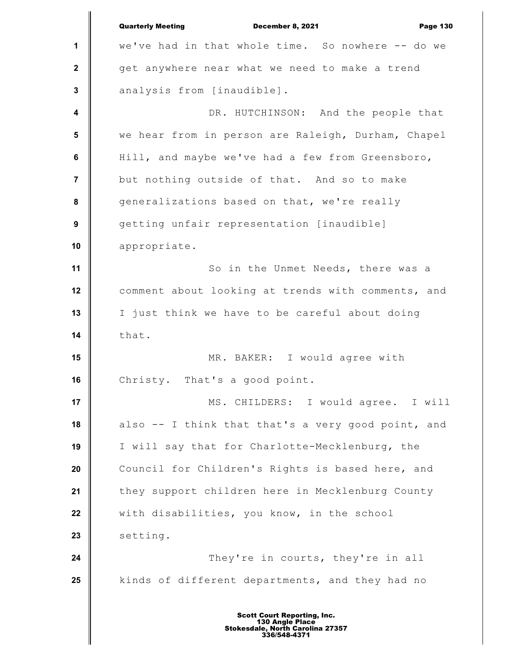**1 2 3 4 5 6 7 8 9 10 11 12 13 14 15 16 17 18 19 20 21 22 23 24 25** Quarterly Meeting December 8, 2021 Page 130 we've had in that whole time. So nowhere -- do we get anywhere near what we need to make a trend analysis from [inaudible]. DR. HUTCHINSON: And the people that we hear from in person are Raleigh, Durham, Chapel Hill, and maybe we've had a few from Greensboro, but nothing outside of that. And so to make generalizations based on that, we're really getting unfair representation [inaudible] appropriate. So in the Unmet Needs, there was a comment about looking at trends with comments, and I just think we have to be careful about doing that. MR. BAKER: I would agree with Christy. That's a good point. MS. CHILDERS: I would agree. I will also -- I think that that's a very good point, and I will say that for Charlotte-Mecklenburg, the Council for Children's Rights is based here, and they support children here in Mecklenburg County with disabilities, you know, in the school setting. They're in courts, they're in all kinds of different departments, and they had no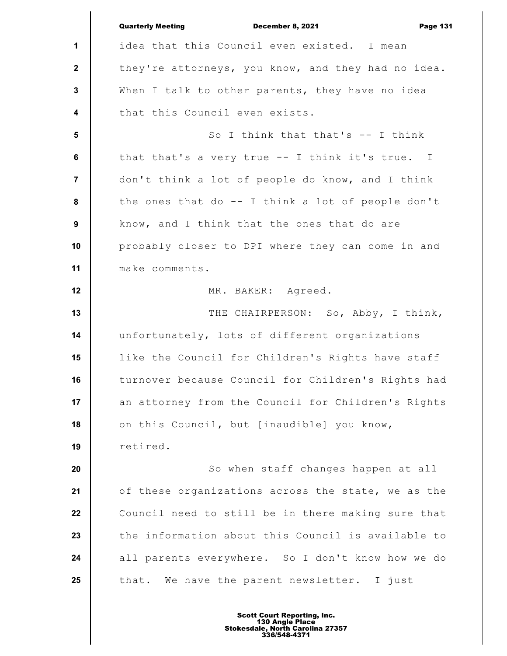|                         | <b>Quarterly Meeting</b><br>December 8, 2021<br><b>Page 131</b> |
|-------------------------|-----------------------------------------------------------------|
| 1                       | idea that this Council even existed. I mean                     |
| $\mathbf{2}$            | they're attorneys, you know, and they had no idea.              |
| 3                       | When I talk to other parents, they have no idea                 |
| $\boldsymbol{4}$        | that this Council even exists.                                  |
| $5\phantom{.0}$         | So I think that that's $--$ I think                             |
| 6                       | that that's a very true -- I think it's true. I                 |
| $\overline{\mathbf{r}}$ | don't think a lot of people do know, and I think                |
| 8                       | the ones that do $-$ I think a lot of people don't              |
| 9                       | know, and I think that the ones that do are                     |
| 10                      | probably closer to DPI where they can come in and               |
| 11                      | make comments.                                                  |
| 12                      | MR. BAKER: Agreed.                                              |
| 13                      | THE CHAIRPERSON: So, Abby, I think,                             |
| 14                      | unfortunately, lots of different organizations                  |
| 15                      | like the Council for Children's Rights have staff               |
| 16                      | turnover because Council for Children's Rights had              |
| 17                      | an attorney from the Council for Children's Rights              |
| 18                      | on this Council, but [inaudible] you know,                      |
| 19                      | retired.                                                        |
| 20                      | So when staff changes happen at all                             |
| 21                      | of these organizations across the state, we as the              |
| 22                      | Council need to still be in there making sure that              |
| 23                      | the information about this Council is available to              |
| 24                      | all parents everywhere. So I don't know how we do               |
| 25                      | that. We have the parent newsletter. I just                     |
|                         |                                                                 |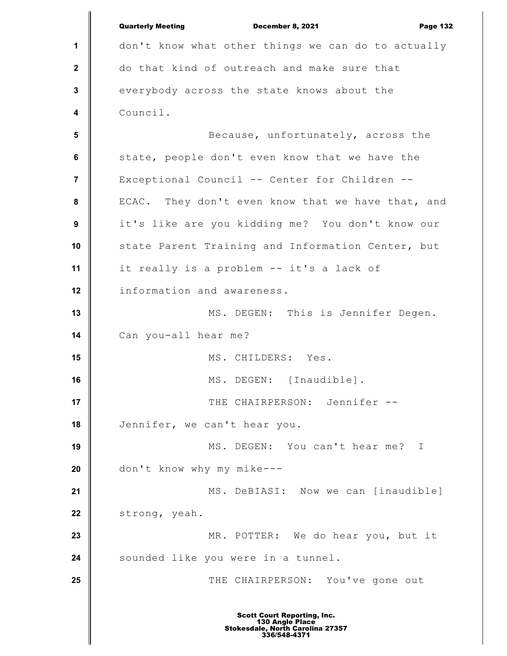**1 2 3 4 5 6 7 8 9 10 11 12 13 14 15 16 17 18 19 20 21 22 23 24 25** Quarterly Meeting December 8, 2021 Page 132 don't know what other things we can do to actually do that kind of outreach and make sure that everybody across the state knows about the Council. Because, unfortunately, across the state, people don't even know that we have the Exceptional Council -- Center for Children -- ECAC. They don't even know that we have that, and it's like are you kidding me? You don't know our state Parent Training and Information Center, but it really is a problem -- it's a lack of information and awareness. MS. DEGEN: This is Jennifer Degen. Can you-all hear me? MS. CHILDERS: Yes. MS. DEGEN: [Inaudible]. THE CHAIRPERSON: Jennifer --Jennifer, we can't hear you. MS. DEGEN: You can't hear me? I don't know why my mike--- MS. DeBIASI: Now we can [inaudible] strong, yeah. MR. POTTER: We do hear you, but it sounded like you were in a tunnel. THE CHAIRPERSON: You've gone out Scott Court Reporting, Inc. 130 Angle Place Stokesdale, North Carolina 27357 336/548-4371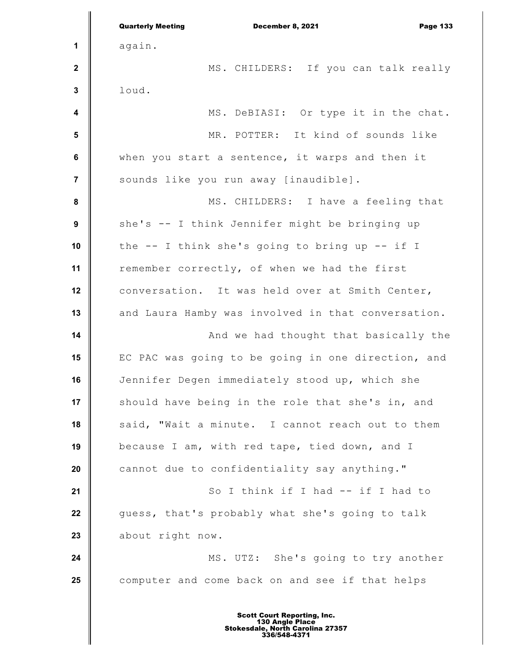|                         | <b>Quarterly Meeting</b><br>December 8, 2021<br><b>Page 133</b> |
|-------------------------|-----------------------------------------------------------------|
| 1                       | again.                                                          |
| $\mathbf{2}$            | MS. CHILDERS: If you can talk really                            |
| 3                       | loud.                                                           |
| $\overline{\mathbf{4}}$ | MS. DeBIASI: Or type it in the chat.                            |
| $5\phantom{1}$          | MR. POTTER: It kind of sounds like                              |
| 6                       | when you start a sentence, it warps and then it                 |
| 7                       | sounds like you run away [inaudible].                           |
| 8                       | MS. CHILDERS: I have a feeling that                             |
| $\boldsymbol{9}$        | she's -- I think Jennifer might be bringing up                  |
| 10                      | the $-$ I think she's going to bring up $-$ if I                |
| 11                      | remember correctly, of when we had the first                    |
| 12                      | conversation. It was held over at Smith Center,                 |
| 13                      | and Laura Hamby was involved in that conversation.              |
| 14                      | And we had thought that basically the                           |
| 15                      | EC PAC was going to be going in one direction, and              |
| 16                      | Jennifer Degen immediately stood up, which she                  |
| 17                      | should have being in the role that she's in, and                |
| 18                      | said, "Wait a minute. I cannot reach out to them                |
| 19                      | because I am, with red tape, tied down, and I                   |
| 20                      | cannot due to confidentiality say anything."                    |
| 21                      | So I think if I had -- if I had to                              |
| 22                      | guess, that's probably what she's going to talk                 |
| 23                      | about right now.                                                |
| 24                      | MS. UTZ: She's going to try another                             |
| 25                      | computer and come back on and see if that helps                 |
|                         |                                                                 |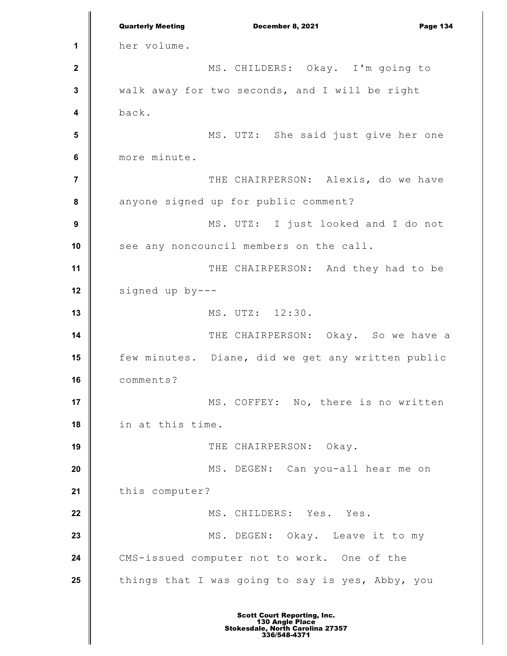**1 2 3 4 5 6 7 8 9 10 11 12 13 14 15 16 17 18 19 20 21 22 23 24 25** Quarterly Meeting December 8, 2021 Page 134 her volume. MS. CHILDERS: Okay. I'm going to walk away for two seconds, and I will be right back. MS. UTZ: She said just give her one more minute. THE CHAIRPERSON: Alexis, do we have anyone signed up for public comment? MS. UTZ: I just looked and I do not see any noncouncil members on the call. THE CHAIRPERSON: And they had to be signed up by--- MS. UTZ: 12:30. THE CHAIRPERSON: Okay. So we have a few minutes. Diane, did we get any written public comments? MS. COFFEY: No, there is no written in at this time. THE CHAIRPERSON: Okay. MS. DEGEN: Can you-all hear me on this computer? MS. CHILDERS: Yes. Yes. MS. DEGEN: Okay. Leave it to my CMS-issued computer not to work. One of the things that I was going to say is yes, Abby, you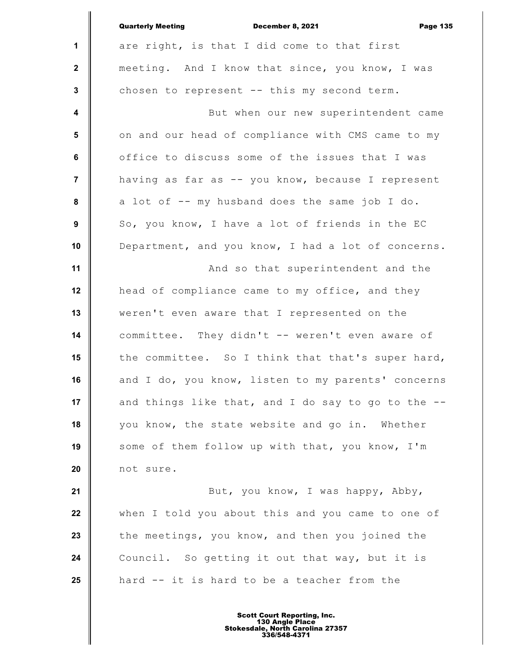|                         | <b>Quarterly Meeting</b><br>December 8, 2021<br><b>Page 135</b> |
|-------------------------|-----------------------------------------------------------------|
| $\mathbf{1}$            | are right, is that I did come to that first                     |
| $\mathbf{2}$            | meeting. And I know that since, you know, I was                 |
| $\mathbf{3}$            | chosen to represent -- this my second term.                     |
| $\overline{\mathbf{4}}$ | But when our new superintendent came                            |
| 5                       | on and our head of compliance with CMS came to my               |
| 6                       | office to discuss some of the issues that I was                 |
| $\overline{7}$          | having as far as -- you know, because I represent               |
| 8                       | a lot of -- my husband does the same job I do.                  |
| 9                       | So, you know, I have a lot of friends in the EC                 |
| 10                      | Department, and you know, I had a lot of concerns.              |
| 11                      | And so that superintendent and the                              |
| 12                      | head of compliance came to my office, and they                  |
| 13                      | weren't even aware that I represented on the                    |
| 14                      | committee. They didn't -- weren't even aware of                 |
| 15                      | the committee. So I think that that's super hard,               |
| 16                      | and I do, you know, listen to my parents' concerns              |
| 17                      | and things like that, and I do say to go to the --              |
| 18                      | you know, the state website and go in. Whether                  |
| 19                      | some of them follow up with that, you know, I'm                 |
| 20                      | not sure.                                                       |
| 21                      | But, you know, I was happy, Abby,                               |
| 22                      | when I told you about this and you came to one of               |
| 23                      | the meetings, you know, and then you joined the                 |
| 24                      | Council. So getting it out that way, but it is                  |
| 25                      | hard -- it is hard to be a teacher from the                     |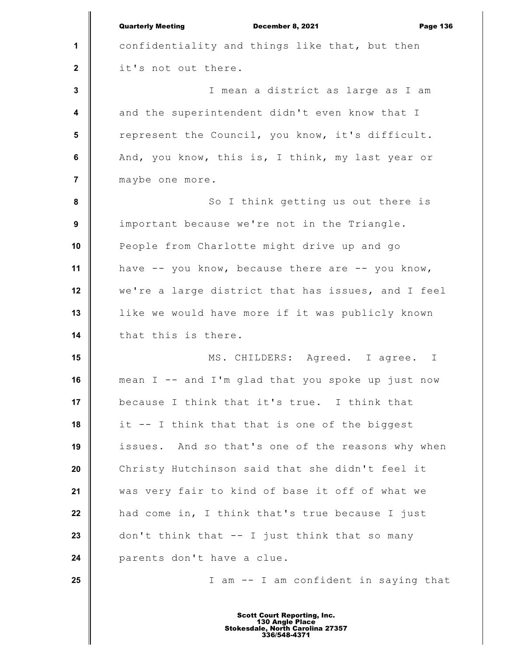|                         | <b>Quarterly Meeting</b><br><b>Page 136</b><br><b>December 8, 2021</b> |
|-------------------------|------------------------------------------------------------------------|
| 1                       | confidentiality and things like that, but then                         |
| $\mathbf{2}$            | it's not out there.                                                    |
| 3                       | I mean a district as large as I am                                     |
| $\overline{\mathbf{4}}$ | and the superintendent didn't even know that I                         |
| 5                       | represent the Council, you know, it's difficult.                       |
| 6                       | And, you know, this is, I think, my last year or                       |
| $\overline{7}$          | maybe one more.                                                        |
| 8                       | So I think getting us out there is                                     |
| 9                       | important because we're not in the Triangle.                           |
| 10                      | People from Charlotte might drive up and go                            |
| 11                      | have -- you know, because there are -- you know,                       |
| 12                      | we're a large district that has issues, and I feel                     |
| 13                      | like we would have more if it was publicly known                       |
| 14                      | that this is there.                                                    |
| 15                      | MS. CHILDERS: Agreed. I agree. I                                       |
| 16                      | mean I -- and I'm glad that you spoke up just now                      |
| 17                      | because I think that it's true. I think that                           |
| 18                      | it -- I think that that is one of the biggest                          |
| 19                      | issues. And so that's one of the reasons why when                      |
| 20                      | Christy Hutchinson said that she didn't feel it                        |
| 21                      | was very fair to kind of base it off of what we                        |
| 22                      | had come in, I think that's true because I just                        |
| 23                      | don't think that -- I just think that so many                          |
| 24                      | parents don't have a clue.                                             |
| 25                      | I am -- I am confident in saying that                                  |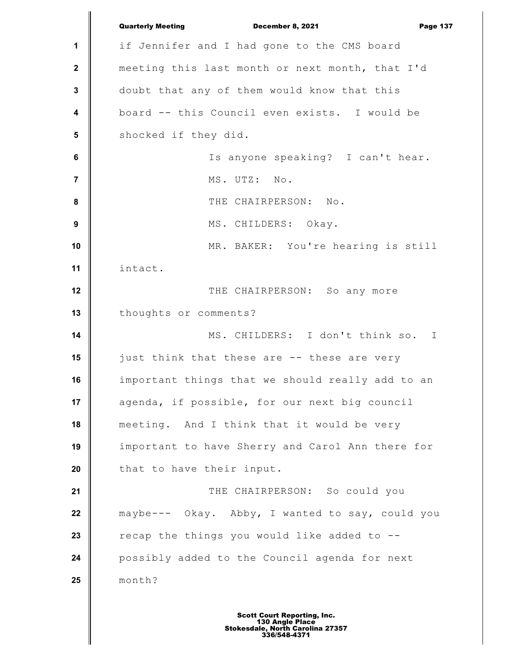**1 2 3 4 5 6 7 8 9 10 11 12 13 14 15 16 17 18 19 20 21 22 23 24 25** Quarterly Meeting December 8, 2021 Page 137 if Jennifer and I had gone to the CMS board meeting this last month or next month, that I'd doubt that any of them would know that this board -- this Council even exists. I would be shocked if they did. Is anyone speaking? I can't hear. MS. UTZ: No. THE CHAIRPERSON: No. MS. CHILDERS: Okay. MR. BAKER: You're hearing is still intact. THE CHAIRPERSON: So any more thoughts or comments? MS. CHILDERS: I don't think so. I just think that these are -- these are very important things that we should really add to an agenda, if possible, for our next big council meeting. And I think that it would be very important to have Sherry and Carol Ann there for that to have their input. THE CHAIRPERSON: So could you maybe--- Okay. Abby, I wanted to say, could you recap the things you would like added to - possibly added to the Council agenda for next month?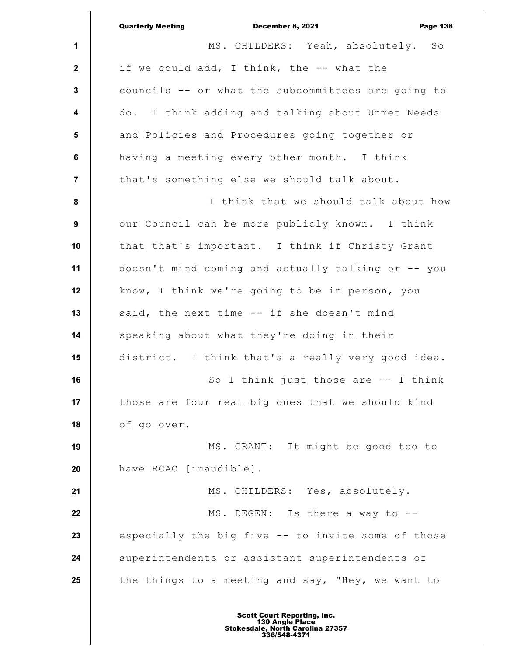|                  | <b>Quarterly Meeting</b><br>December 8, 2021<br><b>Page 138</b> |
|------------------|-----------------------------------------------------------------|
| $\mathbf 1$      | MS. CHILDERS: Yeah, absolutely. So                              |
| $\mathbf{2}$     | if we could add, I think, the -- what the                       |
| $\mathbf{3}$     | councils -- or what the subcommittees are going to              |
| $\boldsymbol{4}$ | do. I think adding and talking about Unmet Needs                |
| 5                | and Policies and Procedures going together or                   |
| 6                | having a meeting every other month. I think                     |
| $\overline{7}$   | that's something else we should talk about.                     |
| 8                | I think that we should talk about how                           |
| 9                | our Council can be more publicly known. I think                 |
| 10               | that that's important. I think if Christy Grant                 |
| 11               | doesn't mind coming and actually talking or -- you              |
| 12               | know, I think we're going to be in person, you                  |
| 13               | said, the next time -- if she doesn't mind                      |
| 14               | speaking about what they're doing in their                      |
| 15               | district. I think that's a really very good idea.               |
| 16               | So I think just those are $-$ I think                           |
| 17               | those are four real big ones that we should kind                |
| 18               | of go over.                                                     |
| 19               | MS. GRANT: It might be good too to                              |
| 20               | have ECAC [inaudible].                                          |
| 21               | MS. CHILDERS: Yes, absolutely.                                  |
| 22               | MS. DEGEN: Is there a way to --                                 |
| 23               | especially the big five -- to invite some of those              |
| 24               | superintendents or assistant superintendents of                 |
| 25               | the things to a meeting and say, "Hey, we want to               |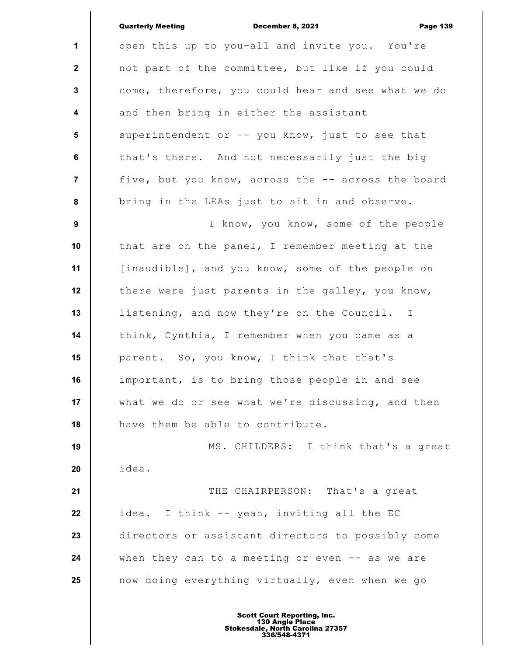|                | <b>Quarterly Meeting</b><br>December 8, 2021<br><b>Page 139</b> |
|----------------|-----------------------------------------------------------------|
| $\mathbf{1}$   | open this up to you-all and invite you. You're                  |
| $\mathbf{2}$   | not part of the committee, but like if you could                |
| $\mathbf{3}$   | come, therefore, you could hear and see what we do              |
| 4              | and then bring in either the assistant                          |
| 5              | superintendent or -- you know, just to see that                 |
| 6              | that's there. And not necessarily just the big                  |
| $\overline{7}$ | five, but you know, across the -- across the board              |
| 8              | bring in the LEAs just to sit in and observe.                   |
| 9              | I know, you know, some of the people                            |
| 10             | that are on the panel, I remember meeting at the                |
| 11             | [inaudible], and you know, some of the people on                |
| 12             | there were just parents in the galley, you know,                |
| 13             | listening, and now they're on the Council. I                    |
| 14             | think, Cynthia, I remember when you came as a                   |
| 15             | parent. So, you know, I think that that's                       |
| 16             | important, is to bring those people in and see                  |
| 17             | what we do or see what we're discussing, and then               |
| 18             | have them be able to contribute.                                |
| 19             | MS. CHILDERS: I think that's a great                            |
| 20             | idea.                                                           |
| 21             | THE CHAIRPERSON: That's a great                                 |
| 22             | idea. I think -- yeah, inviting all the EC                      |
| 23             | directors or assistant directors to possibly come               |
| 24             | when they can to a meeting or even -- as we are                 |
| 25             | now doing everything virtually, even when we go                 |
|                |                                                                 |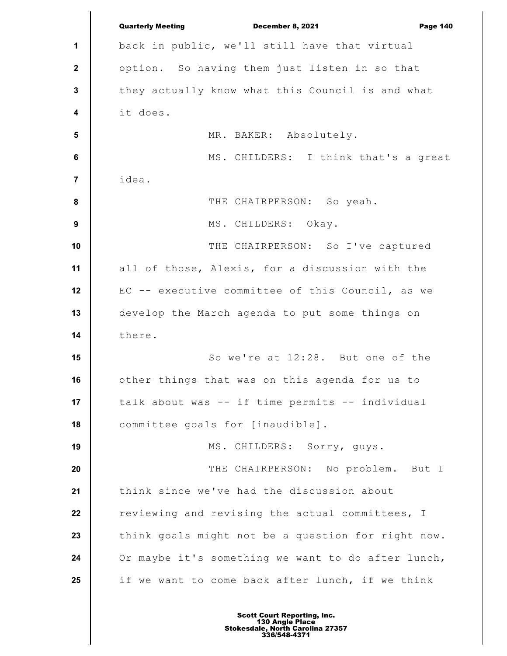|                         | <b>Quarterly Meeting</b><br>December 8, 2021<br><b>Page 140</b> |
|-------------------------|-----------------------------------------------------------------|
| 1                       | back in public, we'll still have that virtual                   |
| $\mathbf{2}$            | option. So having them just listen in so that                   |
| $\mathbf 3$             | they actually know what this Council is and what                |
| $\overline{\mathbf{4}}$ | it does.                                                        |
| $5\phantom{1}$          | MR. BAKER: Absolutely.                                          |
| $6\phantom{1}$          | MS. CHILDERS: I think that's a great                            |
| 7                       | idea.                                                           |
| $\pmb{8}$               | THE CHAIRPERSON: So yeah.                                       |
| $\boldsymbol{9}$        | MS. CHILDERS: Okay.                                             |
| 10                      | THE CHAIRPERSON: So I've captured                               |
| 11                      | all of those, Alexis, for a discussion with the                 |
| 12                      | EC -- executive committee of this Council, as we                |
| 13                      | develop the March agenda to put some things on                  |
| 14                      | there.                                                          |
| 15                      | So we're at 12:28. But one of the                               |
| 16                      | other things that was on this agenda for us to                  |
| 17                      | talk about was -- if time permits -- individual                 |
| 18                      | committee goals for [inaudible].                                |
| 19                      | MS. CHILDERS: Sorry, guys.                                      |
| 20                      | THE CHAIRPERSON: No problem.<br>But I                           |
| 21                      | think since we've had the discussion about                      |
| 22                      | reviewing and revising the actual committees, I                 |
| 23                      | think goals might not be a question for right now.              |
| 24                      | Or maybe it's something we want to do after lunch,              |
| 25                      | if we want to come back after lunch, if we think                |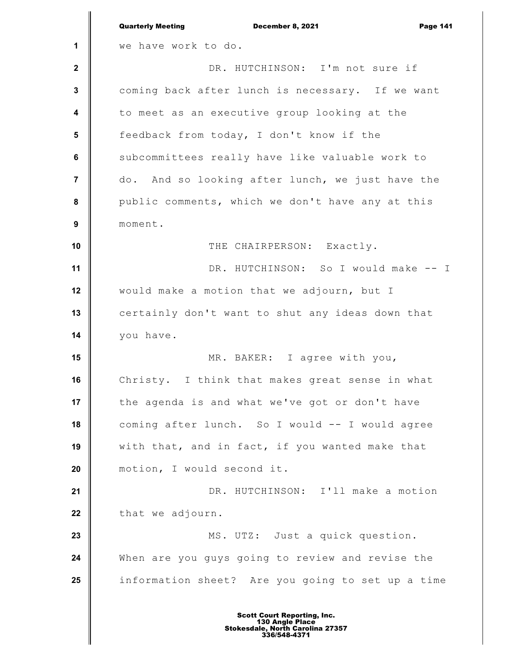|                         | <b>Quarterly Meeting</b><br>December 8, 2021<br><b>Page 141</b> |
|-------------------------|-----------------------------------------------------------------|
| $\mathbf 1$             | we have work to do.                                             |
| $\mathbf{2}$            | DR. HUTCHINSON: I'm not sure if                                 |
| 3                       | coming back after lunch is necessary. If we want                |
| $\overline{\mathbf{4}}$ | to meet as an executive group looking at the                    |
| $5\phantom{.0}$         | feedback from today, I don't know if the                        |
| 6                       | subcommittees really have like valuable work to                 |
| 7                       | do. And so looking after lunch, we just have the                |
| 8                       | public comments, which we don't have any at this                |
| 9                       | moment.                                                         |
| 10                      | THE CHAIRPERSON: Exactly.                                       |
| 11                      | DR. HUTCHINSON: So I would make -- I                            |
| 12                      | would make a motion that we adjourn, but I                      |
| 13                      | certainly don't want to shut any ideas down that                |
| 14                      | you have.                                                       |
| 15                      | MR. BAKER: I agree with you,                                    |
| 16                      | Christy. I think that makes great sense in what                 |
| 17                      | the agenda is and what we've got or don't have                  |
| 18                      | coming after lunch. So I would -- I would agree                 |
| 19                      | with that, and in fact, if you wanted make that                 |
| 20                      | motion, I would second it.                                      |
| 21                      | DR. HUTCHINSON: I'll make a motion                              |
| 22                      | that we adjourn.                                                |
| 23                      | MS. UTZ: Just a quick question.                                 |
| 24                      | When are you guys going to review and revise the                |
| 25                      | information sheet? Are you going to set up a time               |
|                         |                                                                 |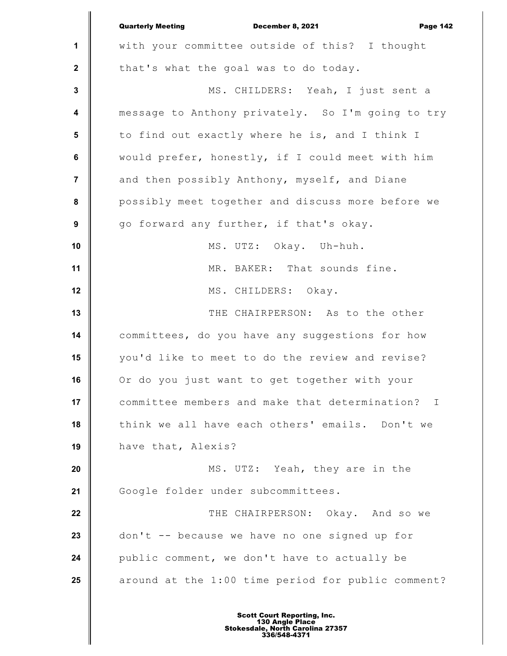|                | <b>Quarterly Meeting</b><br>December 8, 2021<br><b>Page 142</b> |
|----------------|-----------------------------------------------------------------|
| 1              | with your committee outside of this? I thought                  |
| $\mathbf{2}$   | that's what the goal was to do today.                           |
| $\mathbf 3$    | MS. CHILDERS: Yeah, I just sent a                               |
| 4              | message to Anthony privately. So I'm going to try               |
| 5              | to find out exactly where he is, and I think I                  |
| $\bf 6$        | would prefer, honestly, if I could meet with him                |
| $\overline{7}$ | and then possibly Anthony, myself, and Diane                    |
| 8              | possibly meet together and discuss more before we               |
| 9              | go forward any further, if that's okay.                         |
| 10             | MS. UTZ: Okay. Uh-huh.                                          |
| 11             | MR. BAKER: That sounds fine.                                    |
| 12             | MS. CHILDERS: Okay.                                             |
| 13             | THE CHAIRPERSON: As to the other                                |
| 14             | committees, do you have any suggestions for how                 |
| 15             | you'd like to meet to do the review and revise?                 |
| 16             | Or do you just want to get together with your                   |
| 17             | committee members and make that determination?<br>$\mathbb{I}$  |
| 18             | think we all have each others' emails. Don't we                 |
| 19             | have that, Alexis?                                              |
| 20             | MS. UTZ: Yeah, they are in the                                  |
| 21             | Google folder under subcommittees.                              |
| 22             | THE CHAIRPERSON: Okay. And so we                                |
| 23             | don't -- because we have no one signed up for                   |
| 24             | public comment, we don't have to actually be                    |
| 25             | around at the 1:00 time period for public comment?              |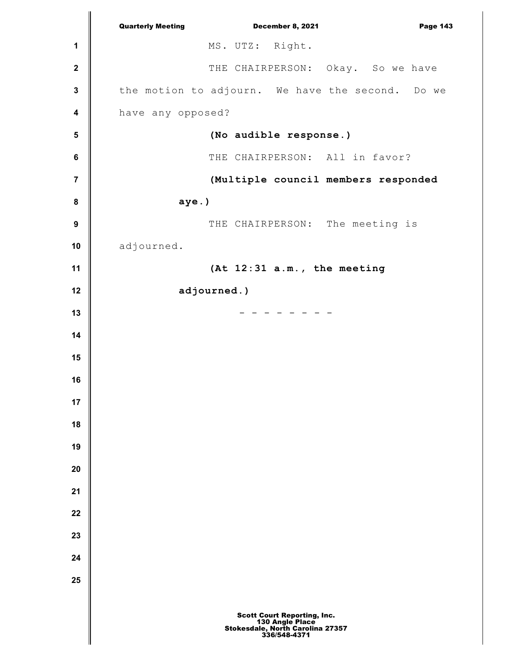|                         | <b>Quarterly Meeting</b><br><b>December 8, 2021</b><br><b>Page 143</b>                                    |
|-------------------------|-----------------------------------------------------------------------------------------------------------|
| 1                       | MS. UTZ: Right.                                                                                           |
| $\boldsymbol{2}$        | THE CHAIRPERSON: Okay. So we have                                                                         |
| $\mathbf 3$             | the motion to adjourn. We have the second. Do we                                                          |
| $\overline{\mathbf{4}}$ | have any opposed?                                                                                         |
| ${\bf 5}$               | (No audible response.)                                                                                    |
| $\bf 6$                 | THE CHAIRPERSON: All in favor?                                                                            |
| $\overline{7}$          | (Multiple council members responded                                                                       |
| $\bf 8$                 | aye.)                                                                                                     |
| $\boldsymbol{9}$        | THE CHAIRPERSON: The meeting is                                                                           |
| 10                      | adjourned.                                                                                                |
| 11                      | (At 12:31 a.m., the meeting                                                                               |
| 12                      | adjourned.)                                                                                               |
| 13                      |                                                                                                           |
| 14                      |                                                                                                           |
| 15                      |                                                                                                           |
| 16                      |                                                                                                           |
| 17                      |                                                                                                           |
| 18                      |                                                                                                           |
| 19                      |                                                                                                           |
| 20                      |                                                                                                           |
| 21                      |                                                                                                           |
| 22                      |                                                                                                           |
| 23                      |                                                                                                           |
| 24                      |                                                                                                           |
| 25                      |                                                                                                           |
|                         | <b>Scott Court Reporting, Inc.</b><br>130 Angle Place<br>Stokesdale, North Carolina 27357<br>336/548-4371 |